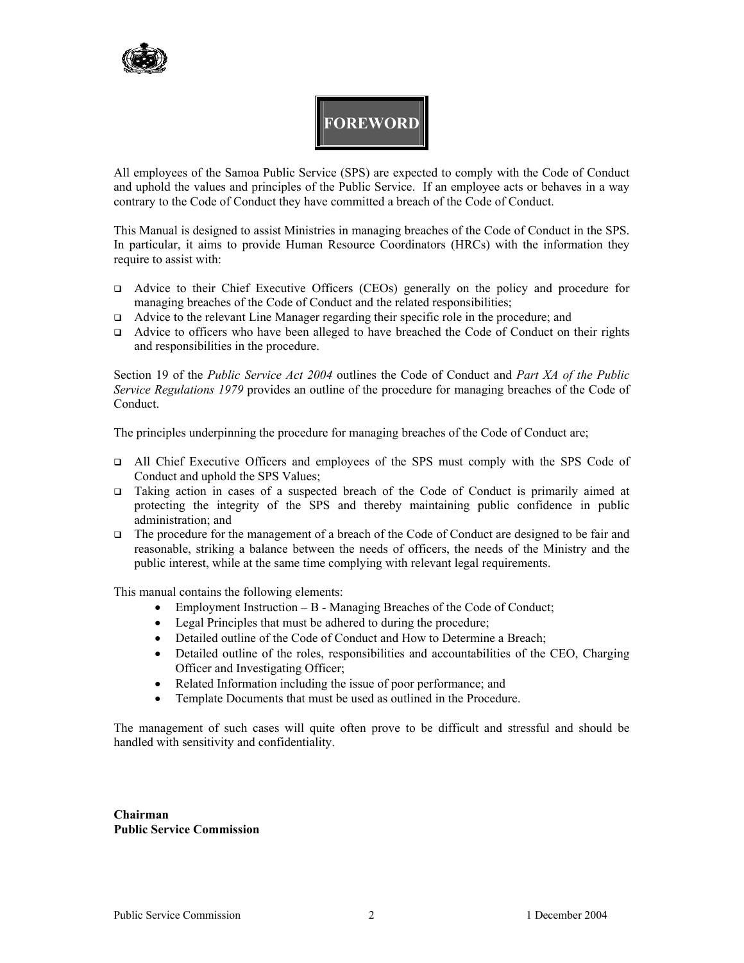

# **FOREWORD**

All employees of the Samoa Public Service (SPS) are expected to comply with the Code of Conduct and uphold the values and principles of the Public Service. If an employee acts or behaves in a way contrary to the Code of Conduct they have committed a breach of the Code of Conduct.

This Manual is designed to assist Ministries in managing breaches of the Code of Conduct in the SPS. In particular, it aims to provide Human Resource Coordinators (HRCs) with the information they require to assist with:

- Advice to their Chief Executive Officers (CEOs) generally on the policy and procedure for managing breaches of the Code of Conduct and the related responsibilities;
- Advice to the relevant Line Manager regarding their specific role in the procedure; and
- Advice to officers who have been alleged to have breached the Code of Conduct on their rights and responsibilities in the procedure.

Section 19 of the *Public Service Act 2004* outlines the Code of Conduct and *Part XA of the Public Service Regulations 1979* provides an outline of the procedure for managing breaches of the Code of Conduct.

The principles underpinning the procedure for managing breaches of the Code of Conduct are;

- All Chief Executive Officers and employees of the SPS must comply with the SPS Code of Conduct and uphold the SPS Values;
- Taking action in cases of a suspected breach of the Code of Conduct is primarily aimed at protecting the integrity of the SPS and thereby maintaining public confidence in public administration; and
- The procedure for the management of a breach of the Code of Conduct are designed to be fair and reasonable, striking a balance between the needs of officers, the needs of the Ministry and the public interest, while at the same time complying with relevant legal requirements.

This manual contains the following elements:

- Employment Instruction B Managing Breaches of the Code of Conduct;
- Legal Principles that must be adhered to during the procedure;
- Detailed outline of the Code of Conduct and How to Determine a Breach;
- Detailed outline of the roles, responsibilities and accountabilities of the CEO, Charging Officer and Investigating Officer;
- Related Information including the issue of poor performance; and
- Template Documents that must be used as outlined in the Procedure.

The management of such cases will quite often prove to be difficult and stressful and should be handled with sensitivity and confidentiality.

**Chairman Public Service Commission**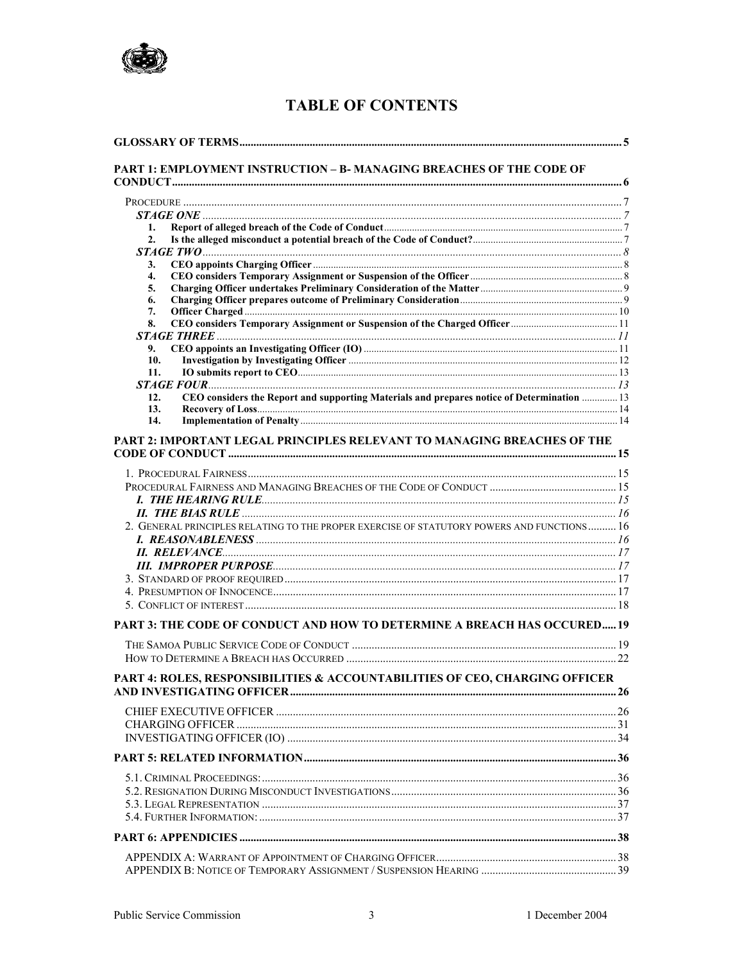

# **TABLE OF CONTENTS**

| PART 1: EMPLOYMENT INSTRUCTION - B- MANAGING BREACHES OF THE CODE OF<br>$STAGE$ ONE $\ldots$<br>1.<br>2.<br>3.<br>$\overline{4}$ .<br>5.<br>6.<br>7.<br>8.<br>9.<br>10.<br>11.<br>CEO considers the Report and supporting Materials and prepares notice of Determination  13<br>12.<br>13.<br>14.<br>PART 2: IMPORTANT LEGAL PRINCIPLES RELEVANT TO MANAGING BREACHES OF THE |  |
|------------------------------------------------------------------------------------------------------------------------------------------------------------------------------------------------------------------------------------------------------------------------------------------------------------------------------------------------------------------------------|--|
|                                                                                                                                                                                                                                                                                                                                                                              |  |
|                                                                                                                                                                                                                                                                                                                                                                              |  |
|                                                                                                                                                                                                                                                                                                                                                                              |  |
|                                                                                                                                                                                                                                                                                                                                                                              |  |
|                                                                                                                                                                                                                                                                                                                                                                              |  |
|                                                                                                                                                                                                                                                                                                                                                                              |  |
|                                                                                                                                                                                                                                                                                                                                                                              |  |
|                                                                                                                                                                                                                                                                                                                                                                              |  |
|                                                                                                                                                                                                                                                                                                                                                                              |  |
|                                                                                                                                                                                                                                                                                                                                                                              |  |
|                                                                                                                                                                                                                                                                                                                                                                              |  |
|                                                                                                                                                                                                                                                                                                                                                                              |  |
|                                                                                                                                                                                                                                                                                                                                                                              |  |
|                                                                                                                                                                                                                                                                                                                                                                              |  |
|                                                                                                                                                                                                                                                                                                                                                                              |  |
|                                                                                                                                                                                                                                                                                                                                                                              |  |
|                                                                                                                                                                                                                                                                                                                                                                              |  |
|                                                                                                                                                                                                                                                                                                                                                                              |  |
|                                                                                                                                                                                                                                                                                                                                                                              |  |
|                                                                                                                                                                                                                                                                                                                                                                              |  |
|                                                                                                                                                                                                                                                                                                                                                                              |  |
|                                                                                                                                                                                                                                                                                                                                                                              |  |
| 2. GENERAL PRINCIPLES RELATING TO THE PROPER EXERCISE OF STATUTORY POWERS AND FUNCTIONS 16                                                                                                                                                                                                                                                                                   |  |
|                                                                                                                                                                                                                                                                                                                                                                              |  |
|                                                                                                                                                                                                                                                                                                                                                                              |  |
|                                                                                                                                                                                                                                                                                                                                                                              |  |
|                                                                                                                                                                                                                                                                                                                                                                              |  |
|                                                                                                                                                                                                                                                                                                                                                                              |  |
| PART 3: THE CODE OF CONDUCT AND HOW TO DETERMINE A BREACH HAS OCCURED 19                                                                                                                                                                                                                                                                                                     |  |
|                                                                                                                                                                                                                                                                                                                                                                              |  |
|                                                                                                                                                                                                                                                                                                                                                                              |  |
| PART 4: ROLES, RESPONSIBILITIES & ACCOUNTABILITIES OF CEO, CHARGING OFFICER                                                                                                                                                                                                                                                                                                  |  |
|                                                                                                                                                                                                                                                                                                                                                                              |  |
|                                                                                                                                                                                                                                                                                                                                                                              |  |
|                                                                                                                                                                                                                                                                                                                                                                              |  |
|                                                                                                                                                                                                                                                                                                                                                                              |  |
|                                                                                                                                                                                                                                                                                                                                                                              |  |
|                                                                                                                                                                                                                                                                                                                                                                              |  |
|                                                                                                                                                                                                                                                                                                                                                                              |  |
|                                                                                                                                                                                                                                                                                                                                                                              |  |
|                                                                                                                                                                                                                                                                                                                                                                              |  |
|                                                                                                                                                                                                                                                                                                                                                                              |  |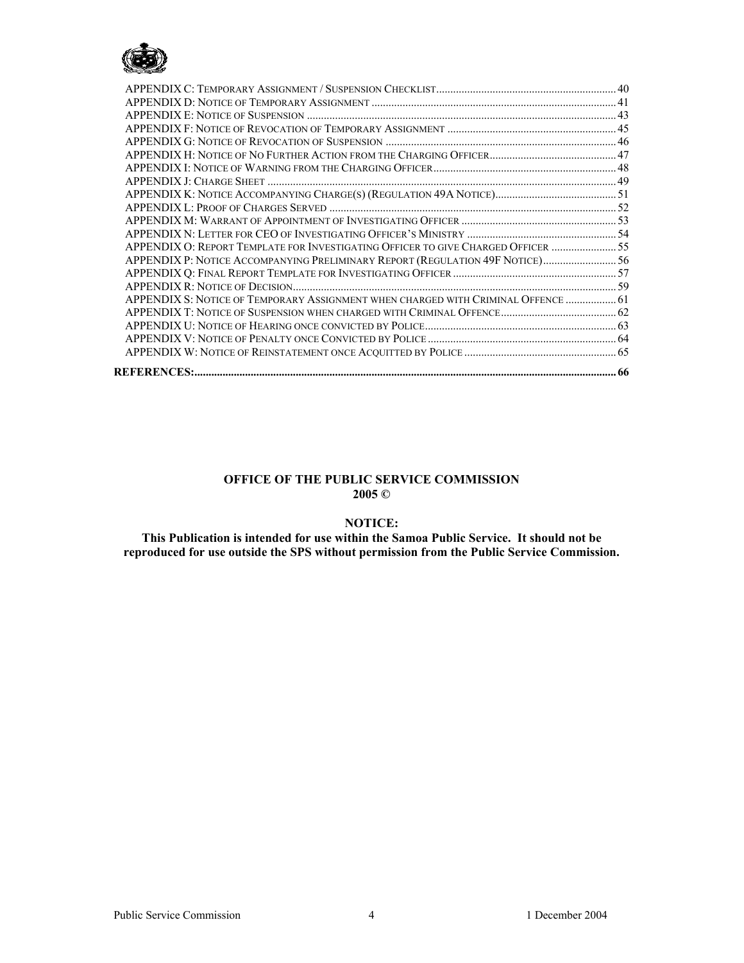

| APPENDIX O: REPORT TEMPLATE FOR INVESTIGATING OFFICER TO GIVE CHARGED OFFICER  55 |  |
|-----------------------------------------------------------------------------------|--|
| APPENDIX P: NOTICE ACCOMPANYING PRELIMINARY REPORT (REGULATION 49F NOTICE) 56     |  |
|                                                                                   |  |
|                                                                                   |  |
| APPENDIX S: NOTICE OF TEMPORARY ASSIGNMENT WHEN CHARGED WITH CRIMINAL OFFENCE  61 |  |
|                                                                                   |  |
|                                                                                   |  |
|                                                                                   |  |
|                                                                                   |  |
|                                                                                   |  |

#### **OFFICE OF THE PUBLIC SERVICE COMMISSION 2005 ©**

### **NOTICE:**

**This Publication is intended for use within the Samoa Public Service. It should not be reproduced for use outside the SPS without permission from the Public Service Commission.**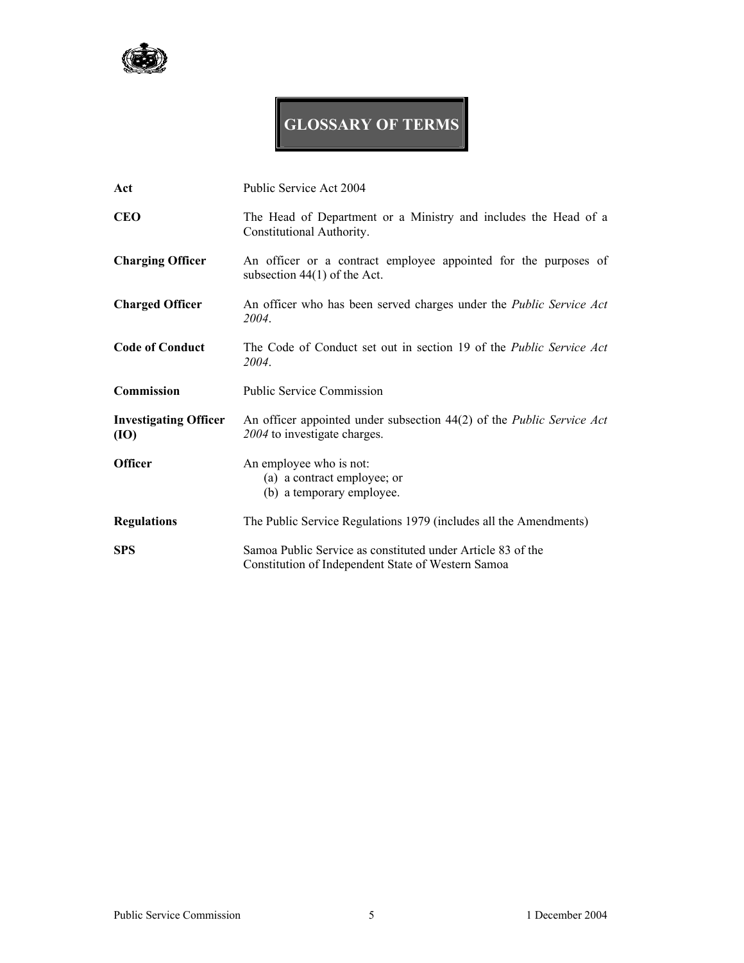

# **GLOSSARY OF TERMS**

| Act                                  | Public Service Act 2004                                                                                           |
|--------------------------------------|-------------------------------------------------------------------------------------------------------------------|
| <b>CEO</b>                           | The Head of Department or a Ministry and includes the Head of a<br>Constitutional Authority.                      |
| <b>Charging Officer</b>              | An officer or a contract employee appointed for the purposes of<br>subsection $44(1)$ of the Act.                 |
| <b>Charged Officer</b>               | An officer who has been served charges under the <i>Public Service Act</i><br>2004.                               |
| <b>Code of Conduct</b>               | The Code of Conduct set out in section 19 of the <i>Public Service Act</i><br>2004.                               |
| Commission                           | <b>Public Service Commission</b>                                                                                  |
| <b>Investigating Officer</b><br>(IO) | An officer appointed under subsection 44(2) of the <i>Public Service Act</i><br>2004 to investigate charges.      |
| <b>Officer</b>                       | An employee who is not:<br>(a) a contract employee; or<br>(b) a temporary employee.                               |
| <b>Regulations</b>                   | The Public Service Regulations 1979 (includes all the Amendments)                                                 |
| <b>SPS</b>                           | Samoa Public Service as constituted under Article 83 of the<br>Constitution of Independent State of Western Samoa |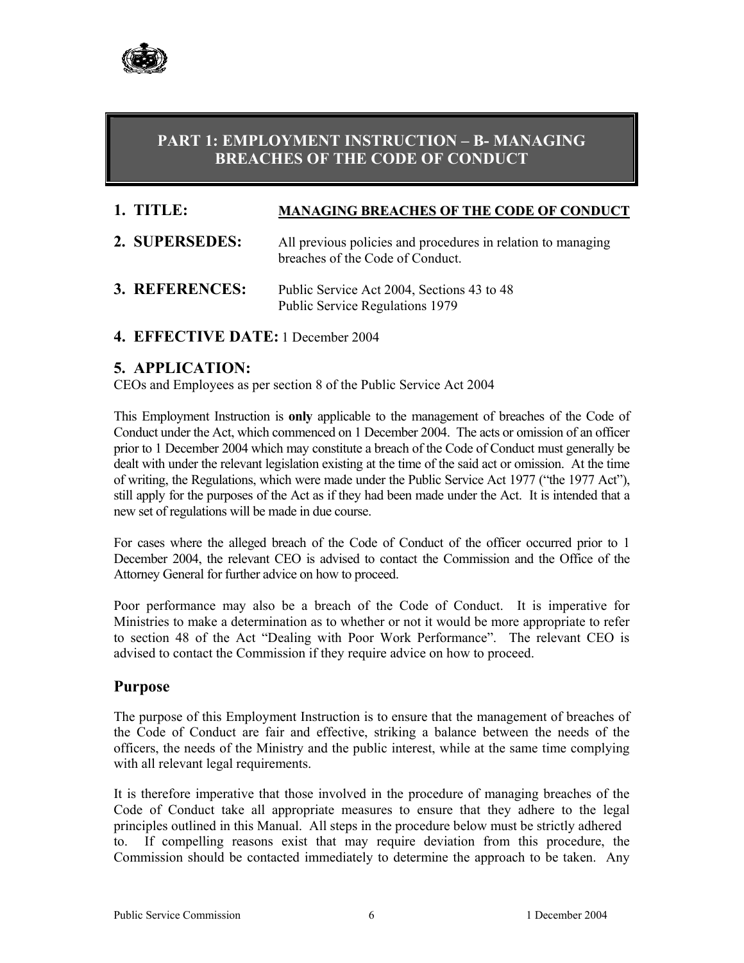

# **PART 1: EMPLOYMENT INSTRUCTION – B- MANAGING BREACHES OF THE CODE OF CONDUCT**

# **1. TITLE: MANAGING BREACHES OF THE CODE OF CONDUCT**

- **2. SUPERSEDES:** All previous policies and procedures in relation to managing breaches of the Code of Conduct.
- **3. REFERENCES:** Public Service Act 2004, Sections 43 to 48 Public Service Regulations 1979
- **4. EFFECTIVE DATE:** 1 December 2004

# **5. APPLICATION:**

CEOs and Employees as per section 8 of the Public Service Act 2004

This Employment Instruction is **only** applicable to the management of breaches of the Code of Conduct under the Act, which commenced on 1 December 2004. The acts or omission of an officer prior to 1 December 2004 which may constitute a breach of the Code of Conduct must generally be dealt with under the relevant legislation existing at the time of the said act or omission. At the time of writing, the Regulations, which were made under the Public Service Act 1977 ("the 1977 Act"), still apply for the purposes of the Act as if they had been made under the Act. It is intended that a new set of regulations will be made in due course.

For cases where the alleged breach of the Code of Conduct of the officer occurred prior to 1 December 2004, the relevant CEO is advised to contact the Commission and the Office of the Attorney General for further advice on how to proceed.

Poor performance may also be a breach of the Code of Conduct. It is imperative for Ministries to make a determination as to whether or not it would be more appropriate to refer to section 48 of the Act "Dealing with Poor Work Performance". The relevant CEO is advised to contact the Commission if they require advice on how to proceed.

### **Purpose**

The purpose of this Employment Instruction is to ensure that the management of breaches of the Code of Conduct are fair and effective, striking a balance between the needs of the officers, the needs of the Ministry and the public interest, while at the same time complying with all relevant legal requirements.

It is therefore imperative that those involved in the procedure of managing breaches of the Code of Conduct take all appropriate measures to ensure that they adhere to the legal principles outlined in this Manual. All steps in the procedure below must be strictly adhered to. If compelling reasons exist that may require deviation from this procedure, the Commission should be contacted immediately to determine the approach to be taken. Any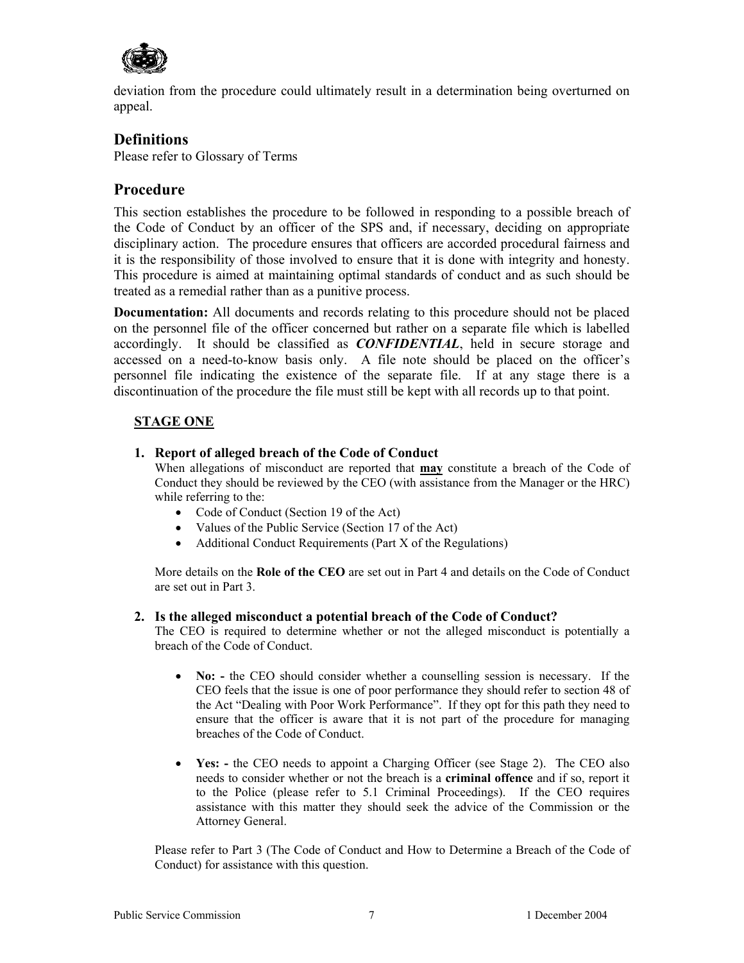

deviation from the procedure could ultimately result in a determination being overturned on appeal.

### **Definitions**

Please refer to Glossary of Terms

# **Procedure**

This section establishes the procedure to be followed in responding to a possible breach of the Code of Conduct by an officer of the SPS and, if necessary, deciding on appropriate disciplinary action. The procedure ensures that officers are accorded procedural fairness and it is the responsibility of those involved to ensure that it is done with integrity and honesty. This procedure is aimed at maintaining optimal standards of conduct and as such should be treated as a remedial rather than as a punitive process.

**Documentation:** All documents and records relating to this procedure should not be placed on the personnel file of the officer concerned but rather on a separate file which is labelled accordingly. It should be classified as *CONFIDENTIAL*, held in secure storage and accessed on a need-to-know basis only. A file note should be placed on the officer's personnel file indicating the existence of the separate file. If at any stage there is a discontinuation of the procedure the file must still be kept with all records up to that point.

### **STAGE ONE**

### **1. Report of alleged breach of the Code of Conduct**

When allegations of misconduct are reported that **may** constitute a breach of the Code of Conduct they should be reviewed by the CEO (with assistance from the Manager or the HRC) while referring to the:

- Code of Conduct (Section 19 of the Act)
- Values of the Public Service (Section 17 of the Act)
- Additional Conduct Requirements (Part X of the Regulations)

More details on the **Role of the CEO** are set out in Part 4 and details on the Code of Conduct are set out in Part 3.

### **2. Is the alleged misconduct a potential breach of the Code of Conduct?**

The CEO is required to determine whether or not the alleged misconduct is potentially a breach of the Code of Conduct.

- **No:** the CEO should consider whether a counselling session is necessary. If the CEO feels that the issue is one of poor performance they should refer to section 48 of the Act "Dealing with Poor Work Performance". If they opt for this path they need to ensure that the officer is aware that it is not part of the procedure for managing breaches of the Code of Conduct.
- **Yes:** the CEO needs to appoint a Charging Officer (see Stage 2). The CEO also needs to consider whether or not the breach is a **criminal offence** and if so, report it to the Police (please refer to 5.1 Criminal Proceedings). If the CEO requires assistance with this matter they should seek the advice of the Commission or the Attorney General.

Please refer to Part 3 (The Code of Conduct and How to Determine a Breach of the Code of Conduct) for assistance with this question.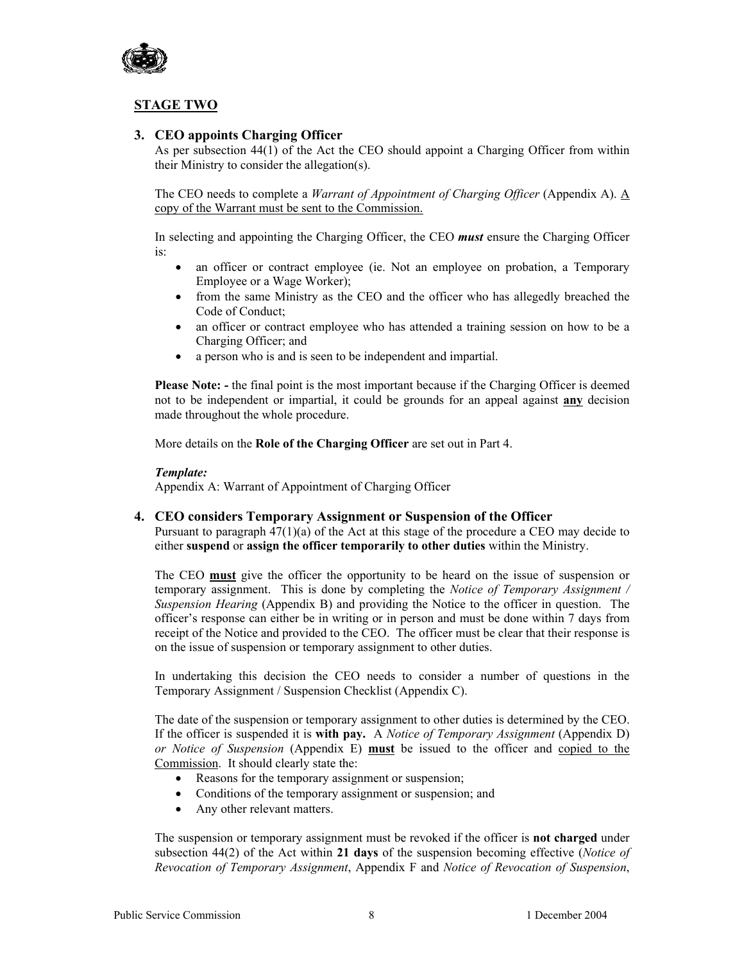

### **STAGE TWO**

### **3. CEO appoints Charging Officer**

As per subsection 44(1) of the Act the CEO should appoint a Charging Officer from within their Ministry to consider the allegation(s).

The CEO needs to complete a *Warrant of Appointment of Charging Officer* (Appendix A). A copy of the Warrant must be sent to the Commission.

In selecting and appointing the Charging Officer, the CEO *must* ensure the Charging Officer is:

- an officer or contract employee (ie. Not an employee on probation, a Temporary Employee or a Wage Worker);
- from the same Ministry as the CEO and the officer who has allegedly breached the Code of Conduct;
- an officer or contract employee who has attended a training session on how to be a Charging Officer; and
- a person who is and is seen to be independent and impartial.

**Please Note: -** the final point is the most important because if the Charging Officer is deemed not to be independent or impartial, it could be grounds for an appeal against **any** decision made throughout the whole procedure.

More details on the **Role of the Charging Officer** are set out in Part 4.

#### *Template:*

Appendix A: Warrant of Appointment of Charging Officer

#### **4. CEO considers Temporary Assignment or Suspension of the Officer**

Pursuant to paragraph 47(1)(a) of the Act at this stage of the procedure a CEO may decide to either **suspend** or **assign the officer temporarily to other duties** within the Ministry.

The CEO **must** give the officer the opportunity to be heard on the issue of suspension or temporary assignment. This is done by completing the *Notice of Temporary Assignment / Suspension Hearing* (Appendix B) and providing the Notice to the officer in question. The officer's response can either be in writing or in person and must be done within 7 days from receipt of the Notice and provided to the CEO. The officer must be clear that their response is on the issue of suspension or temporary assignment to other duties.

In undertaking this decision the CEO needs to consider a number of questions in the Temporary Assignment / Suspension Checklist (Appendix C).

The date of the suspension or temporary assignment to other duties is determined by the CEO. If the officer is suspended it is **with pay.** A *Notice of Temporary Assignment* (Appendix D) *or Notice of Suspension* (Appendix E) **must** be issued to the officer and copied to the Commission. It should clearly state the:

- Reasons for the temporary assignment or suspension;
- Conditions of the temporary assignment or suspension; and
- Any other relevant matters.

The suspension or temporary assignment must be revoked if the officer is **not charged** under subsection 44(2) of the Act within **21 days** of the suspension becoming effective (*Notice of Revocation of Temporary Assignment*, Appendix F and *Notice of Revocation of Suspension*,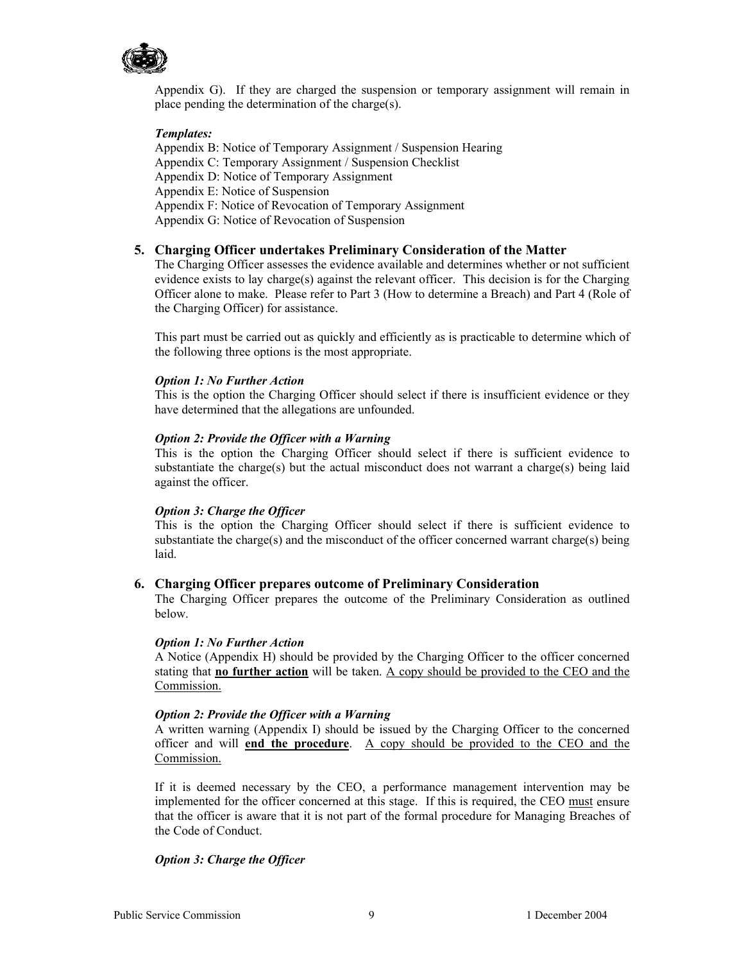

Appendix G). If they are charged the suspension or temporary assignment will remain in place pending the determination of the charge(s).

#### *Templates:*

Appendix B: Notice of Temporary Assignment / Suspension Hearing Appendix C: Temporary Assignment / Suspension Checklist Appendix D: Notice of Temporary Assignment Appendix E: Notice of Suspension Appendix F: Notice of Revocation of Temporary Assignment Appendix G: Notice of Revocation of Suspension

#### **5. Charging Officer undertakes Preliminary Consideration of the Matter**

The Charging Officer assesses the evidence available and determines whether or not sufficient evidence exists to lay charge(s) against the relevant officer. This decision is for the Charging Officer alone to make. Please refer to Part 3 (How to determine a Breach) and Part 4 (Role of the Charging Officer) for assistance.

This part must be carried out as quickly and efficiently as is practicable to determine which of the following three options is the most appropriate.

#### *Option 1: No Further Action*

This is the option the Charging Officer should select if there is insufficient evidence or they have determined that the allegations are unfounded.

#### *Option 2: Provide the Officer with a Warning*

This is the option the Charging Officer should select if there is sufficient evidence to substantiate the charge(s) but the actual misconduct does not warrant a charge(s) being laid against the officer.

#### *Option 3: Charge the Officer*

This is the option the Charging Officer should select if there is sufficient evidence to substantiate the charge(s) and the misconduct of the officer concerned warrant charge(s) being laid.

#### **6. Charging Officer prepares outcome of Preliminary Consideration**

The Charging Officer prepares the outcome of the Preliminary Consideration as outlined below.

#### *Option 1: No Further Action*

A Notice (Appendix H) should be provided by the Charging Officer to the officer concerned stating that **no further action** will be taken. A copy should be provided to the CEO and the Commission.

#### *Option 2: Provide the Officer with a Warning*

A written warning (Appendix I) should be issued by the Charging Officer to the concerned officer and will **end the procedure**. A copy should be provided to the CEO and the Commission.

If it is deemed necessary by the CEO, a performance management intervention may be implemented for the officer concerned at this stage. If this is required, the CEO must ensure that the officer is aware that it is not part of the formal procedure for Managing Breaches of the Code of Conduct.

#### *Option 3: Charge the Officer*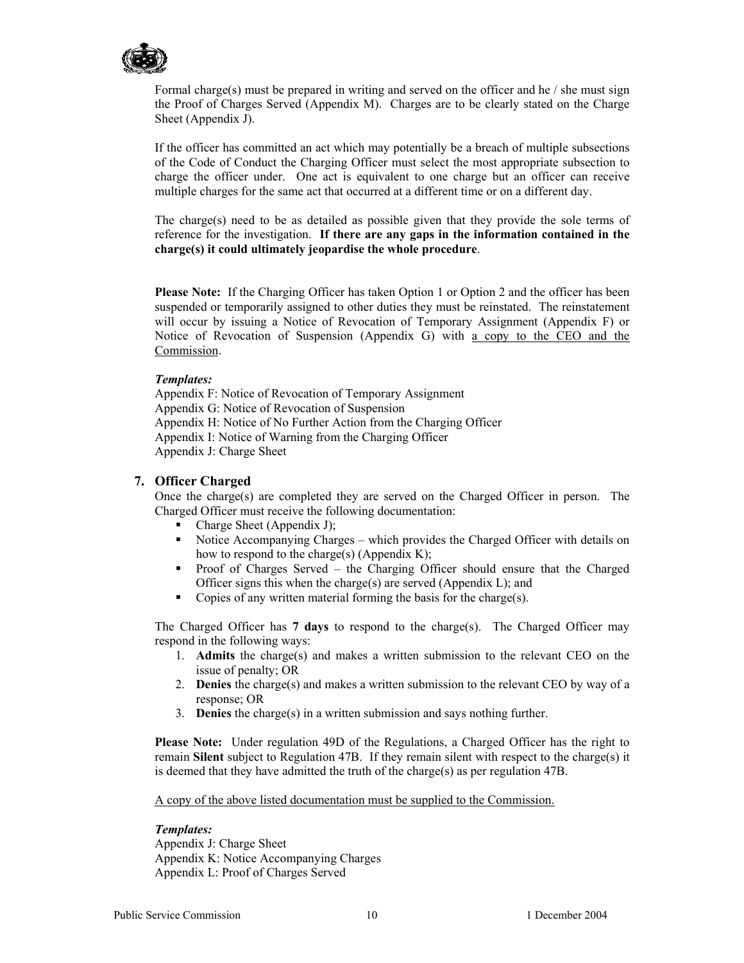

Formal charge(s) must be prepared in writing and served on the officer and he  $\ell$  she must sign the Proof of Charges Served (Appendix M). Charges are to be clearly stated on the Charge Sheet (Appendix J).

If the officer has committed an act which may potentially be a breach of multiple subsections of the Code of Conduct the Charging Officer must select the most appropriate subsection to charge the officer under. One act is equivalent to one charge but an officer can receive multiple charges for the same act that occurred at a different time or on a different day.

The charge(s) need to be as detailed as possible given that they provide the sole terms of reference for the investigation. **If there are any gaps in the information contained in the charge(s) it could ultimately jeopardise the whole procedure**.

**Please Note:** If the Charging Officer has taken Option 1 or Option 2 and the officer has been suspended or temporarily assigned to other duties they must be reinstated. The reinstatement will occur by issuing a Notice of Revocation of Temporary Assignment (Appendix F) or Notice of Revocation of Suspension (Appendix G) with a copy to the CEO and the Commission.

#### *Templates:*

Appendix F: Notice of Revocation of Temporary Assignment Appendix G: Notice of Revocation of Suspension Appendix H: Notice of No Further Action from the Charging Officer Appendix I: Notice of Warning from the Charging Officer Appendix J: Charge Sheet

#### **7. Officer Charged**

Once the charge(s) are completed they are served on the Charged Officer in person. The Charged Officer must receive the following documentation:

- Charge Sheet (Appendix J);
- Notice Accompanying Charges which provides the Charged Officer with details on how to respond to the charge(s) (Appendix K);
- Proof of Charges Served the Charging Officer should ensure that the Charged Officer signs this when the charge(s) are served (Appendix  $L$ ); and
- Copies of any written material forming the basis for the charge(s).

The Charged Officer has **7 days** to respond to the charge(s). The Charged Officer may respond in the following ways:

- 1. **Admits** the charge(s) and makes a written submission to the relevant CEO on the issue of penalty; OR
- 2. **Denies** the charge(s) and makes a written submission to the relevant CEO by way of a response; OR
- 3. **Denies** the charge(s) in a written submission and says nothing further.

**Please Note:** Under regulation 49D of the Regulations, a Charged Officer has the right to remain **Silent** subject to Regulation 47B. If they remain silent with respect to the charge(s) it is deemed that they have admitted the truth of the charge(s) as per regulation 47B.

A copy of the above listed documentation must be supplied to the Commission.

#### *Templates:*

Appendix J: Charge Sheet Appendix K: Notice Accompanying Charges Appendix L: Proof of Charges Served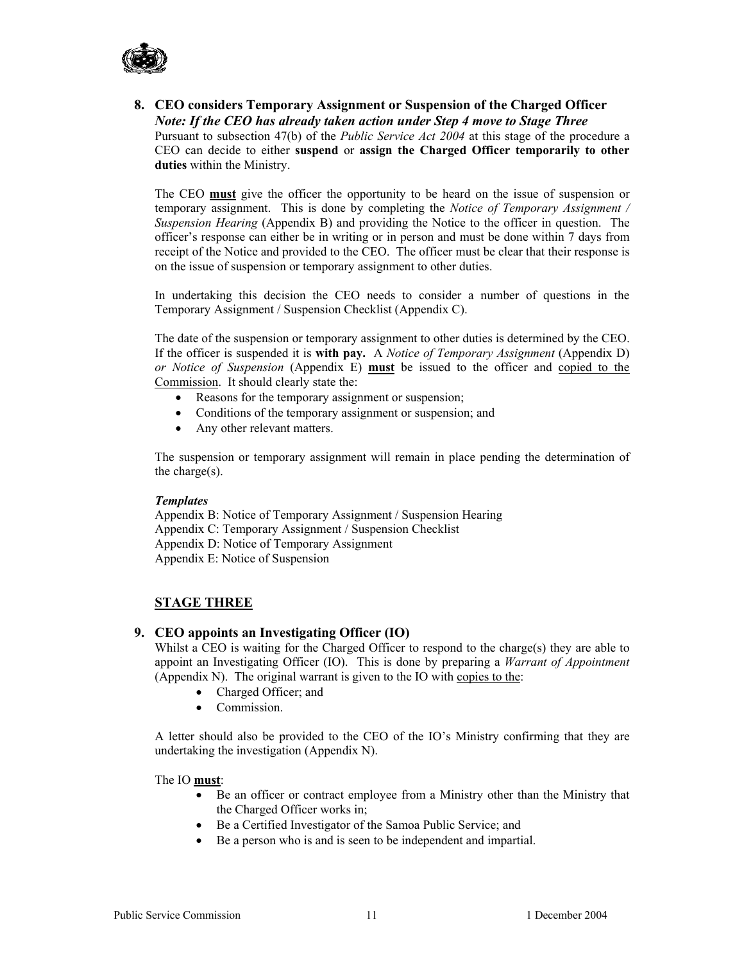

#### **8. CEO considers Temporary Assignment or Suspension of the Charged Officer**  *Note: If the CEO has already taken action under Step 4 move to Stage Three*

Pursuant to subsection 47(b) of the *Public Service Act 2004* at this stage of the procedure a CEO can decide to either **suspend** or **assign the Charged Officer temporarily to other duties** within the Ministry.

The CEO **must** give the officer the opportunity to be heard on the issue of suspension or temporary assignment. This is done by completing the *Notice of Temporary Assignment / Suspension Hearing* (Appendix B) and providing the Notice to the officer in question. The officer's response can either be in writing or in person and must be done within 7 days from receipt of the Notice and provided to the CEO. The officer must be clear that their response is on the issue of suspension or temporary assignment to other duties.

In undertaking this decision the CEO needs to consider a number of questions in the Temporary Assignment / Suspension Checklist (Appendix C).

The date of the suspension or temporary assignment to other duties is determined by the CEO. If the officer is suspended it is **with pay.** A *Notice of Temporary Assignment* (Appendix D) *or Notice of Suspension* (Appendix E) **must** be issued to the officer and copied to the Commission. It should clearly state the:

- Reasons for the temporary assignment or suspension;
- Conditions of the temporary assignment or suspension; and
- Any other relevant matters.

The suspension or temporary assignment will remain in place pending the determination of the charge(s).

#### *Templates*

Appendix B: Notice of Temporary Assignment / Suspension Hearing Appendix C: Temporary Assignment / Suspension Checklist Appendix D: Notice of Temporary Assignment Appendix E: Notice of Suspension

### **STAGE THREE**

### **9. CEO appoints an Investigating Officer (IO)**

Whilst a CEO is waiting for the Charged Officer to respond to the charge(s) they are able to appoint an Investigating Officer (IO). This is done by preparing a *Warrant of Appointment* (Appendix N). The original warrant is given to the IO with copies to the:

- Charged Officer; and
- Commission.

A letter should also be provided to the CEO of the IO's Ministry confirming that they are undertaking the investigation (Appendix N).

The IO **must**:

- Be an officer or contract employee from a Ministry other than the Ministry that the Charged Officer works in;
- Be a Certified Investigator of the Samoa Public Service; and
- Be a person who is and is seen to be independent and impartial.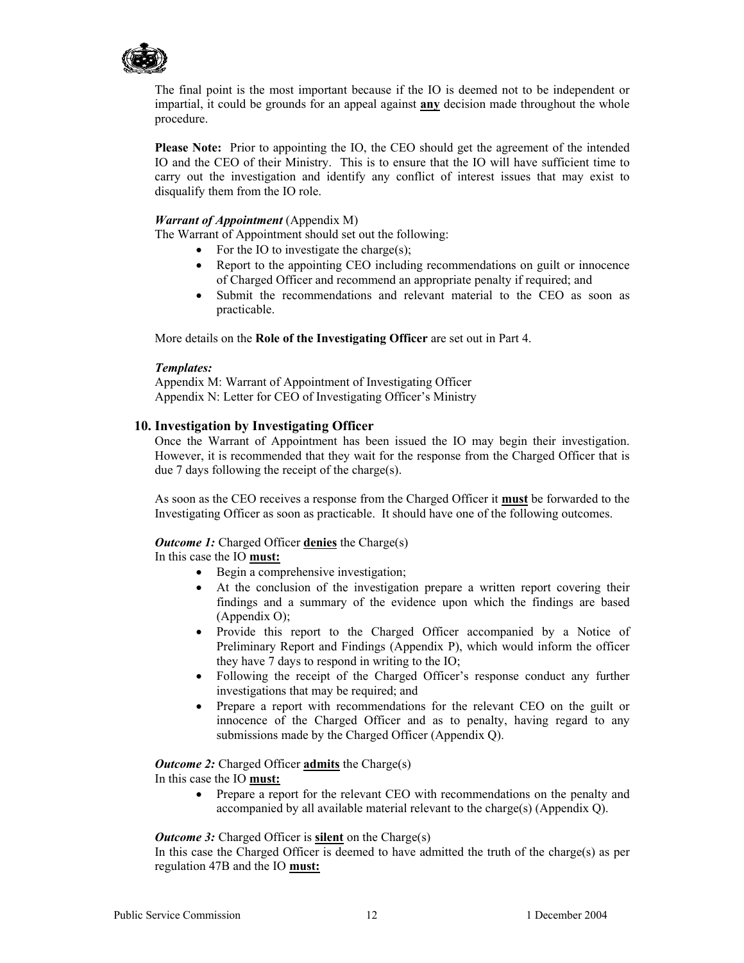

The final point is the most important because if the IO is deemed not to be independent or impartial, it could be grounds for an appeal against **any** decision made throughout the whole procedure.

**Please Note:** Prior to appointing the IO, the CEO should get the agreement of the intended IO and the CEO of their Ministry. This is to ensure that the IO will have sufficient time to carry out the investigation and identify any conflict of interest issues that may exist to disqualify them from the IO role.

#### *Warrant of Appointment* (Appendix M)

The Warrant of Appointment should set out the following:

- For the IO to investigate the charge(s);
- Report to the appointing CEO including recommendations on guilt or innocence of Charged Officer and recommend an appropriate penalty if required; and
- Submit the recommendations and relevant material to the CEO as soon as practicable.

More details on the **Role of the Investigating Officer** are set out in Part 4.

#### *Templates:*

Appendix M: Warrant of Appointment of Investigating Officer Appendix N: Letter for CEO of Investigating Officer's Ministry

#### **10. Investigation by Investigating Officer**

Once the Warrant of Appointment has been issued the IO may begin their investigation. However, it is recommended that they wait for the response from the Charged Officer that is due 7 days following the receipt of the charge(s).

As soon as the CEO receives a response from the Charged Officer it **must** be forwarded to the Investigating Officer as soon as practicable. It should have one of the following outcomes.

#### *Outcome 1:* Charged Officer **denies** the Charge(s)

#### In this case the IO **must:**

- Begin a comprehensive investigation;
- At the conclusion of the investigation prepare a written report covering their findings and a summary of the evidence upon which the findings are based (Appendix O);
- Provide this report to the Charged Officer accompanied by a Notice of Preliminary Report and Findings (Appendix P), which would inform the officer they have 7 days to respond in writing to the IO;
- Following the receipt of the Charged Officer's response conduct any further investigations that may be required; and
- Prepare a report with recommendations for the relevant CEO on the guilt or innocence of the Charged Officer and as to penalty, having regard to any submissions made by the Charged Officer (Appendix Q).

### *Outcome 2:* Charged Officer **admits** the Charge(s)

- In this case the IO **must:**
	- Prepare a report for the relevant CEO with recommendations on the penalty and accompanied by all available material relevant to the charge(s) (Appendix Q).

#### *Outcome 3:* Charged Officer is **silent** on the Charge(s)

In this case the Charged Officer is deemed to have admitted the truth of the charge(s) as per regulation 47B and the IO **must:**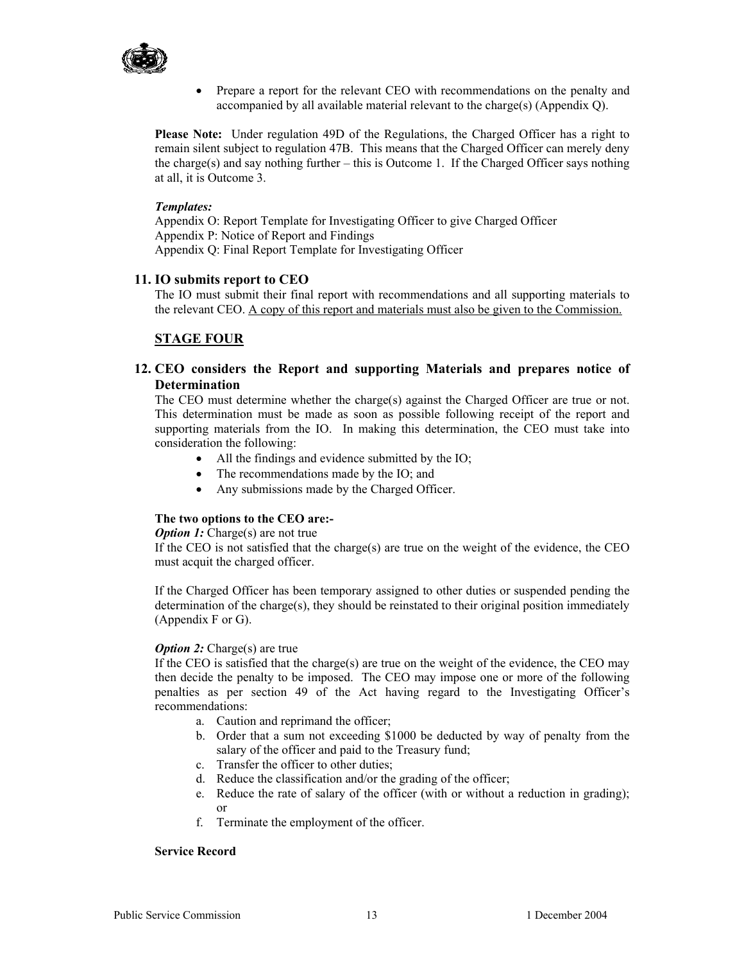

• Prepare a report for the relevant CEO with recommendations on the penalty and accompanied by all available material relevant to the charge(s) (Appendix Q).

**Please Note:** Under regulation 49D of the Regulations, the Charged Officer has a right to remain silent subject to regulation 47B. This means that the Charged Officer can merely deny the charge(s) and say nothing further – this is Outcome 1. If the Charged Officer says nothing at all, it is Outcome 3.

#### *Templates:*

Appendix O: Report Template for Investigating Officer to give Charged Officer Appendix P: Notice of Report and Findings Appendix Q: Final Report Template for Investigating Officer

#### **11. IO submits report to CEO**

The IO must submit their final report with recommendations and all supporting materials to the relevant CEO. A copy of this report and materials must also be given to the Commission.

### **STAGE FOUR**

### **12. CEO considers the Report and supporting Materials and prepares notice of Determination**

The CEO must determine whether the charge(s) against the Charged Officer are true or not. This determination must be made as soon as possible following receipt of the report and supporting materials from the IO. In making this determination, the CEO must take into consideration the following:

- All the findings and evidence submitted by the IO;
- The recommendations made by the IO; and
- Any submissions made by the Charged Officer.

#### **The two options to the CEO are:-**

*Option 1:* Charge(s) are not true

If the CEO is not satisfied that the charge(s) are true on the weight of the evidence, the CEO must acquit the charged officer.

If the Charged Officer has been temporary assigned to other duties or suspended pending the determination of the charge(s), they should be reinstated to their original position immediately (Appendix F or G).

#### *Option 2:* Charge(s) are true

If the CEO is satisfied that the charge(s) are true on the weight of the evidence, the CEO may then decide the penalty to be imposed. The CEO may impose one or more of the following penalties as per section 49 of the Act having regard to the Investigating Officer's recommendations:

- a. Caution and reprimand the officer;
- b. Order that a sum not exceeding \$1000 be deducted by way of penalty from the salary of the officer and paid to the Treasury fund;
- c. Transfer the officer to other duties;
- d. Reduce the classification and/or the grading of the officer;
- e. Reduce the rate of salary of the officer (with or without a reduction in grading); or
- f. Terminate the employment of the officer.

#### **Service Record**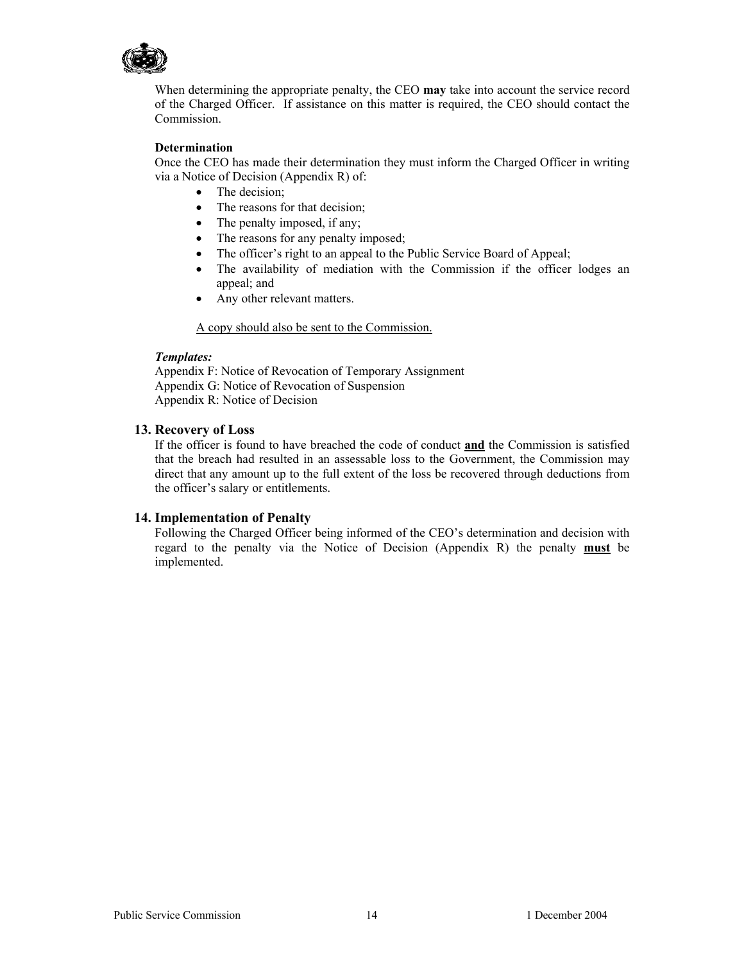

When determining the appropriate penalty, the CEO **may** take into account the service record of the Charged Officer. If assistance on this matter is required, the CEO should contact the Commission.

#### **Determination**

Once the CEO has made their determination they must inform the Charged Officer in writing via a Notice of Decision (Appendix R) of:

- The decision;
- The reasons for that decision;
- The penalty imposed, if any;
- The reasons for any penalty imposed;
- The officer's right to an appeal to the Public Service Board of Appeal;
- The availability of mediation with the Commission if the officer lodges an appeal; and
- Any other relevant matters.

A copy should also be sent to the Commission.

#### *Templates:*

Appendix F: Notice of Revocation of Temporary Assignment Appendix G: Notice of Revocation of Suspension Appendix R: Notice of Decision

#### **13. Recovery of Loss**

If the officer is found to have breached the code of conduct **and** the Commission is satisfied that the breach had resulted in an assessable loss to the Government, the Commission may direct that any amount up to the full extent of the loss be recovered through deductions from the officer's salary or entitlements.

#### **14. Implementation of Penalty**

Following the Charged Officer being informed of the CEO's determination and decision with regard to the penalty via the Notice of Decision (Appendix R) the penalty **must** be implemented.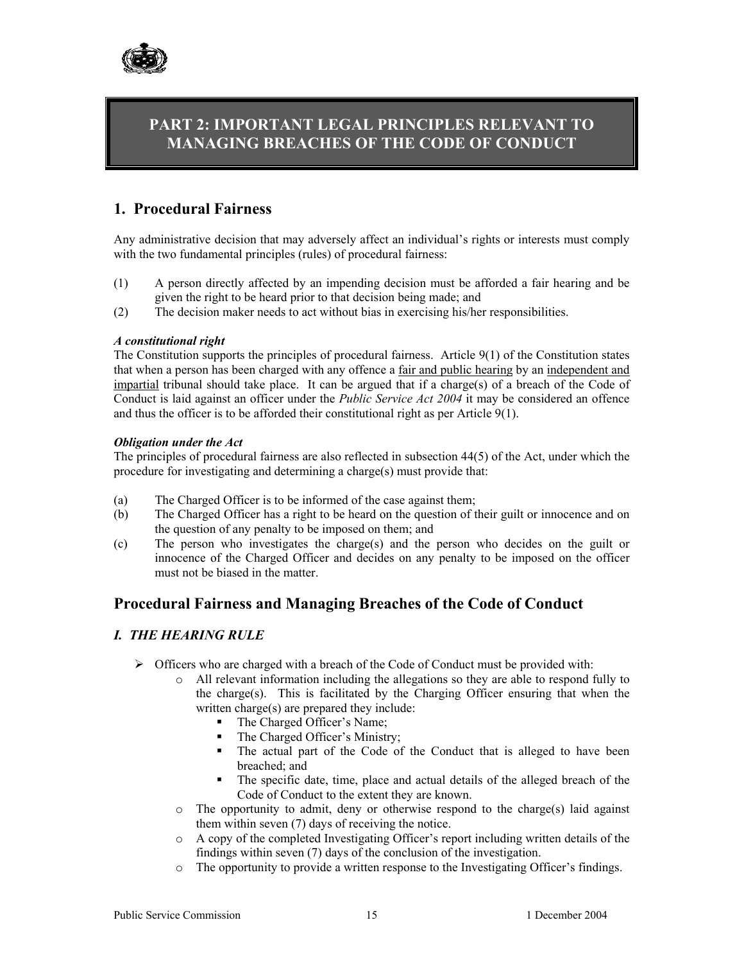

# **PART 2: IMPORTANT LEGAL PRINCIPLES RELEVANT TO MANAGING BREACHES OF THE CODE OF CONDUCT**

# **1. Procedural Fairness**

Any administrative decision that may adversely affect an individual's rights or interests must comply with the two fundamental principles (rules) of procedural fairness:

- (1) A person directly affected by an impending decision must be afforded a fair hearing and be given the right to be heard prior to that decision being made; and
- (2) The decision maker needs to act without bias in exercising his/her responsibilities.

#### *A constitutional right*

The Constitution supports the principles of procedural fairness. Article 9(1) of the Constitution states that when a person has been charged with any offence a fair and public hearing by an independent and impartial tribunal should take place. It can be argued that if a charge(s) of a breach of the Code of Conduct is laid against an officer under the *Public Service Act 2004* it may be considered an offence and thus the officer is to be afforded their constitutional right as per Article 9(1).

#### *Obligation under the Act*

The principles of procedural fairness are also reflected in subsection 44(5) of the Act, under which the procedure for investigating and determining a charge(s) must provide that:

- (a) The Charged Officer is to be informed of the case against them;
- (b) The Charged Officer has a right to be heard on the question of their guilt or innocence and on the question of any penalty to be imposed on them; and
- (c) The person who investigates the charge(s) and the person who decides on the guilt or innocence of the Charged Officer and decides on any penalty to be imposed on the officer must not be biased in the matter.

### **Procedural Fairness and Managing Breaches of the Code of Conduct**

### *I. THE HEARING RULE*

- $\triangleright$  Officers who are charged with a breach of the Code of Conduct must be provided with:
	- o All relevant information including the allegations so they are able to respond fully to the charge(s). This is facilitated by the Charging Officer ensuring that when the written charge(s) are prepared they include:
		- The Charged Officer's Name;
		- The Charged Officer's Ministry;
		- The actual part of the Code of the Conduct that is alleged to have been breached; and
		- The specific date, time, place and actual details of the alleged breach of the Code of Conduct to the extent they are known.
	- $\circ$  The opportunity to admit, deny or otherwise respond to the charge(s) laid against them within seven (7) days of receiving the notice.
	- o A copy of the completed Investigating Officer's report including written details of the findings within seven (7) days of the conclusion of the investigation.
	- o The opportunity to provide a written response to the Investigating Officer's findings.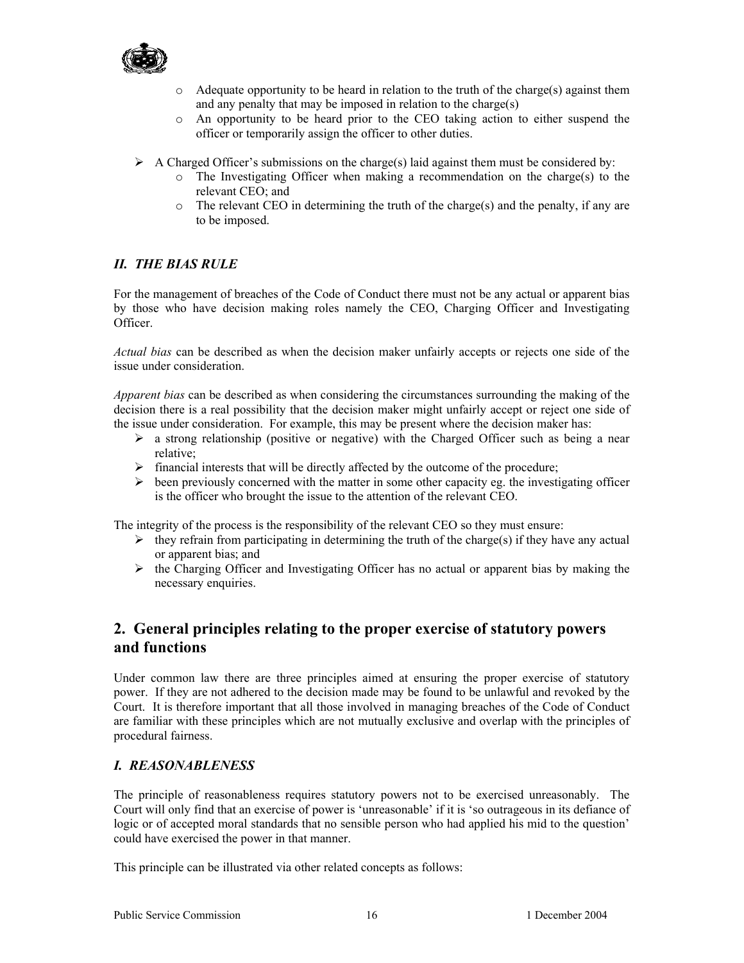

- $\circ$  Adequate opportunity to be heard in relation to the truth of the charge(s) against them and any penalty that may be imposed in relation to the charge(s)
- o An opportunity to be heard prior to the CEO taking action to either suspend the officer or temporarily assign the officer to other duties.
- $\triangleright$  A Charged Officer's submissions on the charge(s) laid against them must be considered by:
	- o The Investigating Officer when making a recommendation on the charge(s) to the relevant CEO; and
	- $\circ$  The relevant CEO in determining the truth of the charge(s) and the penalty, if any are to be imposed.

### *II. THE BIAS RULE*

For the management of breaches of the Code of Conduct there must not be any actual or apparent bias by those who have decision making roles namely the CEO, Charging Officer and Investigating Officer.

*Actual bias* can be described as when the decision maker unfairly accepts or rejects one side of the issue under consideration.

*Apparent bias* can be described as when considering the circumstances surrounding the making of the decision there is a real possibility that the decision maker might unfairly accept or reject one side of the issue under consideration. For example, this may be present where the decision maker has:

- $\triangleright$  a strong relationship (positive or negative) with the Charged Officer such as being a near relative;
- $\triangleright$  financial interests that will be directly affected by the outcome of the procedure;
- $\triangleright$  been previously concerned with the matter in some other capacity eg. the investigating officer is the officer who brought the issue to the attention of the relevant CEO.

The integrity of the process is the responsibility of the relevant CEO so they must ensure:

- $\triangleright$  they refrain from participating in determining the truth of the charge(s) if they have any actual or apparent bias; and
- $\triangleright$  the Charging Officer and Investigating Officer has no actual or apparent bias by making the necessary enquiries.

# **2. General principles relating to the proper exercise of statutory powers and functions**

Under common law there are three principles aimed at ensuring the proper exercise of statutory power. If they are not adhered to the decision made may be found to be unlawful and revoked by the Court. It is therefore important that all those involved in managing breaches of the Code of Conduct are familiar with these principles which are not mutually exclusive and overlap with the principles of procedural fairness.

### *I. REASONABLENESS*

The principle of reasonableness requires statutory powers not to be exercised unreasonably. The Court will only find that an exercise of power is 'unreasonable' if it is 'so outrageous in its defiance of logic or of accepted moral standards that no sensible person who had applied his mid to the question' could have exercised the power in that manner.

This principle can be illustrated via other related concepts as follows: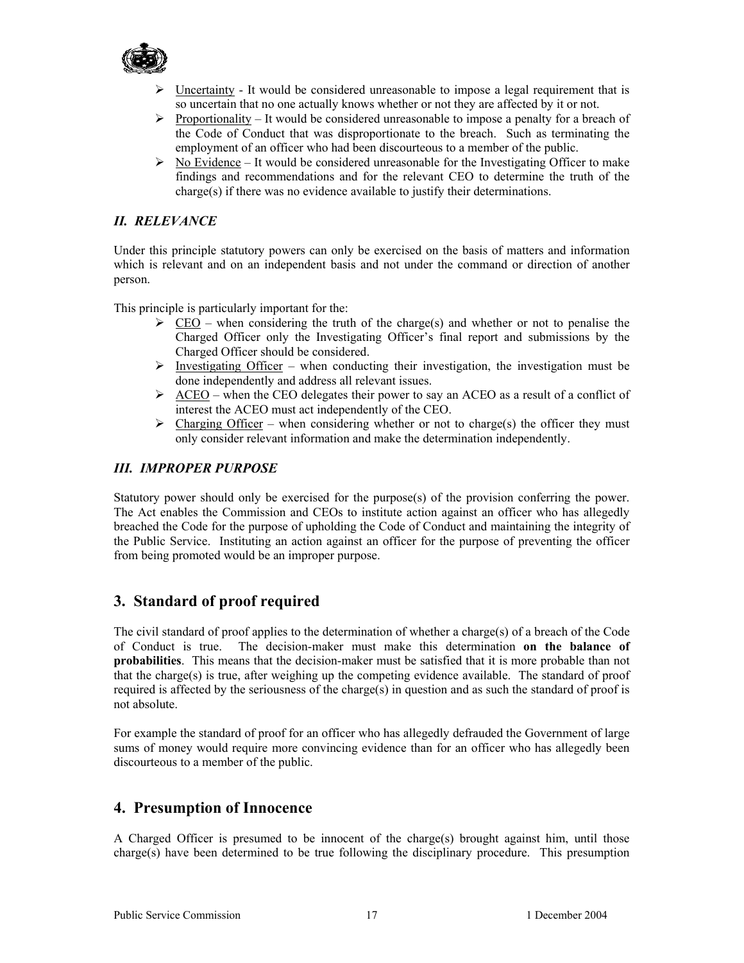

- $\triangleright$  Uncertainty It would be considered unreasonable to impose a legal requirement that is so uncertain that no one actually knows whether or not they are affected by it or not.
- $\triangleright$  Proportionality It would be considered unreasonable to impose a penalty for a breach of the Code of Conduct that was disproportionate to the breach. Such as terminating the employment of an officer who had been discourteous to a member of the public.
- $\triangleright$  No Evidence It would be considered unreasonable for the Investigating Officer to make findings and recommendations and for the relevant CEO to determine the truth of the charge(s) if there was no evidence available to justify their determinations.

### *II. RELEVANCE*

Under this principle statutory powers can only be exercised on the basis of matters and information which is relevant and on an independent basis and not under the command or direction of another person.

This principle is particularly important for the:

- $\geq$  CEO when considering the truth of the charge(s) and whether or not to penalise the Charged Officer only the Investigating Officer's final report and submissions by the Charged Officer should be considered.
- $\triangleright$  Investigating Officer when conducting their investigation, the investigation must be done independently and address all relevant issues.
- $\geq$  ACEO when the CEO delegates their power to say an ACEO as a result of a conflict of interest the ACEO must act independently of the CEO.
- $\triangleright$  Charging Officer when considering whether or not to charge(s) the officer they must only consider relevant information and make the determination independently.

### *III. IMPROPER PURPOSE*

Statutory power should only be exercised for the purpose(s) of the provision conferring the power. The Act enables the Commission and CEOs to institute action against an officer who has allegedly breached the Code for the purpose of upholding the Code of Conduct and maintaining the integrity of the Public Service. Instituting an action against an officer for the purpose of preventing the officer from being promoted would be an improper purpose.

### **3. Standard of proof required**

The civil standard of proof applies to the determination of whether a charge(s) of a breach of the Code of Conduct is true. The decision-maker must make this determination **on the balance of probabilities**. This means that the decision-maker must be satisfied that it is more probable than not that the charge(s) is true, after weighing up the competing evidence available. The standard of proof required is affected by the seriousness of the charge(s) in question and as such the standard of proof is not absolute.

For example the standard of proof for an officer who has allegedly defrauded the Government of large sums of money would require more convincing evidence than for an officer who has allegedly been discourteous to a member of the public.

### **4. Presumption of Innocence**

A Charged Officer is presumed to be innocent of the charge(s) brought against him, until those charge(s) have been determined to be true following the disciplinary procedure. This presumption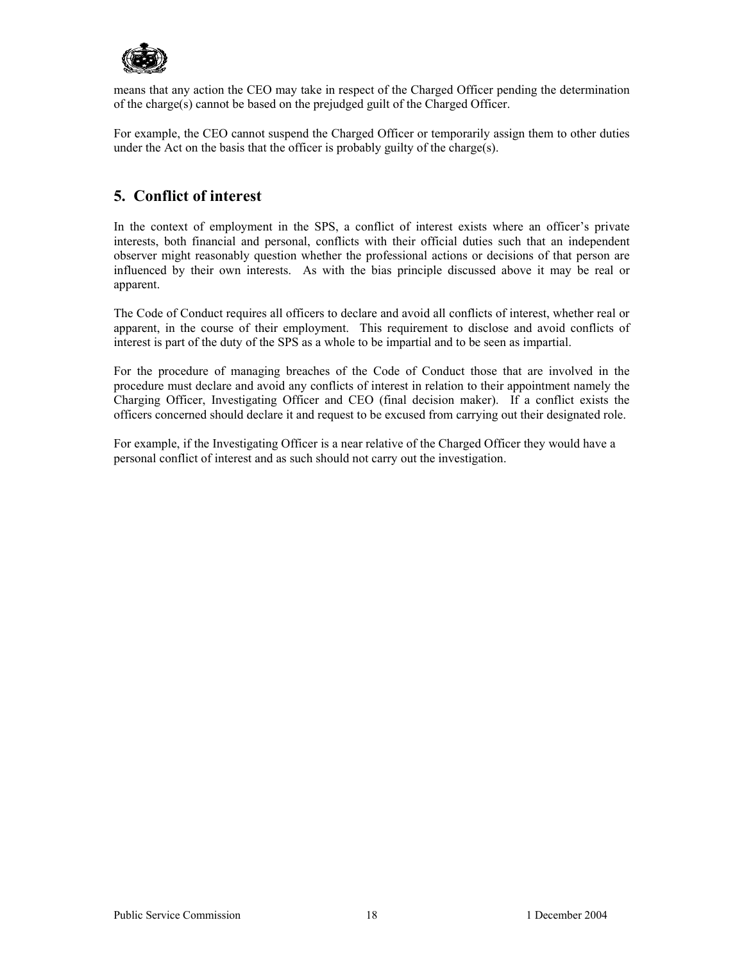

means that any action the CEO may take in respect of the Charged Officer pending the determination of the charge(s) cannot be based on the prejudged guilt of the Charged Officer.

For example, the CEO cannot suspend the Charged Officer or temporarily assign them to other duties under the Act on the basis that the officer is probably guilty of the charge(s).

# **5. Conflict of interest**

In the context of employment in the SPS, a conflict of interest exists where an officer's private interests, both financial and personal, conflicts with their official duties such that an independent observer might reasonably question whether the professional actions or decisions of that person are influenced by their own interests. As with the bias principle discussed above it may be real or apparent.

The Code of Conduct requires all officers to declare and avoid all conflicts of interest, whether real or apparent, in the course of their employment. This requirement to disclose and avoid conflicts of interest is part of the duty of the SPS as a whole to be impartial and to be seen as impartial.

For the procedure of managing breaches of the Code of Conduct those that are involved in the procedure must declare and avoid any conflicts of interest in relation to their appointment namely the Charging Officer, Investigating Officer and CEO (final decision maker). If a conflict exists the officers concerned should declare it and request to be excused from carrying out their designated role.

For example, if the Investigating Officer is a near relative of the Charged Officer they would have a personal conflict of interest and as such should not carry out the investigation.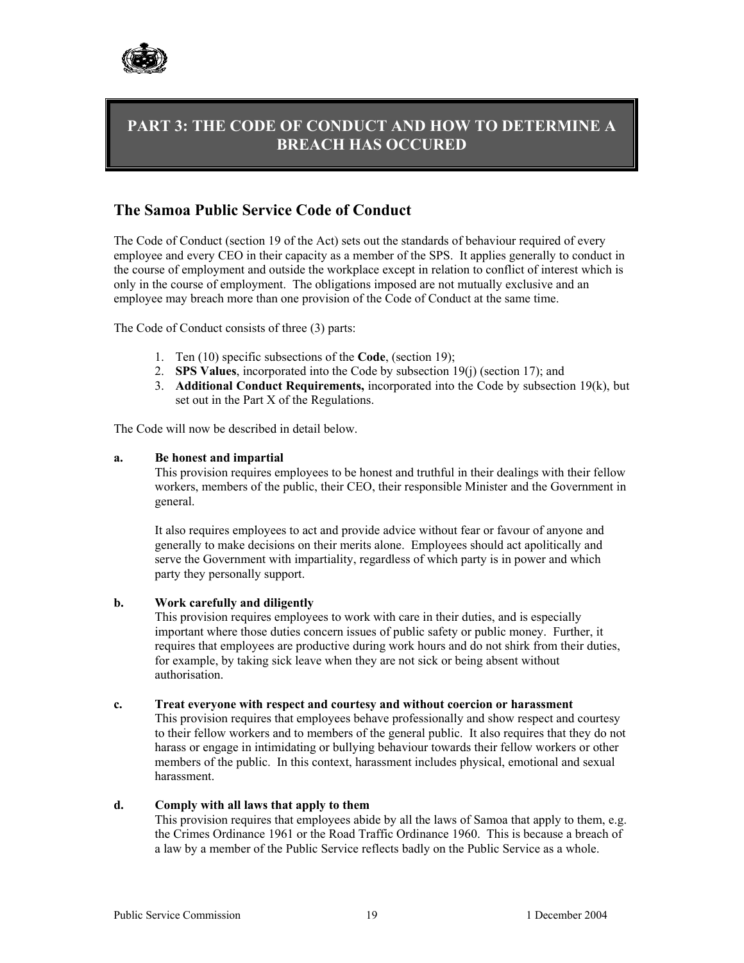

# **PART 3: THE CODE OF CONDUCT AND HOW TO DETERMINE A BREACH HAS OCCURED**

# **The Samoa Public Service Code of Conduct**

The Code of Conduct (section 19 of the Act) sets out the standards of behaviour required of every employee and every CEO in their capacity as a member of the SPS. It applies generally to conduct in the course of employment and outside the workplace except in relation to conflict of interest which is only in the course of employment. The obligations imposed are not mutually exclusive and an employee may breach more than one provision of the Code of Conduct at the same time.

The Code of Conduct consists of three (3) parts:

- 1. Ten (10) specific subsections of the **Code**, (section 19);
- 2. **SPS Values**, incorporated into the Code by subsection 19(j) (section 17); and
- 3. **Additional Conduct Requirements,** incorporated into the Code by subsection 19(k), but set out in the Part X of the Regulations.

The Code will now be described in detail below.

#### **a. Be honest and impartial**

This provision requires employees to be honest and truthful in their dealings with their fellow workers, members of the public, their CEO, their responsible Minister and the Government in general.

It also requires employees to act and provide advice without fear or favour of anyone and generally to make decisions on their merits alone. Employees should act apolitically and serve the Government with impartiality, regardless of which party is in power and which party they personally support.

#### **b. Work carefully and diligently**

This provision requires employees to work with care in their duties, and is especially important where those duties concern issues of public safety or public money. Further, it requires that employees are productive during work hours and do not shirk from their duties, for example, by taking sick leave when they are not sick or being absent without authorisation.

#### **c. Treat everyone with respect and courtesy and without coercion or harassment**

This provision requires that employees behave professionally and show respect and courtesy to their fellow workers and to members of the general public. It also requires that they do not harass or engage in intimidating or bullying behaviour towards their fellow workers or other members of the public. In this context, harassment includes physical, emotional and sexual harassment.

#### **d. Comply with all laws that apply to them**

This provision requires that employees abide by all the laws of Samoa that apply to them, e.g. the Crimes Ordinance 1961 or the Road Traffic Ordinance 1960. This is because a breach of a law by a member of the Public Service reflects badly on the Public Service as a whole.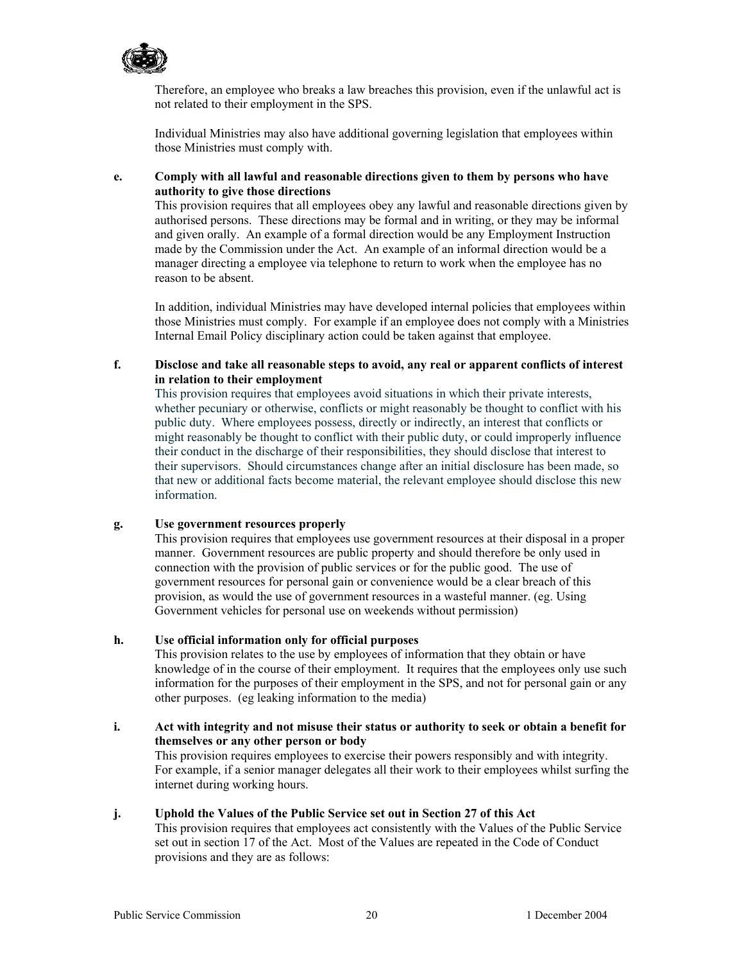

Therefore, an employee who breaks a law breaches this provision, even if the unlawful act is not related to their employment in the SPS.

Individual Ministries may also have additional governing legislation that employees within those Ministries must comply with.

#### **e. Comply with all lawful and reasonable directions given to them by persons who have authority to give those directions**

This provision requires that all employees obey any lawful and reasonable directions given by authorised persons. These directions may be formal and in writing, or they may be informal and given orally. An example of a formal direction would be any Employment Instruction made by the Commission under the Act. An example of an informal direction would be a manager directing a employee via telephone to return to work when the employee has no reason to be absent.

In addition, individual Ministries may have developed internal policies that employees within those Ministries must comply. For example if an employee does not comply with a Ministries Internal Email Policy disciplinary action could be taken against that employee.

#### **f. Disclose and take all reasonable steps to avoid, any real or apparent conflicts of interest in relation to their employment**

This provision requires that employees avoid situations in which their private interests, whether pecuniary or otherwise, conflicts or might reasonably be thought to conflict with his public duty. Where employees possess, directly or indirectly, an interest that conflicts or might reasonably be thought to conflict with their public duty, or could improperly influence their conduct in the discharge of their responsibilities, they should disclose that interest to their supervisors. Should circumstances change after an initial disclosure has been made, so that new or additional facts become material, the relevant employee should disclose this new information.

#### **g. Use government resources properly**

This provision requires that employees use government resources at their disposal in a proper manner. Government resources are public property and should therefore be only used in connection with the provision of public services or for the public good. The use of government resources for personal gain or convenience would be a clear breach of this provision, as would the use of government resources in a wasteful manner. (eg. Using Government vehicles for personal use on weekends without permission)

### **h. Use official information only for official purposes**

This provision relates to the use by employees of information that they obtain or have knowledge of in the course of their employment. It requires that the employees only use such information for the purposes of their employment in the SPS, and not for personal gain or any other purposes. (eg leaking information to the media)

**i. Act with integrity and not misuse their status or authority to seek or obtain a benefit for themselves or any other person or body**  This provision requires employees to exercise their powers responsibly and with integrity.

For example, if a senior manager delegates all their work to their employees whilst surfing the internet during working hours.

#### **j. Uphold the Values of the Public Service set out in Section 27 of this Act**

This provision requires that employees act consistently with the Values of the Public Service set out in section 17 of the Act. Most of the Values are repeated in the Code of Conduct provisions and they are as follows: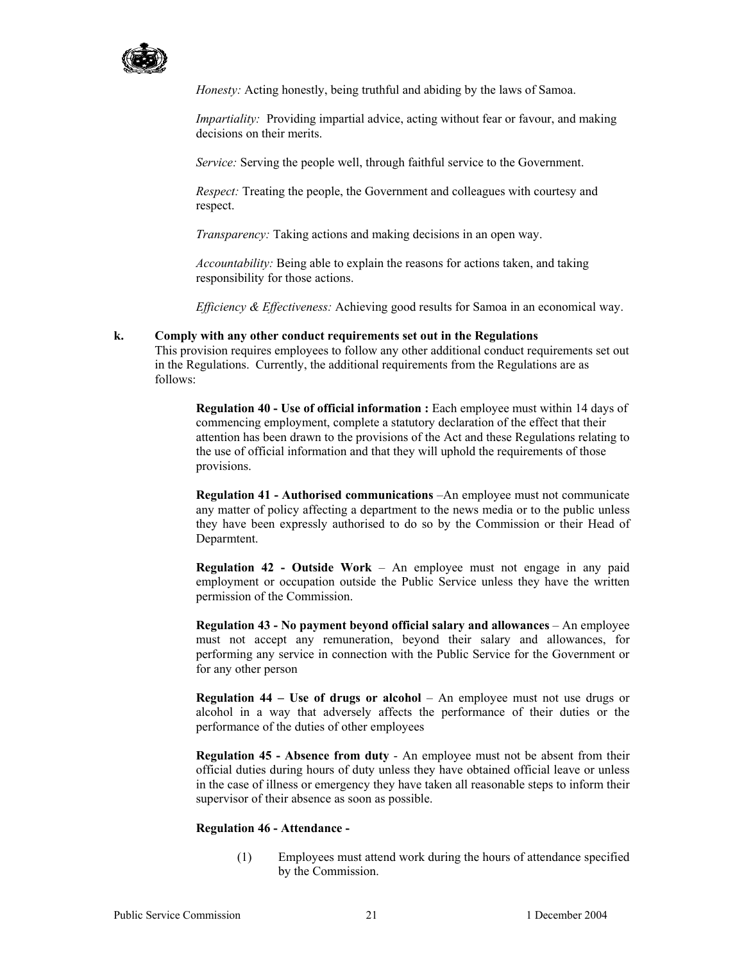

*Honesty:* Acting honestly, being truthful and abiding by the laws of Samoa.

*Impartiality:* Providing impartial advice, acting without fear or favour, and making decisions on their merits.

*Service:* Serving the people well, through faithful service to the Government.

*Respect:* Treating the people, the Government and colleagues with courtesy and respect.

*Transparency:* Taking actions and making decisions in an open way.

*Accountability:* Being able to explain the reasons for actions taken, and taking responsibility for those actions.

*Efficiency & Effectiveness:* Achieving good results for Samoa in an economical way.

#### **k. Comply with any other conduct requirements set out in the Regulations**

This provision requires employees to follow any other additional conduct requirements set out in the Regulations. Currently, the additional requirements from the Regulations are as follows:

**Regulation 40 - Use of official information :** Each employee must within 14 days of commencing employment, complete a statutory declaration of the effect that their attention has been drawn to the provisions of the Act and these Regulations relating to the use of official information and that they will uphold the requirements of those provisions.

**Regulation 41 - Authorised communications** –An employee must not communicate any matter of policy affecting a department to the news media or to the public unless they have been expressly authorised to do so by the Commission or their Head of Deparmtent.

**Regulation 42 - Outside Work** – An employee must not engage in any paid employment or occupation outside the Public Service unless they have the written permission of the Commission.

**Regulation 43 - No payment beyond official salary and allowances** – An employee must not accept any remuneration, beyond their salary and allowances, for performing any service in connection with the Public Service for the Government or for any other person

**Regulation 44 – Use of drugs or alcohol** – An employee must not use drugs or alcohol in a way that adversely affects the performance of their duties or the performance of the duties of other employees

**Regulation 45 - Absence from duty** - An employee must not be absent from their official duties during hours of duty unless they have obtained official leave or unless in the case of illness or emergency they have taken all reasonable steps to inform their supervisor of their absence as soon as possible.

#### **Regulation 46 - Attendance -**

(1) Employees must attend work during the hours of attendance specified by the Commission.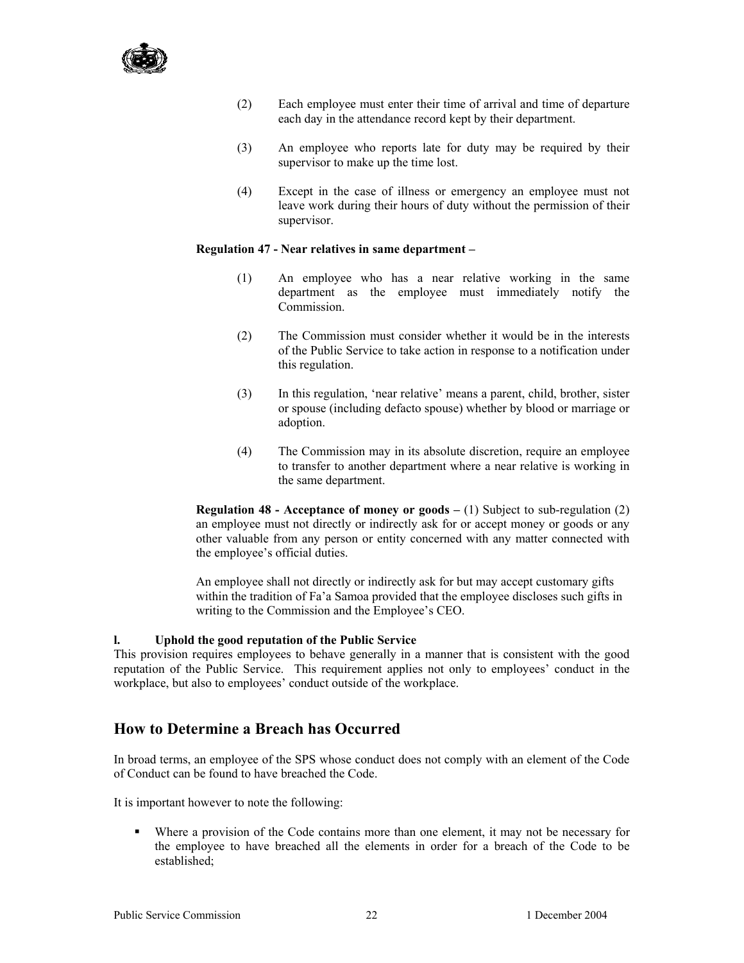

- (2) Each employee must enter their time of arrival and time of departure each day in the attendance record kept by their department.
- (3) An employee who reports late for duty may be required by their supervisor to make up the time lost.
- (4) Except in the case of illness or emergency an employee must not leave work during their hours of duty without the permission of their supervisor.

#### **Regulation 47 - Near relatives in same department –**

- (1) An employee who has a near relative working in the same department as the employee must immediately notify the Commission.
- (2) The Commission must consider whether it would be in the interests of the Public Service to take action in response to a notification under this regulation.
- (3) In this regulation, 'near relative' means a parent, child, brother, sister or spouse (including defacto spouse) whether by blood or marriage or adoption.
- (4) The Commission may in its absolute discretion, require an employee to transfer to another department where a near relative is working in the same department.

**Regulation 48 - Acceptance of money or goods – (1)** Subject to sub-regulation (2) an employee must not directly or indirectly ask for or accept money or goods or any other valuable from any person or entity concerned with any matter connected with the employee's official duties.

An employee shall not directly or indirectly ask for but may accept customary gifts within the tradition of Fa'a Samoa provided that the employee discloses such gifts in writing to the Commission and the Employee's CEO.

#### **l. Uphold the good reputation of the Public Service**

This provision requires employees to behave generally in a manner that is consistent with the good reputation of the Public Service. This requirement applies not only to employees' conduct in the workplace, but also to employees' conduct outside of the workplace.

### **How to Determine a Breach has Occurred**

In broad terms, an employee of the SPS whose conduct does not comply with an element of the Code of Conduct can be found to have breached the Code.

It is important however to note the following:

 Where a provision of the Code contains more than one element, it may not be necessary for the employee to have breached all the elements in order for a breach of the Code to be established;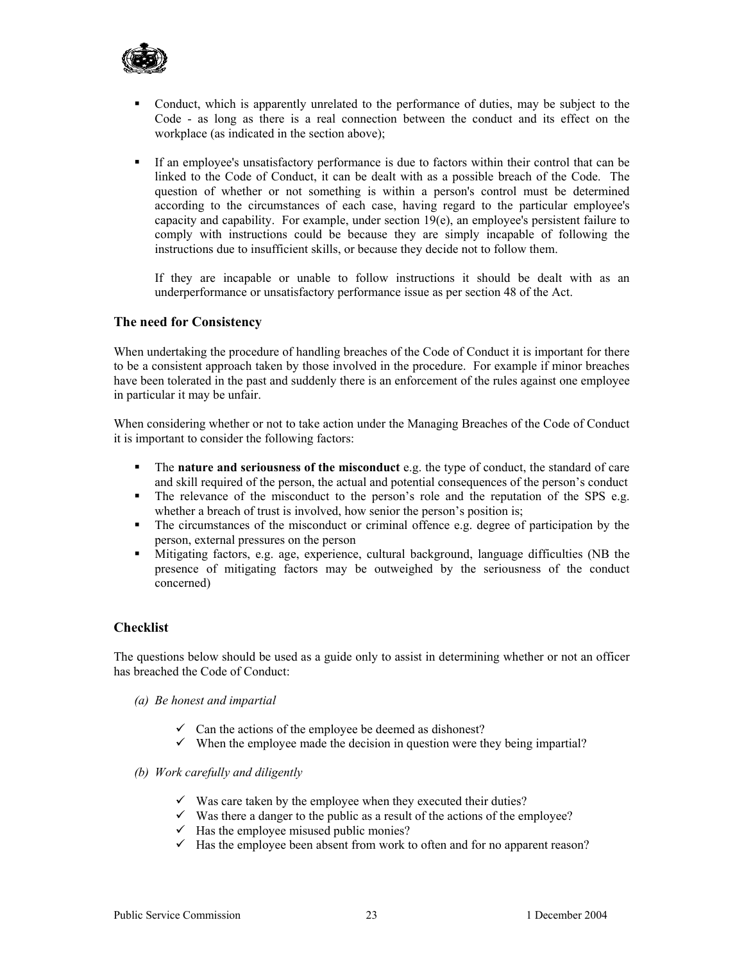

- Conduct, which is apparently unrelated to the performance of duties, may be subject to the Code - as long as there is a real connection between the conduct and its effect on the workplace (as indicated in the section above);
- If an employee's unsatisfactory performance is due to factors within their control that can be linked to the Code of Conduct, it can be dealt with as a possible breach of the Code. The question of whether or not something is within a person's control must be determined according to the circumstances of each case, having regard to the particular employee's capacity and capability. For example, under section 19(e), an employee's persistent failure to comply with instructions could be because they are simply incapable of following the instructions due to insufficient skills, or because they decide not to follow them.

If they are incapable or unable to follow instructions it should be dealt with as an underperformance or unsatisfactory performance issue as per section 48 of the Act.

#### **The need for Consistency**

When undertaking the procedure of handling breaches of the Code of Conduct it is important for there to be a consistent approach taken by those involved in the procedure. For example if minor breaches have been tolerated in the past and suddenly there is an enforcement of the rules against one employee in particular it may be unfair.

When considering whether or not to take action under the Managing Breaches of the Code of Conduct it is important to consider the following factors:

- The **nature and seriousness of the misconduct** e.g. the type of conduct, the standard of care and skill required of the person, the actual and potential consequences of the person's conduct
- $\blacksquare$  The relevance of the misconduct to the person's role and the reputation of the SPS e.g. whether a breach of trust is involved, how senior the person's position is;
- The circumstances of the misconduct or criminal offence e.g. degree of participation by the person, external pressures on the person
- Mitigating factors, e.g. age, experience, cultural background, language difficulties (NB the presence of mitigating factors may be outweighed by the seriousness of the conduct concerned)

#### **Checklist**

The questions below should be used as a guide only to assist in determining whether or not an officer has breached the Code of Conduct:

- *(a) Be honest and impartial* 
	- $\checkmark$  Can the actions of the employee be deemed as dishonest?
	- $\checkmark$  When the employee made the decision in question were they being impartial?
- *(b) Work carefully and diligently* 
	- $\checkmark$  Was care taken by the employee when they executed their duties?
	- $\checkmark$  Was there a danger to the public as a result of the actions of the employee?
	- $\checkmark$  Has the employee misused public monies?
	- $\checkmark$  Has the employee been absent from work to often and for no apparent reason?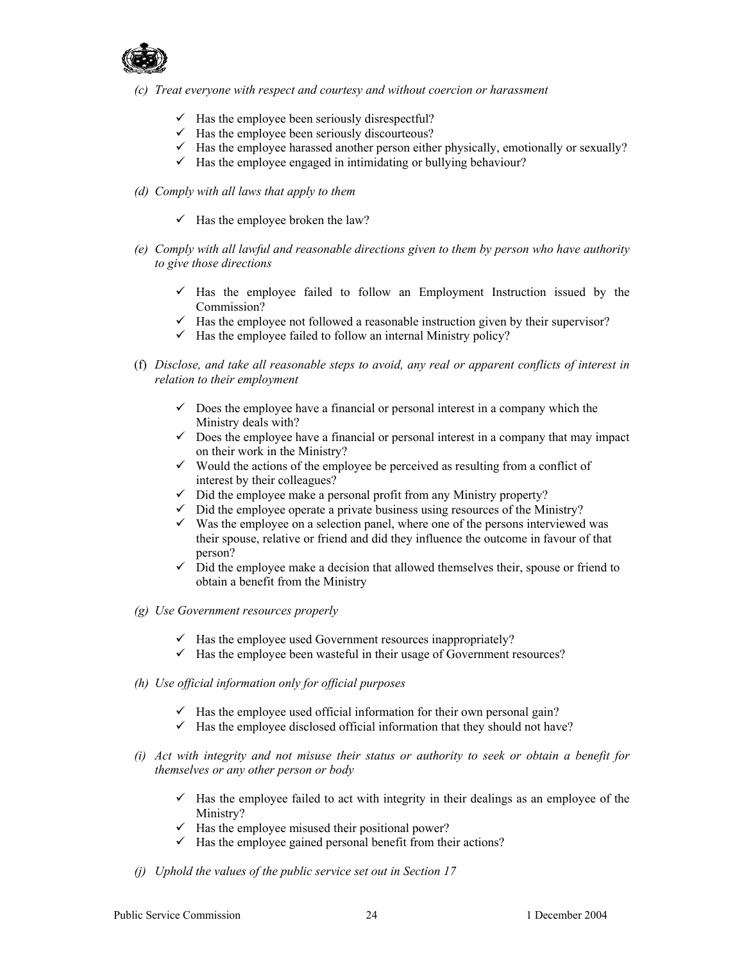

*(c) Treat everyone with respect and courtesy and without coercion or harassment* 

- $\checkmark$  Has the employee been seriously disrespectful?
- $\checkmark$  Has the employee been seriously discourteous?
- $\checkmark$  Has the employee harassed another person either physically, emotionally or sexually?
- $\checkmark$  Has the employee engaged in intimidating or bullying behaviour?
- *(d) Comply with all laws that apply to them* 
	- $\checkmark$  Has the employee broken the law?
- *(e) Comply with all lawful and reasonable directions given to them by person who have authority to give those directions* 
	- $\checkmark$  Has the employee failed to follow an Employment Instruction issued by the Commission?
	- $\checkmark$  Has the employee not followed a reasonable instruction given by their supervisor?
	- $\checkmark$  Has the employee failed to follow an internal Ministry policy?
- (f) *Disclose, and take all reasonable steps to avoid, any real or apparent conflicts of interest in relation to their employment*
	- $\checkmark$  Does the employee have a financial or personal interest in a company which the Ministry deals with?
	- $\checkmark$  Does the employee have a financial or personal interest in a company that may impact on their work in the Ministry?
	- $\checkmark$  Would the actions of the employee be perceived as resulting from a conflict of interest by their colleagues?
	- $\checkmark$  Did the employee make a personal profit from any Ministry property?
	- $\checkmark$  Did the employee operate a private business using resources of the Ministry?
	- $\checkmark$  Was the employee on a selection panel, where one of the persons interviewed was their spouse, relative or friend and did they influence the outcome in favour of that person?
	- $\checkmark$  Did the employee make a decision that allowed themselves their, spouse or friend to obtain a benefit from the Ministry
- *(g) Use Government resources properly* 
	- $\checkmark$  Has the employee used Government resources inappropriately?
	- $\checkmark$  Has the employee been wasteful in their usage of Government resources?
- *(h) Use official information only for official purposes* 
	- $\checkmark$  Has the employee used official information for their own personal gain?
	- $\checkmark$  Has the employee disclosed official information that they should not have?
- *(i) Act with integrity and not misuse their status or authority to seek or obtain a benefit for themselves or any other person or body* 
	- $\checkmark$  Has the employee failed to act with integrity in their dealings as an employee of the Ministry?
	- $\checkmark$  Has the employee misused their positional power?
	- $\checkmark$  Has the employee gained personal benefit from their actions?
- *(j) Uphold the values of the public service set out in Section 17*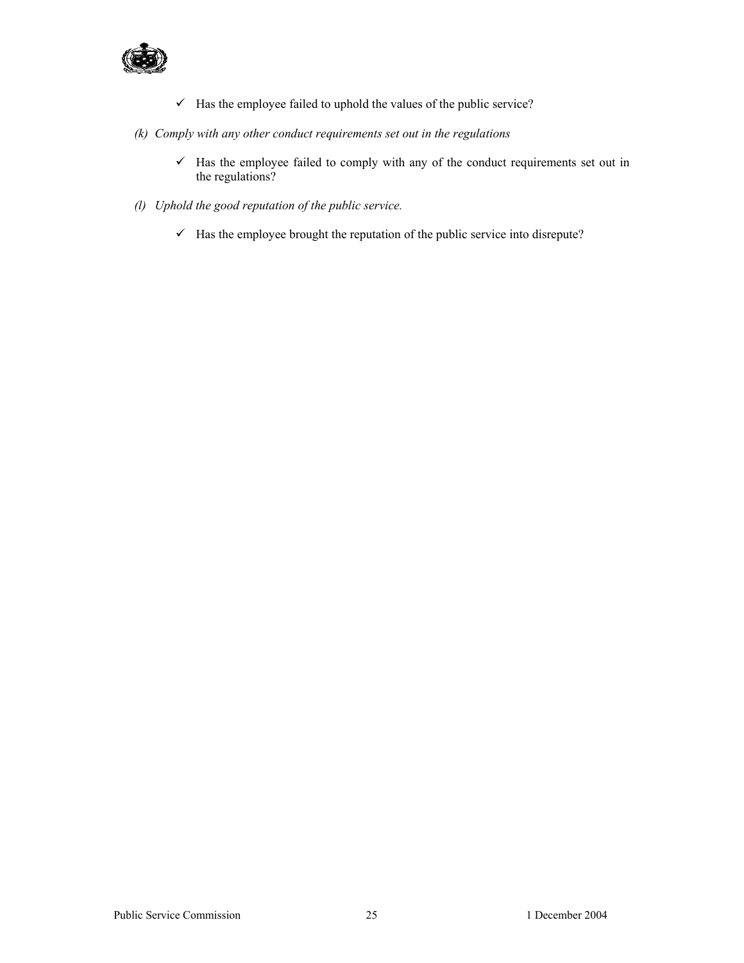

- $\checkmark$  Has the employee failed to uphold the values of the public service?
- *(k) Comply with any other conduct requirements set out in the regulations* 
	- $\checkmark$  Has the employee failed to comply with any of the conduct requirements set out in the regulations?
- *(l) Uphold the good reputation of the public service.* 
	- $\checkmark$  Has the employee brought the reputation of the public service into disrepute?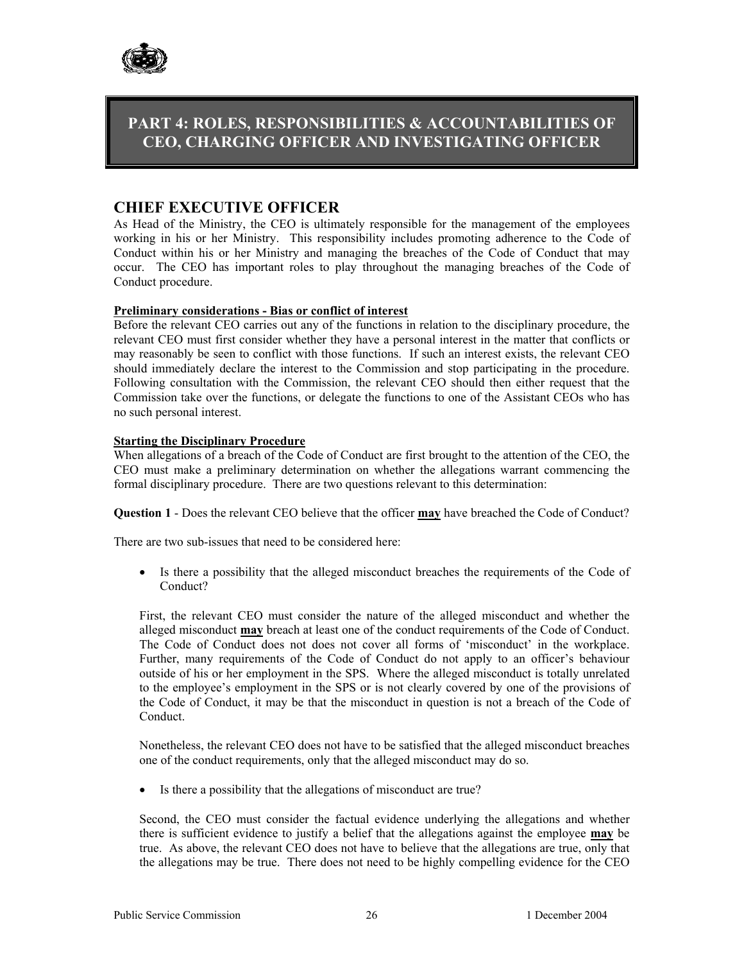

# **PART 4: ROLES, RESPONSIBILITIES & ACCOUNTABILITIES OF CEO, CHARGING OFFICER AND INVESTIGATING OFFICER**

### **CHIEF EXECUTIVE OFFICER**

As Head of the Ministry, the CEO is ultimately responsible for the management of the employees working in his or her Ministry. This responsibility includes promoting adherence to the Code of Conduct within his or her Ministry and managing the breaches of the Code of Conduct that may occur. The CEO has important roles to play throughout the managing breaches of the Code of Conduct procedure.

#### **Preliminary considerations - Bias or conflict of interest**

Before the relevant CEO carries out any of the functions in relation to the disciplinary procedure, the relevant CEO must first consider whether they have a personal interest in the matter that conflicts or may reasonably be seen to conflict with those functions. If such an interest exists, the relevant CEO should immediately declare the interest to the Commission and stop participating in the procedure. Following consultation with the Commission, the relevant CEO should then either request that the Commission take over the functions, or delegate the functions to one of the Assistant CEOs who has no such personal interest.

#### **Starting the Disciplinary Procedure**

When allegations of a breach of the Code of Conduct are first brought to the attention of the CEO, the CEO must make a preliminary determination on whether the allegations warrant commencing the formal disciplinary procedure. There are two questions relevant to this determination:

**Question 1** - Does the relevant CEO believe that the officer **may** have breached the Code of Conduct?

There are two sub-issues that need to be considered here:

• Is there a possibility that the alleged misconduct breaches the requirements of the Code of Conduct?

First, the relevant CEO must consider the nature of the alleged misconduct and whether the alleged misconduct **may** breach at least one of the conduct requirements of the Code of Conduct. The Code of Conduct does not does not cover all forms of 'misconduct' in the workplace. Further, many requirements of the Code of Conduct do not apply to an officer's behaviour outside of his or her employment in the SPS. Where the alleged misconduct is totally unrelated to the employee's employment in the SPS or is not clearly covered by one of the provisions of the Code of Conduct, it may be that the misconduct in question is not a breach of the Code of Conduct.

Nonetheless, the relevant CEO does not have to be satisfied that the alleged misconduct breaches one of the conduct requirements, only that the alleged misconduct may do so.

• Is there a possibility that the allegations of misconduct are true?

Second, the CEO must consider the factual evidence underlying the allegations and whether there is sufficient evidence to justify a belief that the allegations against the employee **may** be true. As above, the relevant CEO does not have to believe that the allegations are true, only that the allegations may be true. There does not need to be highly compelling evidence for the CEO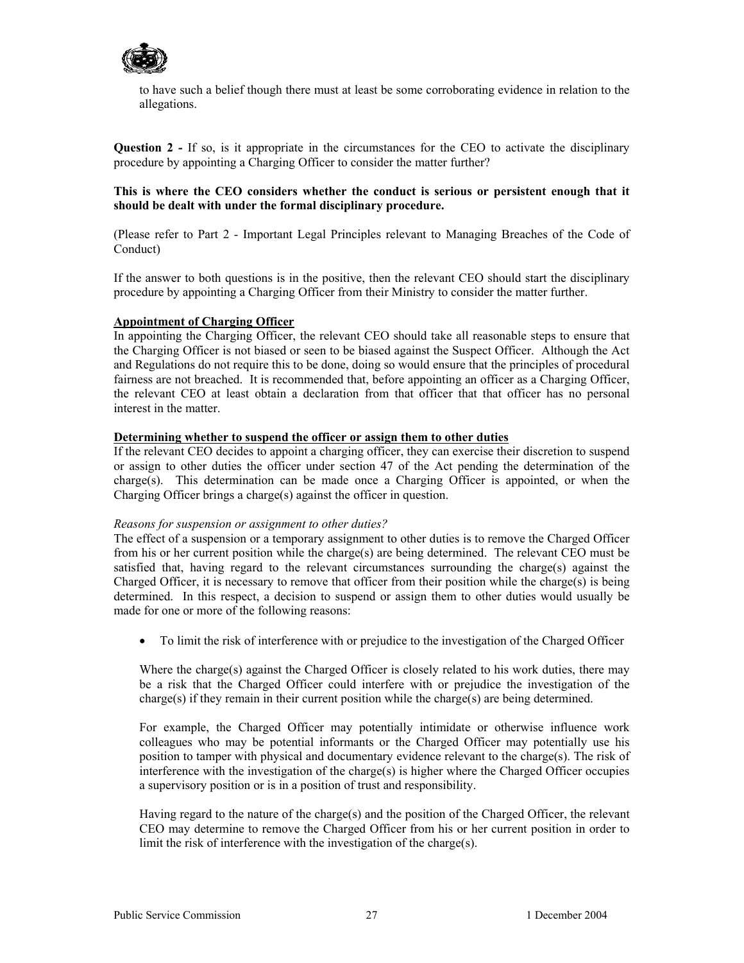

to have such a belief though there must at least be some corroborating evidence in relation to the allegations.

**Question 2 -** If so, is it appropriate in the circumstances for the CEO to activate the disciplinary procedure by appointing a Charging Officer to consider the matter further?

#### **This is where the CEO considers whether the conduct is serious or persistent enough that it should be dealt with under the formal disciplinary procedure.**

(Please refer to Part 2 - Important Legal Principles relevant to Managing Breaches of the Code of Conduct)

If the answer to both questions is in the positive, then the relevant CEO should start the disciplinary procedure by appointing a Charging Officer from their Ministry to consider the matter further.

#### **Appointment of Charging Officer**

In appointing the Charging Officer, the relevant CEO should take all reasonable steps to ensure that the Charging Officer is not biased or seen to be biased against the Suspect Officer. Although the Act and Regulations do not require this to be done, doing so would ensure that the principles of procedural fairness are not breached. It is recommended that, before appointing an officer as a Charging Officer, the relevant CEO at least obtain a declaration from that officer that that officer has no personal interest in the matter.

### **Determining whether to suspend the officer or assign them to other duties**

If the relevant CEO decides to appoint a charging officer, they can exercise their discretion to suspend or assign to other duties the officer under section 47 of the Act pending the determination of the charge(s). This determination can be made once a Charging Officer is appointed, or when the Charging Officer brings a charge(s) against the officer in question.

#### *Reasons for suspension or assignment to other duties?*

The effect of a suspension or a temporary assignment to other duties is to remove the Charged Officer from his or her current position while the charge(s) are being determined. The relevant CEO must be satisfied that, having regard to the relevant circumstances surrounding the charge(s) against the Charged Officer, it is necessary to remove that officer from their position while the charge(s) is being determined. In this respect, a decision to suspend or assign them to other duties would usually be made for one or more of the following reasons:

• To limit the risk of interference with or prejudice to the investigation of the Charged Officer

Where the charge(s) against the Charged Officer is closely related to his work duties, there may be a risk that the Charged Officer could interfere with or prejudice the investigation of the charge(s) if they remain in their current position while the charge(s) are being determined.

For example, the Charged Officer may potentially intimidate or otherwise influence work colleagues who may be potential informants or the Charged Officer may potentially use his position to tamper with physical and documentary evidence relevant to the charge(s). The risk of interference with the investigation of the charge(s) is higher where the Charged Officer occupies a supervisory position or is in a position of trust and responsibility.

Having regard to the nature of the charge(s) and the position of the Charged Officer, the relevant CEO may determine to remove the Charged Officer from his or her current position in order to limit the risk of interference with the investigation of the charge(s).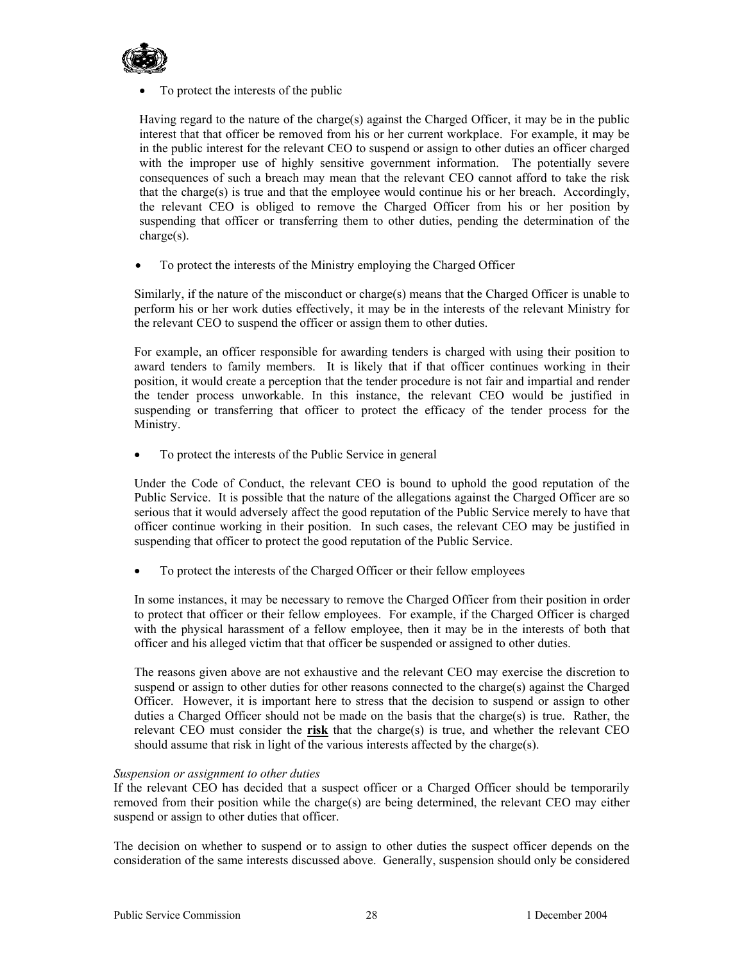

• To protect the interests of the public

Having regard to the nature of the charge(s) against the Charged Officer, it may be in the public interest that that officer be removed from his or her current workplace. For example, it may be in the public interest for the relevant CEO to suspend or assign to other duties an officer charged with the improper use of highly sensitive government information. The potentially severe consequences of such a breach may mean that the relevant CEO cannot afford to take the risk that the charge(s) is true and that the employee would continue his or her breach. Accordingly, the relevant CEO is obliged to remove the Charged Officer from his or her position by suspending that officer or transferring them to other duties, pending the determination of the charge(s).

• To protect the interests of the Ministry employing the Charged Officer

Similarly, if the nature of the misconduct or charge(s) means that the Charged Officer is unable to perform his or her work duties effectively, it may be in the interests of the relevant Ministry for the relevant CEO to suspend the officer or assign them to other duties.

For example, an officer responsible for awarding tenders is charged with using their position to award tenders to family members. It is likely that if that officer continues working in their position, it would create a perception that the tender procedure is not fair and impartial and render the tender process unworkable. In this instance, the relevant CEO would be justified in suspending or transferring that officer to protect the efficacy of the tender process for the Ministry.

• To protect the interests of the Public Service in general

Under the Code of Conduct, the relevant CEO is bound to uphold the good reputation of the Public Service. It is possible that the nature of the allegations against the Charged Officer are so serious that it would adversely affect the good reputation of the Public Service merely to have that officer continue working in their position. In such cases, the relevant CEO may be justified in suspending that officer to protect the good reputation of the Public Service.

• To protect the interests of the Charged Officer or their fellow employees

In some instances, it may be necessary to remove the Charged Officer from their position in order to protect that officer or their fellow employees. For example, if the Charged Officer is charged with the physical harassment of a fellow employee, then it may be in the interests of both that officer and his alleged victim that that officer be suspended or assigned to other duties.

The reasons given above are not exhaustive and the relevant CEO may exercise the discretion to suspend or assign to other duties for other reasons connected to the charge(s) against the Charged Officer. However, it is important here to stress that the decision to suspend or assign to other duties a Charged Officer should not be made on the basis that the charge(s) is true. Rather, the relevant CEO must consider the **risk** that the charge(s) is true, and whether the relevant CEO should assume that risk in light of the various interests affected by the charge(s).

#### *Suspension or assignment to other duties*

If the relevant CEO has decided that a suspect officer or a Charged Officer should be temporarily removed from their position while the charge(s) are being determined, the relevant CEO may either suspend or assign to other duties that officer.

The decision on whether to suspend or to assign to other duties the suspect officer depends on the consideration of the same interests discussed above. Generally, suspension should only be considered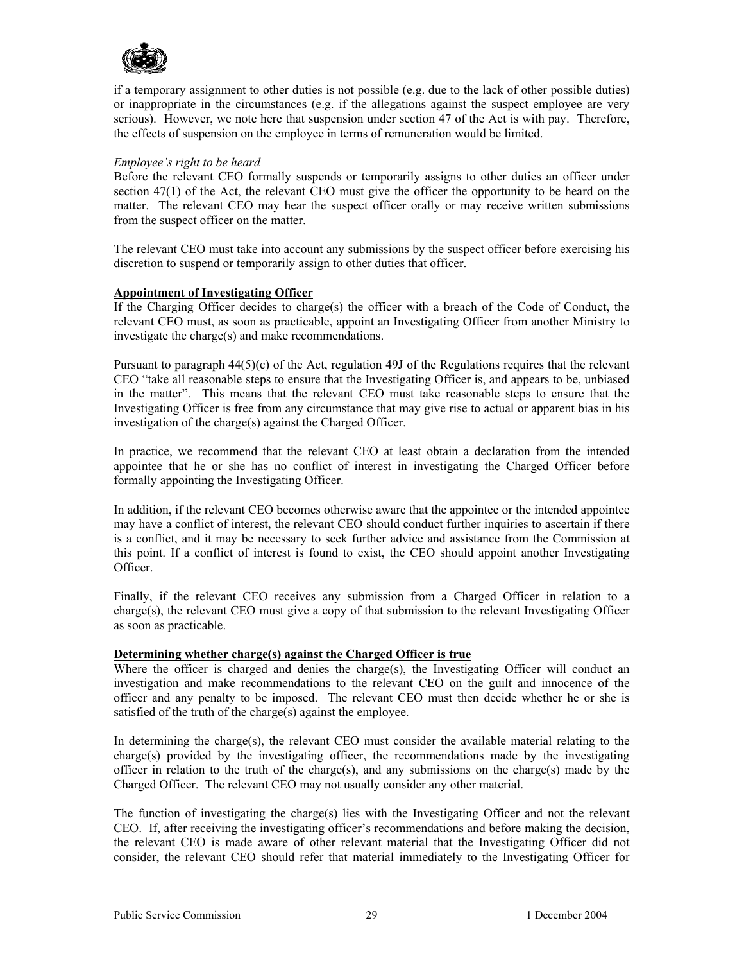

if a temporary assignment to other duties is not possible (e.g. due to the lack of other possible duties) or inappropriate in the circumstances (e.g. if the allegations against the suspect employee are very serious). However, we note here that suspension under section 47 of the Act is with pay. Therefore, the effects of suspension on the employee in terms of remuneration would be limited.

#### *Employee's right to be heard*

Before the relevant CEO formally suspends or temporarily assigns to other duties an officer under section 47(1) of the Act, the relevant CEO must give the officer the opportunity to be heard on the matter. The relevant CEO may hear the suspect officer orally or may receive written submissions from the suspect officer on the matter.

The relevant CEO must take into account any submissions by the suspect officer before exercising his discretion to suspend or temporarily assign to other duties that officer.

#### **Appointment of Investigating Officer**

If the Charging Officer decides to charge(s) the officer with a breach of the Code of Conduct, the relevant CEO must, as soon as practicable, appoint an Investigating Officer from another Ministry to investigate the charge(s) and make recommendations.

Pursuant to paragraph 44(5)(c) of the Act, regulation 49J of the Regulations requires that the relevant CEO "take all reasonable steps to ensure that the Investigating Officer is, and appears to be, unbiased in the matter". This means that the relevant CEO must take reasonable steps to ensure that the Investigating Officer is free from any circumstance that may give rise to actual or apparent bias in his investigation of the charge(s) against the Charged Officer.

In practice, we recommend that the relevant CEO at least obtain a declaration from the intended appointee that he or she has no conflict of interest in investigating the Charged Officer before formally appointing the Investigating Officer.

In addition, if the relevant CEO becomes otherwise aware that the appointee or the intended appointee may have a conflict of interest, the relevant CEO should conduct further inquiries to ascertain if there is a conflict, and it may be necessary to seek further advice and assistance from the Commission at this point. If a conflict of interest is found to exist, the CEO should appoint another Investigating Officer.

Finally, if the relevant CEO receives any submission from a Charged Officer in relation to a charge(s), the relevant CEO must give a copy of that submission to the relevant Investigating Officer as soon as practicable.

#### **Determining whether charge(s) against the Charged Officer is true**

Where the officer is charged and denies the charge(s), the Investigating Officer will conduct an investigation and make recommendations to the relevant CEO on the guilt and innocence of the officer and any penalty to be imposed. The relevant CEO must then decide whether he or she is satisfied of the truth of the charge(s) against the employee.

In determining the charge(s), the relevant CEO must consider the available material relating to the charge(s) provided by the investigating officer, the recommendations made by the investigating officer in relation to the truth of the charge(s), and any submissions on the charge(s) made by the Charged Officer. The relevant CEO may not usually consider any other material.

The function of investigating the charge(s) lies with the Investigating Officer and not the relevant CEO. If, after receiving the investigating officer's recommendations and before making the decision, the relevant CEO is made aware of other relevant material that the Investigating Officer did not consider, the relevant CEO should refer that material immediately to the Investigating Officer for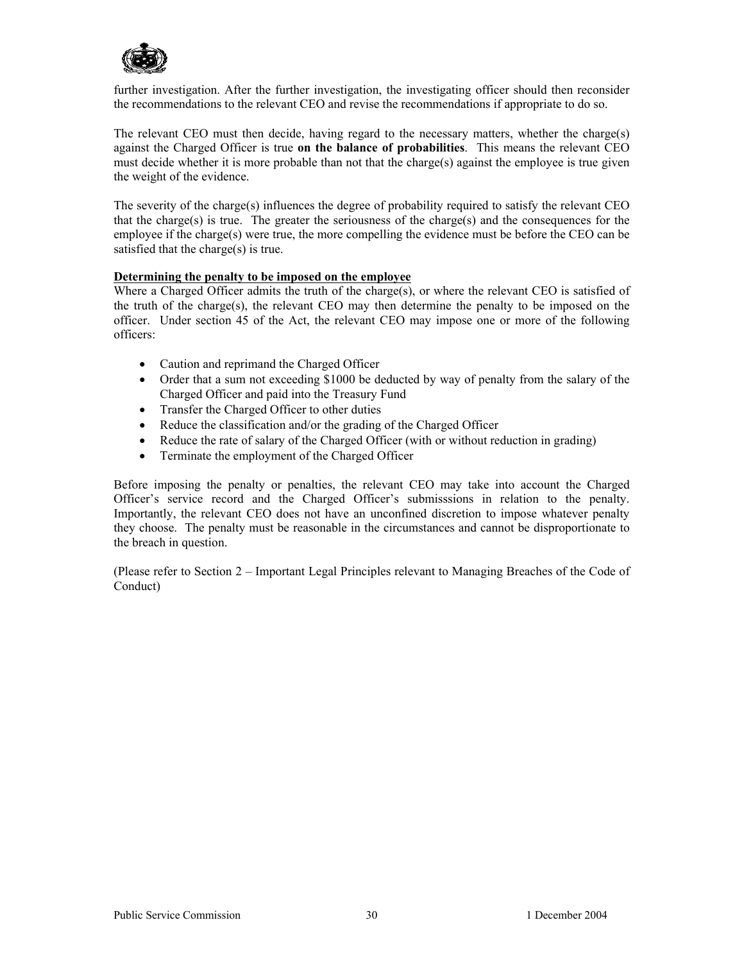

further investigation. After the further investigation, the investigating officer should then reconsider the recommendations to the relevant CEO and revise the recommendations if appropriate to do so.

The relevant CEO must then decide, having regard to the necessary matters, whether the charge(s) against the Charged Officer is true **on the balance of probabilities**. This means the relevant CEO must decide whether it is more probable than not that the charge(s) against the employee is true given the weight of the evidence.

The severity of the charge(s) influences the degree of probability required to satisfy the relevant CEO that the charge(s) is true. The greater the seriousness of the charge(s) and the consequences for the employee if the charge(s) were true, the more compelling the evidence must be before the CEO can be satisfied that the charge(s) is true.

#### **Determining the penalty to be imposed on the employee**

Where a Charged Officer admits the truth of the charge(s), or where the relevant CEO is satisfied of the truth of the charge(s), the relevant CEO may then determine the penalty to be imposed on the officer. Under section 45 of the Act, the relevant CEO may impose one or more of the following officers:

- Caution and reprimand the Charged Officer
- Order that a sum not exceeding \$1000 be deducted by way of penalty from the salary of the Charged Officer and paid into the Treasury Fund
- Transfer the Charged Officer to other duties
- Reduce the classification and/or the grading of the Charged Officer
- Reduce the rate of salary of the Charged Officer (with or without reduction in grading)
- Terminate the employment of the Charged Officer

Before imposing the penalty or penalties, the relevant CEO may take into account the Charged Officer's service record and the Charged Officer's submisssions in relation to the penalty. Importantly, the relevant CEO does not have an unconfined discretion to impose whatever penalty they choose. The penalty must be reasonable in the circumstances and cannot be disproportionate to the breach in question.

(Please refer to Section 2 – Important Legal Principles relevant to Managing Breaches of the Code of Conduct)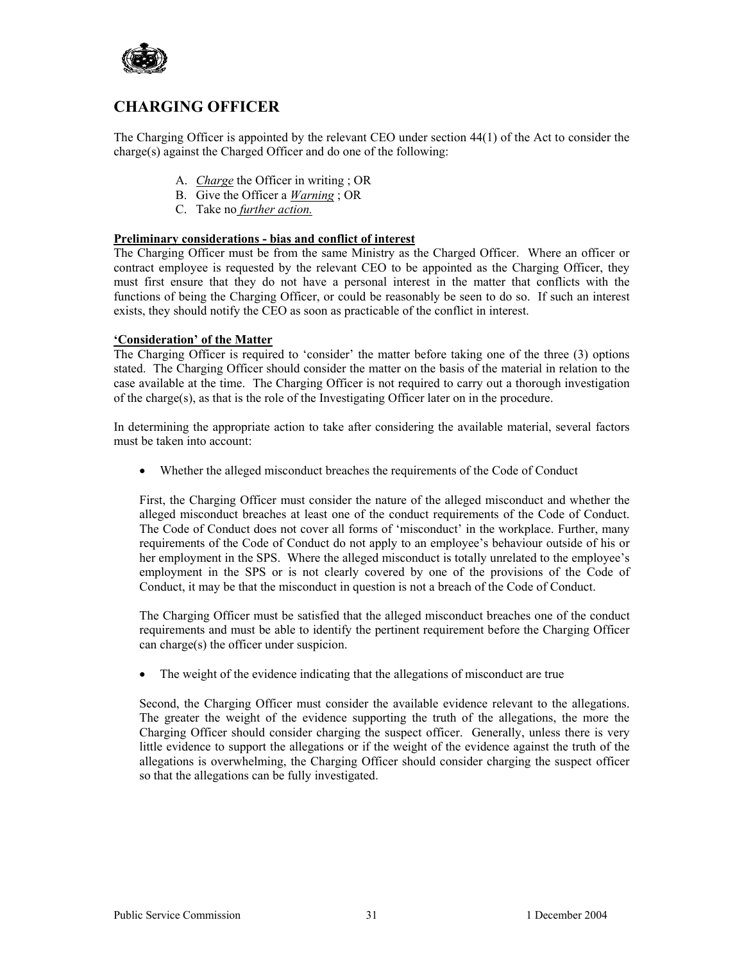

# **CHARGING OFFICER**

The Charging Officer is appointed by the relevant CEO under section 44(1) of the Act to consider the charge(s) against the Charged Officer and do one of the following:

- A. *Charge* the Officer in writing ; OR
- B. Give the Officer a *Warning* ; OR
- C. Take no *further action.*

#### **Preliminary considerations - bias and conflict of interest**

The Charging Officer must be from the same Ministry as the Charged Officer. Where an officer or contract employee is requested by the relevant CEO to be appointed as the Charging Officer, they must first ensure that they do not have a personal interest in the matter that conflicts with the functions of being the Charging Officer, or could be reasonably be seen to do so. If such an interest exists, they should notify the CEO as soon as practicable of the conflict in interest.

#### **'Consideration' of the Matter**

The Charging Officer is required to 'consider' the matter before taking one of the three (3) options stated. The Charging Officer should consider the matter on the basis of the material in relation to the case available at the time. The Charging Officer is not required to carry out a thorough investigation of the charge(s), as that is the role of the Investigating Officer later on in the procedure.

In determining the appropriate action to take after considering the available material, several factors must be taken into account:

• Whether the alleged misconduct breaches the requirements of the Code of Conduct

First, the Charging Officer must consider the nature of the alleged misconduct and whether the alleged misconduct breaches at least one of the conduct requirements of the Code of Conduct. The Code of Conduct does not cover all forms of 'misconduct' in the workplace. Further, many requirements of the Code of Conduct do not apply to an employee's behaviour outside of his or her employment in the SPS. Where the alleged misconduct is totally unrelated to the employee's employment in the SPS or is not clearly covered by one of the provisions of the Code of Conduct, it may be that the misconduct in question is not a breach of the Code of Conduct.

The Charging Officer must be satisfied that the alleged misconduct breaches one of the conduct requirements and must be able to identify the pertinent requirement before the Charging Officer can charge(s) the officer under suspicion.

• The weight of the evidence indicating that the allegations of misconduct are true

Second, the Charging Officer must consider the available evidence relevant to the allegations. The greater the weight of the evidence supporting the truth of the allegations, the more the Charging Officer should consider charging the suspect officer. Generally, unless there is very little evidence to support the allegations or if the weight of the evidence against the truth of the allegations is overwhelming, the Charging Officer should consider charging the suspect officer so that the allegations can be fully investigated.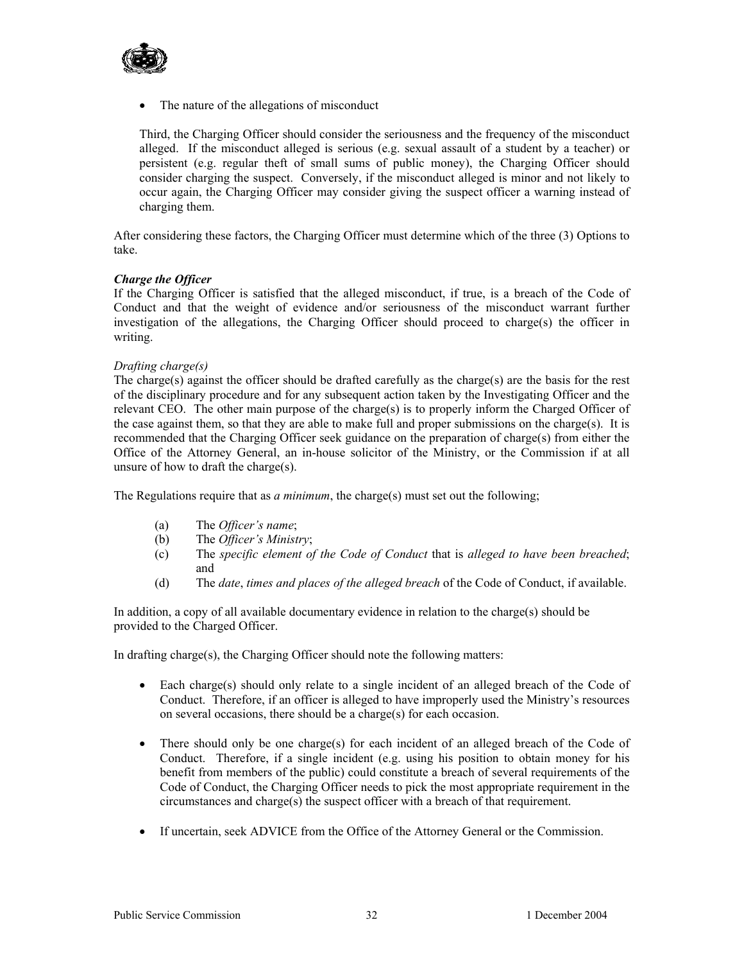

• The nature of the allegations of misconduct

Third, the Charging Officer should consider the seriousness and the frequency of the misconduct alleged. If the misconduct alleged is serious (e.g. sexual assault of a student by a teacher) or persistent (e.g. regular theft of small sums of public money), the Charging Officer should consider charging the suspect. Conversely, if the misconduct alleged is minor and not likely to occur again, the Charging Officer may consider giving the suspect officer a warning instead of charging them.

After considering these factors, the Charging Officer must determine which of the three (3) Options to take.

#### *Charge the Officer*

If the Charging Officer is satisfied that the alleged misconduct, if true, is a breach of the Code of Conduct and that the weight of evidence and/or seriousness of the misconduct warrant further investigation of the allegations, the Charging Officer should proceed to charge(s) the officer in writing.

#### *Drafting charge(s)*

The charge(s) against the officer should be drafted carefully as the charge(s) are the basis for the rest of the disciplinary procedure and for any subsequent action taken by the Investigating Officer and the relevant CEO. The other main purpose of the charge(s) is to properly inform the Charged Officer of the case against them, so that they are able to make full and proper submissions on the charge(s). It is recommended that the Charging Officer seek guidance on the preparation of charge(s) from either the Office of the Attorney General, an in-house solicitor of the Ministry, or the Commission if at all unsure of how to draft the charge(s).

The Regulations require that as *a minimum*, the charge(s) must set out the following;

- (a) The *Officer's name*;
- (b) The *Officer's Ministry*;
- (c) The *specific element of the Code of Conduct* that is *alleged to have been breached*; and
- (d) The *date*, *times and places of the alleged breach* of the Code of Conduct, if available.

In addition, a copy of all available documentary evidence in relation to the charge(s) should be provided to the Charged Officer.

In drafting charge(s), the Charging Officer should note the following matters:

- Each charge(s) should only relate to a single incident of an alleged breach of the Code of Conduct. Therefore, if an officer is alleged to have improperly used the Ministry's resources on several occasions, there should be a charge(s) for each occasion.
- There should only be one charge(s) for each incident of an alleged breach of the Code of Conduct. Therefore, if a single incident (e.g. using his position to obtain money for his benefit from members of the public) could constitute a breach of several requirements of the Code of Conduct, the Charging Officer needs to pick the most appropriate requirement in the circumstances and charge(s) the suspect officer with a breach of that requirement.
- If uncertain, seek ADVICE from the Office of the Attorney General or the Commission.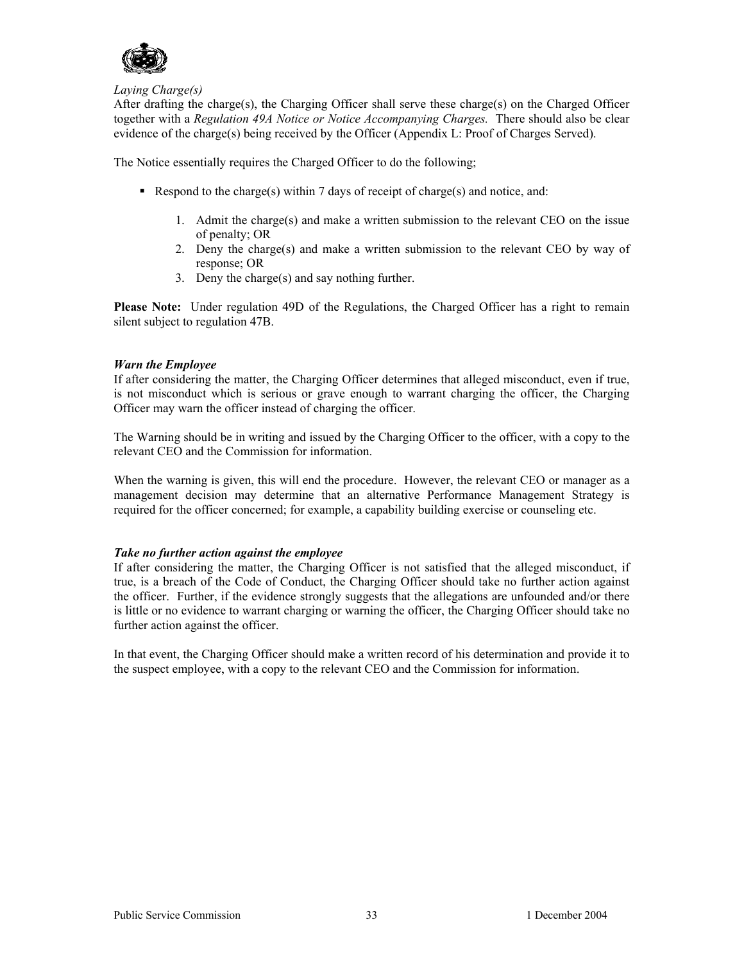

#### *Laying Charge(s)*

After drafting the charge(s), the Charging Officer shall serve these charge(s) on the Charged Officer together with a *Regulation 49A Notice or Notice Accompanying Charges.* There should also be clear evidence of the charge(s) being received by the Officer (Appendix L: Proof of Charges Served).

The Notice essentially requires the Charged Officer to do the following;

- Respond to the charge(s) within 7 days of receipt of charge(s) and notice, and:
	- 1. Admit the charge(s) and make a written submission to the relevant CEO on the issue of penalty; OR
	- 2. Deny the charge(s) and make a written submission to the relevant CEO by way of response; OR
	- 3. Deny the charge(s) and say nothing further.

**Please Note:** Under regulation 49D of the Regulations, the Charged Officer has a right to remain silent subject to regulation 47B.

#### *Warn the Employee*

If after considering the matter, the Charging Officer determines that alleged misconduct, even if true, is not misconduct which is serious or grave enough to warrant charging the officer, the Charging Officer may warn the officer instead of charging the officer.

The Warning should be in writing and issued by the Charging Officer to the officer, with a copy to the relevant CEO and the Commission for information.

When the warning is given, this will end the procedure. However, the relevant CEO or manager as a management decision may determine that an alternative Performance Management Strategy is required for the officer concerned; for example, a capability building exercise or counseling etc.

#### *Take no further action against the employee*

If after considering the matter, the Charging Officer is not satisfied that the alleged misconduct, if true, is a breach of the Code of Conduct, the Charging Officer should take no further action against the officer. Further, if the evidence strongly suggests that the allegations are unfounded and/or there is little or no evidence to warrant charging or warning the officer, the Charging Officer should take no further action against the officer.

In that event, the Charging Officer should make a written record of his determination and provide it to the suspect employee, with a copy to the relevant CEO and the Commission for information.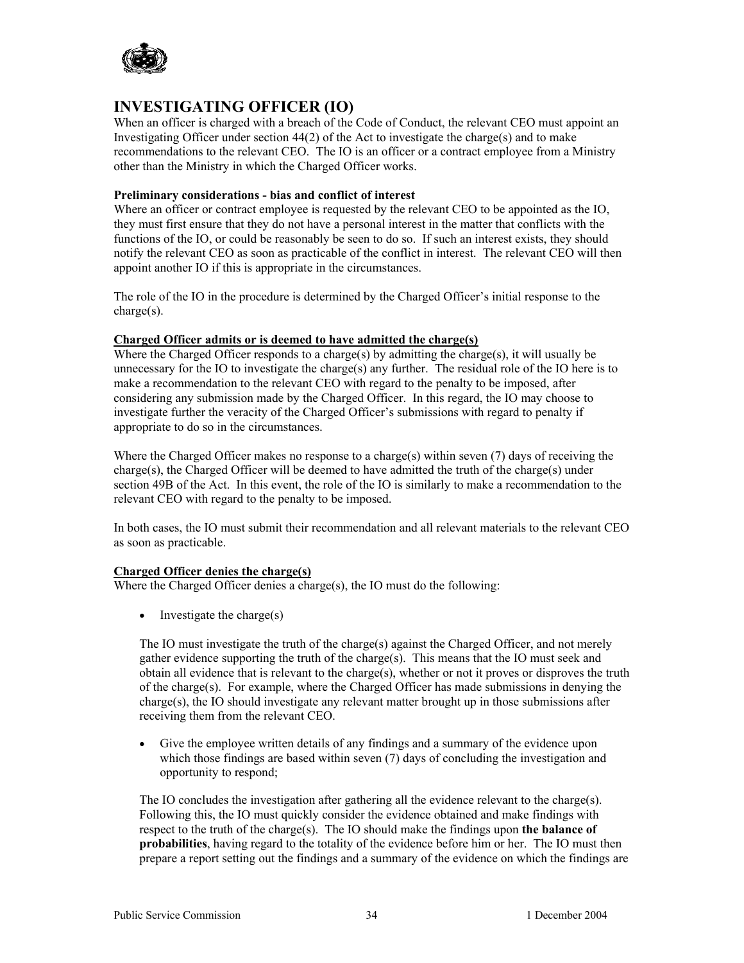

# **INVESTIGATING OFFICER (IO)**

When an officer is charged with a breach of the Code of Conduct, the relevant CEO must appoint an Investigating Officer under section  $44(2)$  of the Act to investigate the charge(s) and to make recommendations to the relevant CEO. The IO is an officer or a contract employee from a Ministry other than the Ministry in which the Charged Officer works.

#### **Preliminary considerations - bias and conflict of interest**

Where an officer or contract employee is requested by the relevant CEO to be appointed as the IO, they must first ensure that they do not have a personal interest in the matter that conflicts with the functions of the IO, or could be reasonably be seen to do so. If such an interest exists, they should notify the relevant CEO as soon as practicable of the conflict in interest. The relevant CEO will then appoint another IO if this is appropriate in the circumstances.

The role of the IO in the procedure is determined by the Charged Officer's initial response to the charge(s).

#### **Charged Officer admits or is deemed to have admitted the charge(s)**

Where the Charged Officer responds to a charge(s) by admitting the charge(s), it will usually be unnecessary for the IO to investigate the charge(s) any further. The residual role of the IO here is to make a recommendation to the relevant CEO with regard to the penalty to be imposed, after considering any submission made by the Charged Officer. In this regard, the IO may choose to investigate further the veracity of the Charged Officer's submissions with regard to penalty if appropriate to do so in the circumstances.

Where the Charged Officer makes no response to a charge(s) within seven  $(7)$  days of receiving the charge(s), the Charged Officer will be deemed to have admitted the truth of the charge(s) under section 49B of the Act. In this event, the role of the IO is similarly to make a recommendation to the relevant CEO with regard to the penalty to be imposed.

In both cases, the IO must submit their recommendation and all relevant materials to the relevant CEO as soon as practicable.

#### **Charged Officer denies the charge(s)**

Where the Charged Officer denies a charge(s), the IO must do the following:

• Investigate the charge(s)

The IO must investigate the truth of the charge(s) against the Charged Officer, and not merely gather evidence supporting the truth of the charge(s). This means that the IO must seek and obtain all evidence that is relevant to the charge(s), whether or not it proves or disproves the truth of the charge(s). For example, where the Charged Officer has made submissions in denying the charge(s), the IO should investigate any relevant matter brought up in those submissions after receiving them from the relevant CEO.

• Give the employee written details of any findings and a summary of the evidence upon which those findings are based within seven (7) days of concluding the investigation and opportunity to respond;

The IO concludes the investigation after gathering all the evidence relevant to the charge(s). Following this, the IO must quickly consider the evidence obtained and make findings with respect to the truth of the charge(s). The IO should make the findings upon **the balance of probabilities**, having regard to the totality of the evidence before him or her. The IO must then prepare a report setting out the findings and a summary of the evidence on which the findings are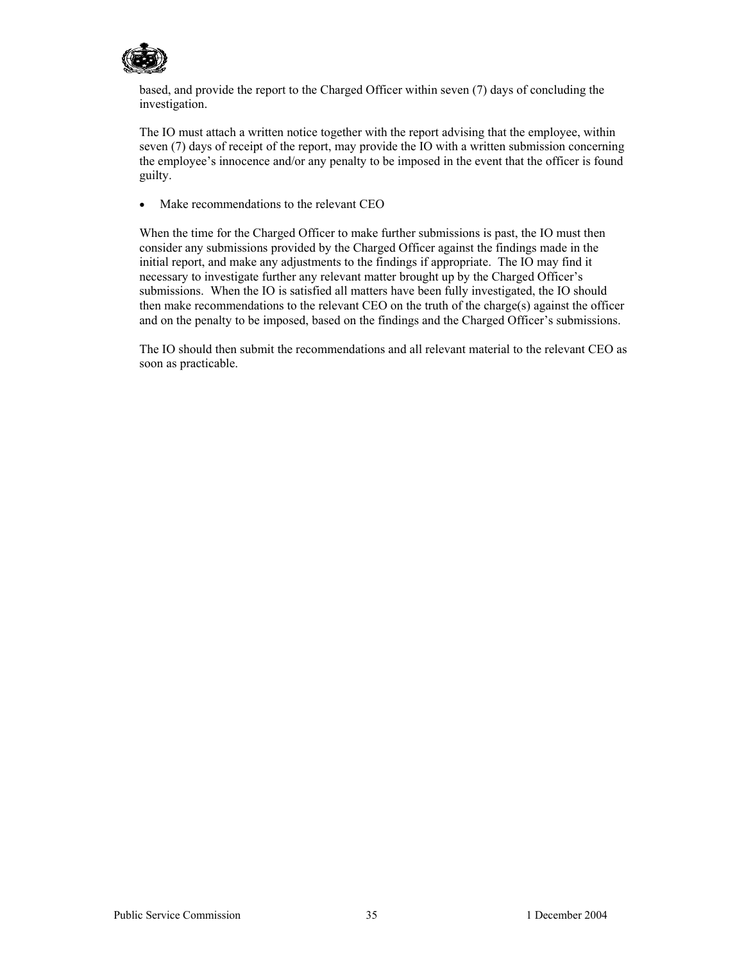

based, and provide the report to the Charged Officer within seven (7) days of concluding the investigation.

The IO must attach a written notice together with the report advising that the employee, within seven (7) days of receipt of the report, may provide the IO with a written submission concerning the employee's innocence and/or any penalty to be imposed in the event that the officer is found guilty.

• Make recommendations to the relevant CEO

When the time for the Charged Officer to make further submissions is past, the IO must then consider any submissions provided by the Charged Officer against the findings made in the initial report, and make any adjustments to the findings if appropriate. The IO may find it necessary to investigate further any relevant matter brought up by the Charged Officer's submissions. When the IO is satisfied all matters have been fully investigated, the IO should then make recommendations to the relevant CEO on the truth of the charge(s) against the officer and on the penalty to be imposed, based on the findings and the Charged Officer's submissions.

The IO should then submit the recommendations and all relevant material to the relevant CEO as soon as practicable.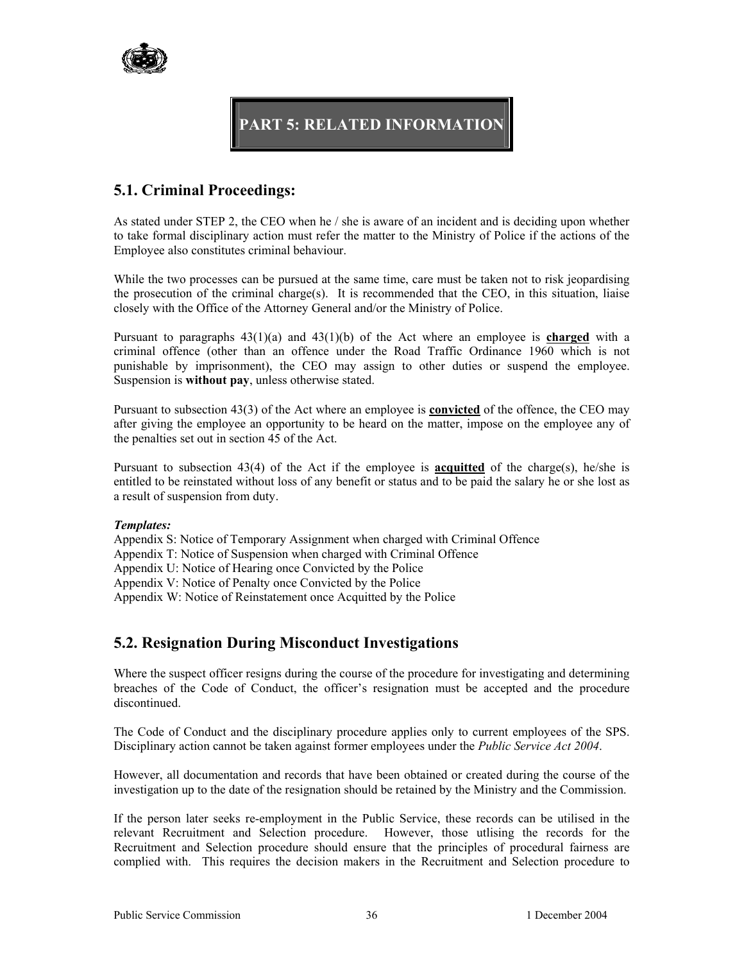

# **PART 5: RELATED INFORMATION**

# **5.1. Criminal Proceedings:**

As stated under STEP 2, the CEO when he / she is aware of an incident and is deciding upon whether to take formal disciplinary action must refer the matter to the Ministry of Police if the actions of the Employee also constitutes criminal behaviour.

While the two processes can be pursued at the same time, care must be taken not to risk jeopardising the prosecution of the criminal charge(s). It is recommended that the CEO, in this situation, liaise closely with the Office of the Attorney General and/or the Ministry of Police.

Pursuant to paragraphs 43(1)(a) and 43(1)(b) of the Act where an employee is **charged** with a criminal offence (other than an offence under the Road Traffic Ordinance 1960 which is not punishable by imprisonment), the CEO may assign to other duties or suspend the employee. Suspension is **without pay**, unless otherwise stated.

Pursuant to subsection 43(3) of the Act where an employee is **convicted** of the offence, the CEO may after giving the employee an opportunity to be heard on the matter, impose on the employee any of the penalties set out in section 45 of the Act.

Pursuant to subsection 43(4) of the Act if the employee is **acquitted** of the charge(s), he/she is entitled to be reinstated without loss of any benefit or status and to be paid the salary he or she lost as a result of suspension from duty.

#### *Templates:*

Appendix S: Notice of Temporary Assignment when charged with Criminal Offence

Appendix T: Notice of Suspension when charged with Criminal Offence

Appendix U: Notice of Hearing once Convicted by the Police

Appendix V: Notice of Penalty once Convicted by the Police

Appendix W: Notice of Reinstatement once Acquitted by the Police

# **5.2. Resignation During Misconduct Investigations**

Where the suspect officer resigns during the course of the procedure for investigating and determining breaches of the Code of Conduct, the officer's resignation must be accepted and the procedure discontinued.

The Code of Conduct and the disciplinary procedure applies only to current employees of the SPS. Disciplinary action cannot be taken against former employees under the *Public Service Act 2004*.

However, all documentation and records that have been obtained or created during the course of the investigation up to the date of the resignation should be retained by the Ministry and the Commission.

If the person later seeks re-employment in the Public Service, these records can be utilised in the relevant Recruitment and Selection procedure. However, those utlising the records for the Recruitment and Selection procedure should ensure that the principles of procedural fairness are complied with. This requires the decision makers in the Recruitment and Selection procedure to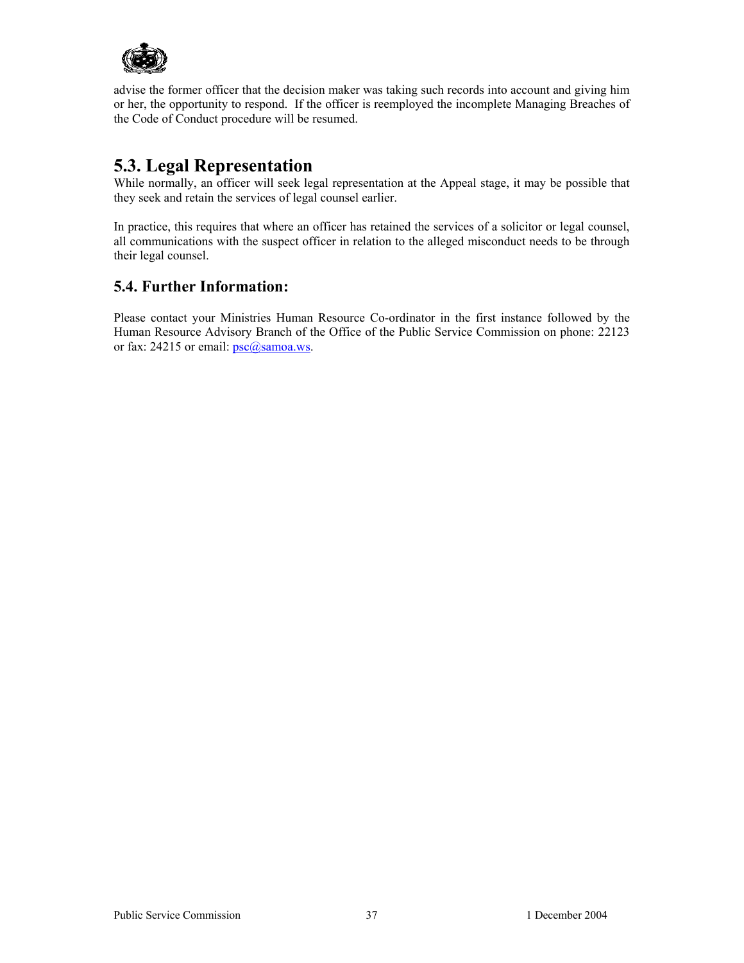

advise the former officer that the decision maker was taking such records into account and giving him or her, the opportunity to respond. If the officer is reemployed the incomplete Managing Breaches of the Code of Conduct procedure will be resumed.

# **5.3. Legal Representation**

While normally, an officer will seek legal representation at the Appeal stage, it may be possible that they seek and retain the services of legal counsel earlier.

In practice, this requires that where an officer has retained the services of a solicitor or legal counsel, all communications with the suspect officer in relation to the alleged misconduct needs to be through their legal counsel.

# **5.4. Further Information:**

Please contact your Ministries Human Resource Co-ordinator in the first instance followed by the Human Resource Advisory Branch of the Office of the Public Service Commission on phone: 22123 or fax: 24215 or email:  $psc@samoa.ws$ .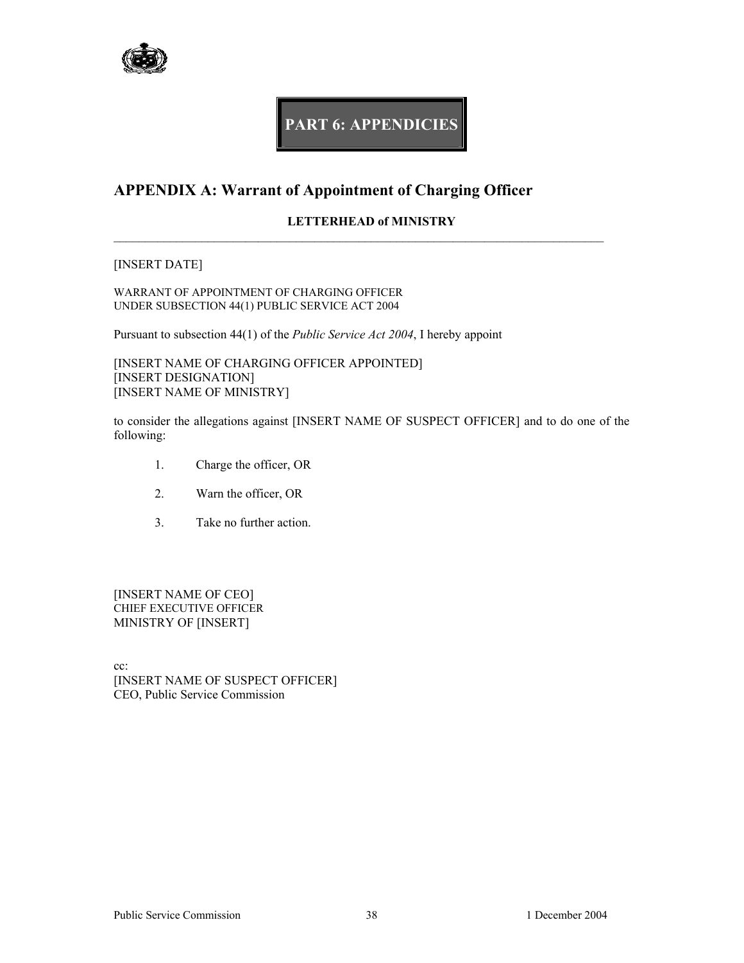

# **PART 6: APPENDICIES**

# **APPENDIX A: Warrant of Appointment of Charging Officer**

### **LETTERHEAD of MINISTRY**

 $\mathcal{L}_\mathcal{L} = \{ \mathcal{L}_\mathcal{L} = \{ \mathcal{L}_\mathcal{L} = \{ \mathcal{L}_\mathcal{L} = \{ \mathcal{L}_\mathcal{L} = \{ \mathcal{L}_\mathcal{L} = \{ \mathcal{L}_\mathcal{L} = \{ \mathcal{L}_\mathcal{L} = \{ \mathcal{L}_\mathcal{L} = \{ \mathcal{L}_\mathcal{L} = \{ \mathcal{L}_\mathcal{L} = \{ \mathcal{L}_\mathcal{L} = \{ \mathcal{L}_\mathcal{L} = \{ \mathcal{L}_\mathcal{L} = \{ \mathcal{L}_\mathcal{$ 

#### [INSERT DATE]

WARRANT OF APPOINTMENT OF CHARGING OFFICER UNDER SUBSECTION 44(1) PUBLIC SERVICE ACT 2004

Pursuant to subsection 44(1) of the *Public Service Act 2004*, I hereby appoint

[INSERT NAME OF CHARGING OFFICER APPOINTED] [INSERT DESIGNATION] [INSERT NAME OF MINISTRY]

to consider the allegations against [INSERT NAME OF SUSPECT OFFICER] and to do one of the following:

- 1. Charge the officer, OR
- 2. Warn the officer, OR
- 3. Take no further action.

[INSERT NAME OF CEO] CHIEF EXECUTIVE OFFICER MINISTRY OF [INSERT]

cc: [INSERT NAME OF SUSPECT OFFICER] CEO, Public Service Commission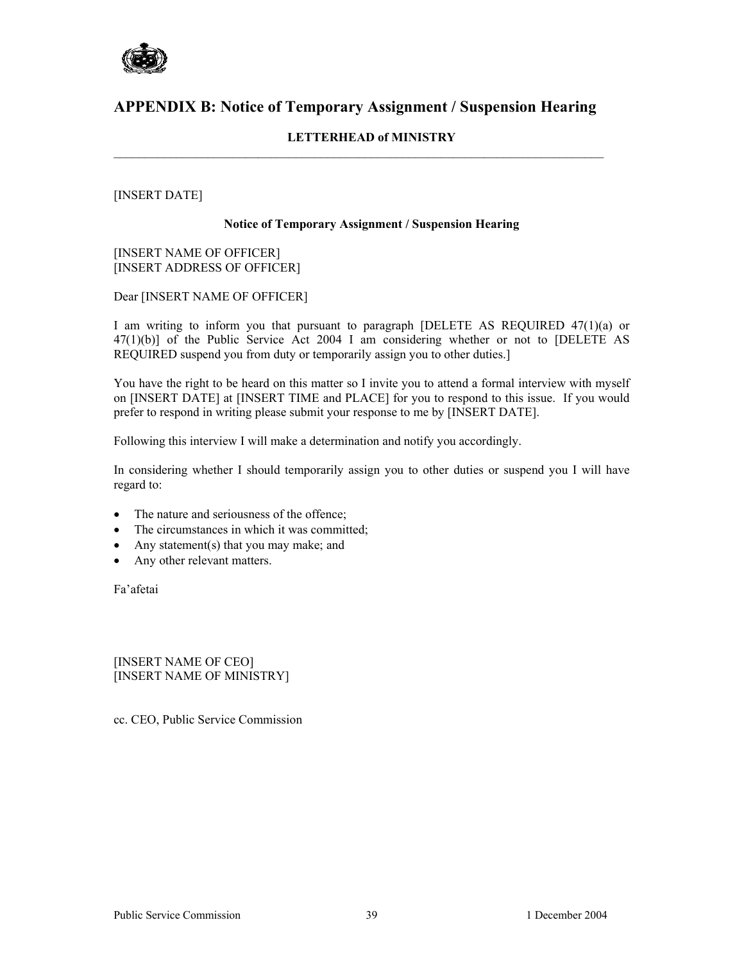

# **APPENDIX B: Notice of Temporary Assignment / Suspension Hearing**

 $\mathcal{L}_\mathcal{L} = \{ \mathcal{L}_\mathcal{L} = \{ \mathcal{L}_\mathcal{L} = \{ \mathcal{L}_\mathcal{L} = \{ \mathcal{L}_\mathcal{L} = \{ \mathcal{L}_\mathcal{L} = \{ \mathcal{L}_\mathcal{L} = \{ \mathcal{L}_\mathcal{L} = \{ \mathcal{L}_\mathcal{L} = \{ \mathcal{L}_\mathcal{L} = \{ \mathcal{L}_\mathcal{L} = \{ \mathcal{L}_\mathcal{L} = \{ \mathcal{L}_\mathcal{L} = \{ \mathcal{L}_\mathcal{L} = \{ \mathcal{L}_\mathcal{$ 

### **LETTERHEAD of MINISTRY**

#### [INSERT DATE]

#### **Notice of Temporary Assignment / Suspension Hearing**

[INSERT NAME OF OFFICER] [INSERT ADDRESS OF OFFICER]

Dear [INSERT NAME OF OFFICER]

I am writing to inform you that pursuant to paragraph [DELETE AS REQUIRED 47(1)(a) or 47(1)(b)] of the Public Service Act 2004 I am considering whether or not to [DELETE AS REQUIRED suspend you from duty or temporarily assign you to other duties.]

You have the right to be heard on this matter so I invite you to attend a formal interview with myself on [INSERT DATE] at [INSERT TIME and PLACE] for you to respond to this issue. If you would prefer to respond in writing please submit your response to me by [INSERT DATE].

Following this interview I will make a determination and notify you accordingly.

In considering whether I should temporarily assign you to other duties or suspend you I will have regard to:

- The nature and seriousness of the offence;
- The circumstances in which it was committed;
- Any statement(s) that you may make; and
- Any other relevant matters.

Fa'afetai

[INSERT NAME OF CEO] [INSERT NAME OF MINISTRY]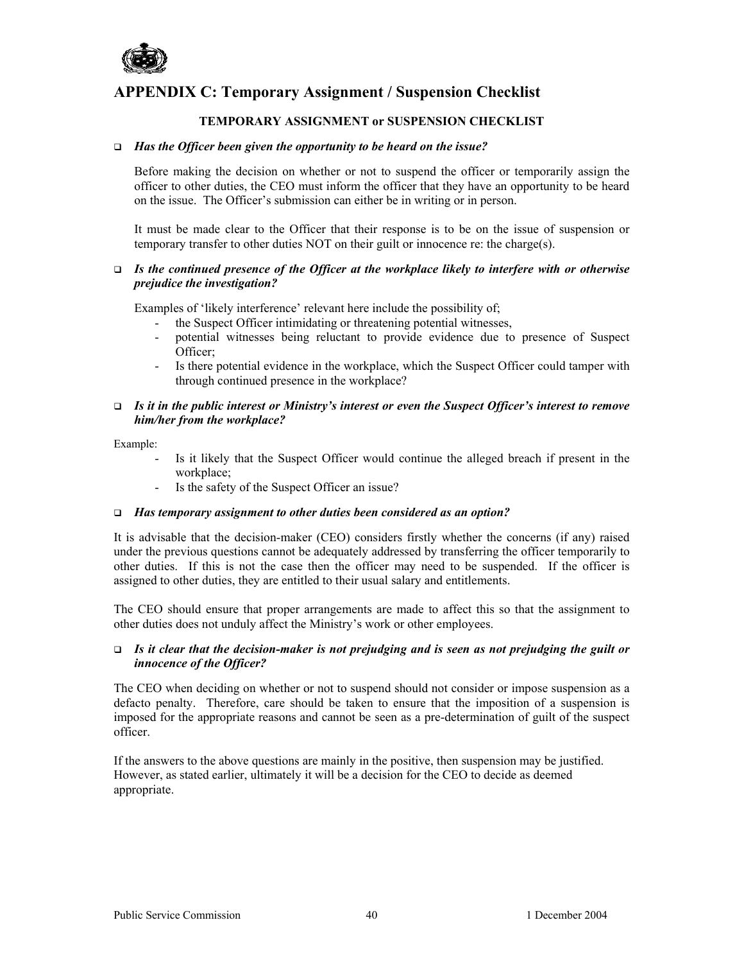

# **APPENDIX C: Temporary Assignment / Suspension Checklist**

#### **TEMPORARY ASSIGNMENT or SUSPENSION CHECKLIST**

#### *Has the Officer been given the opportunity to be heard on the issue?*

Before making the decision on whether or not to suspend the officer or temporarily assign the officer to other duties, the CEO must inform the officer that they have an opportunity to be heard on the issue. The Officer's submission can either be in writing or in person.

It must be made clear to the Officer that their response is to be on the issue of suspension or temporary transfer to other duties NOT on their guilt or innocence re: the charge(s).

#### *Is the continued presence of the Officer at the workplace likely to interfere with or otherwise prejudice the investigation?*

Examples of 'likely interference' relevant here include the possibility of;

- the Suspect Officer intimidating or threatening potential witnesses,
- potential witnesses being reluctant to provide evidence due to presence of Suspect Officer;
- Is there potential evidence in the workplace, which the Suspect Officer could tamper with through continued presence in the workplace?

#### *Is it in the public interest or Ministry's interest or even the Suspect Officer's interest to remove him/her from the workplace?*

Example:

- Is it likely that the Suspect Officer would continue the alleged breach if present in the workplace;
- Is the safety of the Suspect Officer an issue?

#### *Has temporary assignment to other duties been considered as an option?*

It is advisable that the decision-maker (CEO) considers firstly whether the concerns (if any) raised under the previous questions cannot be adequately addressed by transferring the officer temporarily to other duties. If this is not the case then the officer may need to be suspended. If the officer is assigned to other duties, they are entitled to their usual salary and entitlements.

The CEO should ensure that proper arrangements are made to affect this so that the assignment to other duties does not unduly affect the Ministry's work or other employees.

#### *Is it clear that the decision-maker is not prejudging and is seen as not prejudging the guilt or innocence of the Officer?*

The CEO when deciding on whether or not to suspend should not consider or impose suspension as a defacto penalty. Therefore, care should be taken to ensure that the imposition of a suspension is imposed for the appropriate reasons and cannot be seen as a pre-determination of guilt of the suspect officer.

If the answers to the above questions are mainly in the positive, then suspension may be justified. However, as stated earlier, ultimately it will be a decision for the CEO to decide as deemed appropriate.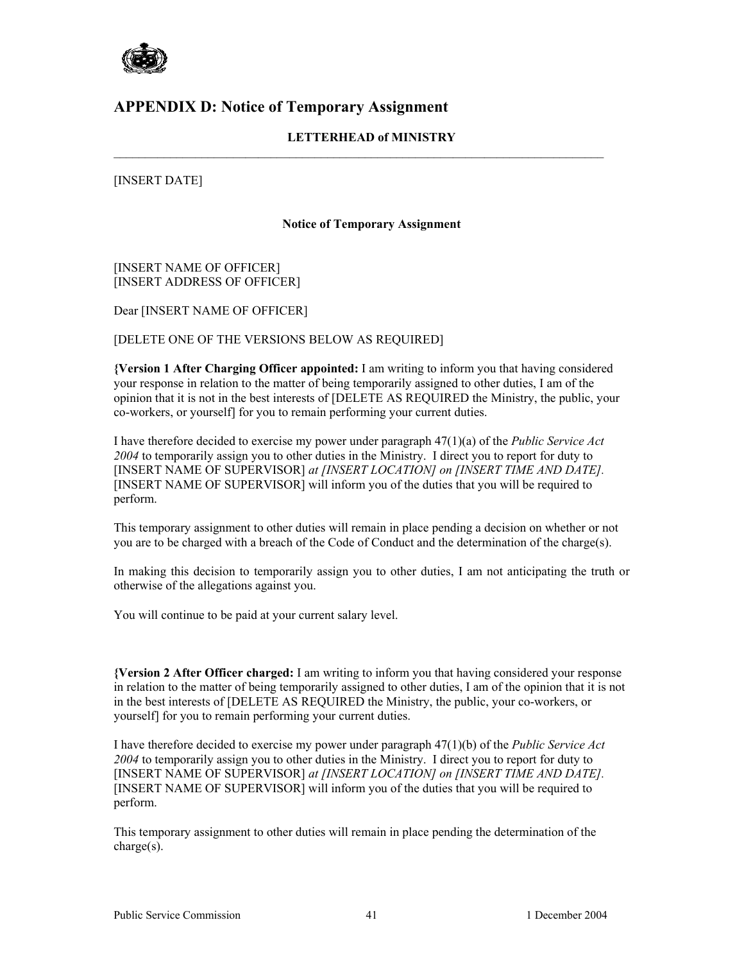

# **APPENDIX D: Notice of Temporary Assignment**

### **LETTERHEAD of MINISTRY**

 $\mathcal{L}_\mathcal{L} = \{ \mathcal{L}_\mathcal{L} = \{ \mathcal{L}_\mathcal{L} = \{ \mathcal{L}_\mathcal{L} = \{ \mathcal{L}_\mathcal{L} = \{ \mathcal{L}_\mathcal{L} = \{ \mathcal{L}_\mathcal{L} = \{ \mathcal{L}_\mathcal{L} = \{ \mathcal{L}_\mathcal{L} = \{ \mathcal{L}_\mathcal{L} = \{ \mathcal{L}_\mathcal{L} = \{ \mathcal{L}_\mathcal{L} = \{ \mathcal{L}_\mathcal{L} = \{ \mathcal{L}_\mathcal{L} = \{ \mathcal{L}_\mathcal{$ 

[INSERT DATE]

#### **Notice of Temporary Assignment**

[INSERT NAME OF OFFICER] [INSERT ADDRESS OF OFFICER]

Dear [INSERT NAME OF OFFICER]

[DELETE ONE OF THE VERSIONS BELOW AS REQUIRED]

**{Version 1 After Charging Officer appointed:** I am writing to inform you that having considered your response in relation to the matter of being temporarily assigned to other duties, I am of the opinion that it is not in the best interests of [DELETE AS REQUIRED the Ministry, the public, your co-workers, or yourself] for you to remain performing your current duties.

I have therefore decided to exercise my power under paragraph 47(1)(a) of the *Public Service Act 2004* to temporarily assign you to other duties in the Ministry. I direct you to report for duty to [INSERT NAME OF SUPERVISOR] *at [INSERT LOCATION] on [INSERT TIME AND DATE].* [INSERT NAME OF SUPERVISOR] will inform you of the duties that you will be required to perform.

This temporary assignment to other duties will remain in place pending a decision on whether or not you are to be charged with a breach of the Code of Conduct and the determination of the charge(s).

In making this decision to temporarily assign you to other duties, I am not anticipating the truth or otherwise of the allegations against you.

You will continue to be paid at your current salary level.

**{Version 2 After Officer charged:** I am writing to inform you that having considered your response in relation to the matter of being temporarily assigned to other duties, I am of the opinion that it is not in the best interests of [DELETE AS REQUIRED the Ministry, the public, your co-workers, or yourself] for you to remain performing your current duties.

I have therefore decided to exercise my power under paragraph 47(1)(b) of the *Public Service Act 2004* to temporarily assign you to other duties in the Ministry. I direct you to report for duty to [INSERT NAME OF SUPERVISOR] *at [INSERT LOCATION] on [INSERT TIME AND DATE].* [INSERT NAME OF SUPERVISOR] will inform you of the duties that you will be required to perform.

This temporary assignment to other duties will remain in place pending the determination of the charge(s).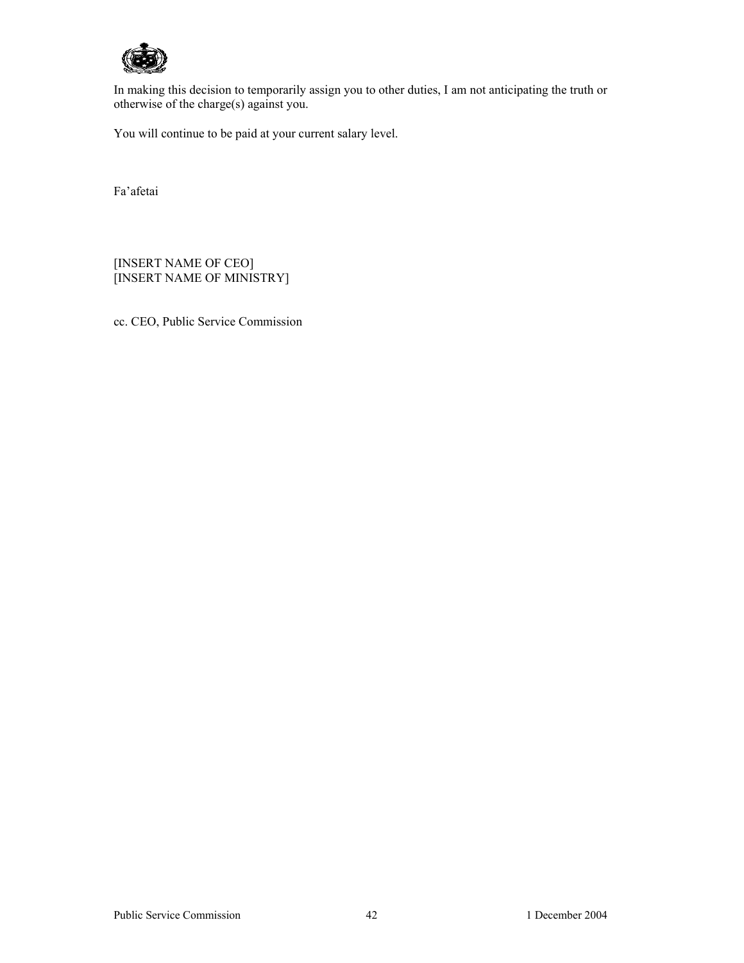

In making this decision to temporarily assign you to other duties, I am not anticipating the truth or otherwise of the charge(s) against you.

You will continue to be paid at your current salary level.

Fa'afetai

[INSERT NAME OF CEO] [INSERT NAME OF MINISTRY]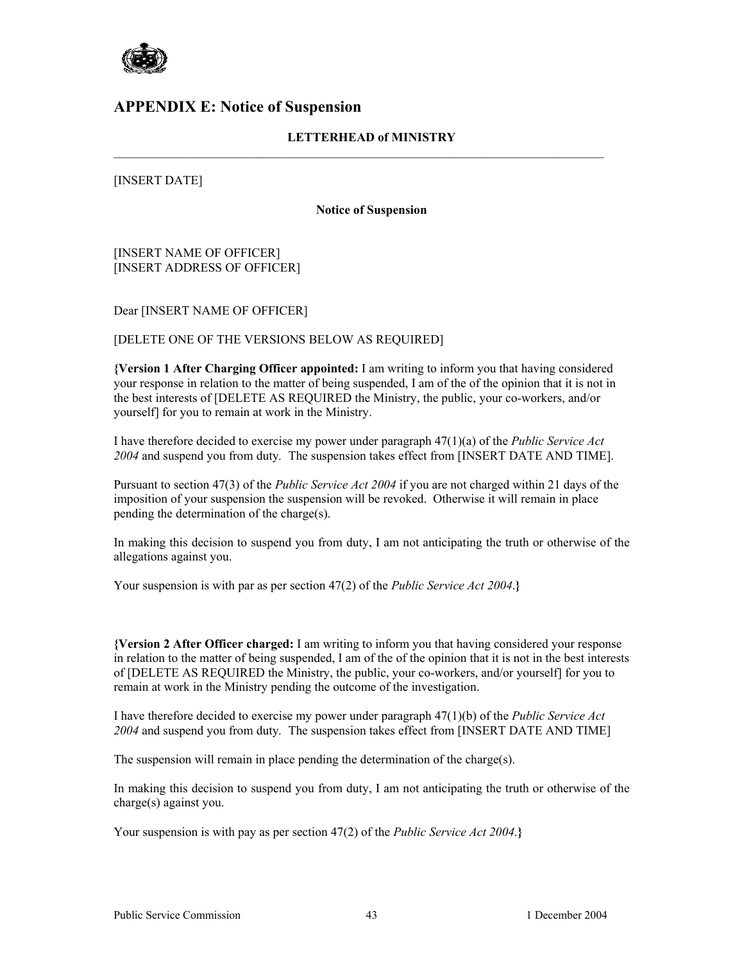

### **APPENDIX E: Notice of Suspension**

### **LETTERHEAD of MINISTRY**

 $\mathcal{L}_\mathcal{L} = \{ \mathcal{L}_\mathcal{L} = \{ \mathcal{L}_\mathcal{L} = \{ \mathcal{L}_\mathcal{L} = \{ \mathcal{L}_\mathcal{L} = \{ \mathcal{L}_\mathcal{L} = \{ \mathcal{L}_\mathcal{L} = \{ \mathcal{L}_\mathcal{L} = \{ \mathcal{L}_\mathcal{L} = \{ \mathcal{L}_\mathcal{L} = \{ \mathcal{L}_\mathcal{L} = \{ \mathcal{L}_\mathcal{L} = \{ \mathcal{L}_\mathcal{L} = \{ \mathcal{L}_\mathcal{L} = \{ \mathcal{L}_\mathcal{$ 

[INSERT DATE]

**Notice of Suspension**

[INSERT NAME OF OFFICER] [INSERT ADDRESS OF OFFICER]

Dear [INSERT NAME OF OFFICER]

[DELETE ONE OF THE VERSIONS BELOW AS REQUIRED]

**{Version 1 After Charging Officer appointed:** I am writing to inform you that having considered your response in relation to the matter of being suspended, I am of the of the opinion that it is not in the best interests of [DELETE AS REQUIRED the Ministry, the public, your co-workers, and/or yourself] for you to remain at work in the Ministry.

I have therefore decided to exercise my power under paragraph 47(1)(a) of the *Public Service Act 2004* and suspend you from duty*.* The suspension takes effect from [INSERT DATE AND TIME].

Pursuant to section 47(3) of the *Public Service Act 2004* if you are not charged within 21 days of the imposition of your suspension the suspension will be revoked. Otherwise it will remain in place pending the determination of the charge(s).

In making this decision to suspend you from duty, I am not anticipating the truth or otherwise of the allegations against you.

Your suspension is with par as per section 47(2) of the *Public Service Act 2004*.**}** 

**{Version 2 After Officer charged:** I am writing to inform you that having considered your response in relation to the matter of being suspended, I am of the of the opinion that it is not in the best interests of [DELETE AS REQUIRED the Ministry, the public, your co-workers, and/or yourself] for you to remain at work in the Ministry pending the outcome of the investigation.

I have therefore decided to exercise my power under paragraph 47(1)(b) of the *Public Service Act 2004* and suspend you from duty*.* The suspension takes effect from [INSERT DATE AND TIME]

The suspension will remain in place pending the determination of the charge(s).

In making this decision to suspend you from duty, I am not anticipating the truth or otherwise of the charge(s) against you.

Your suspension is with pay as per section 47(2) of the *Public Service Act 2004*.**}**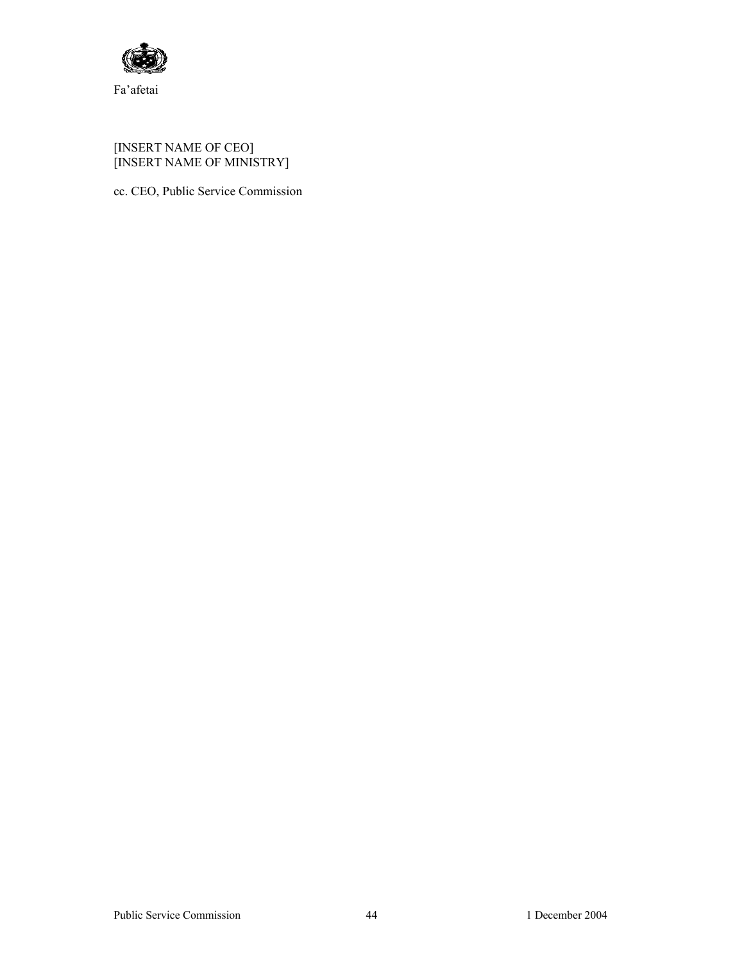

Fa'afetai

#### [INSERT NAME OF CEO] [INSERT NAME OF MINISTRY]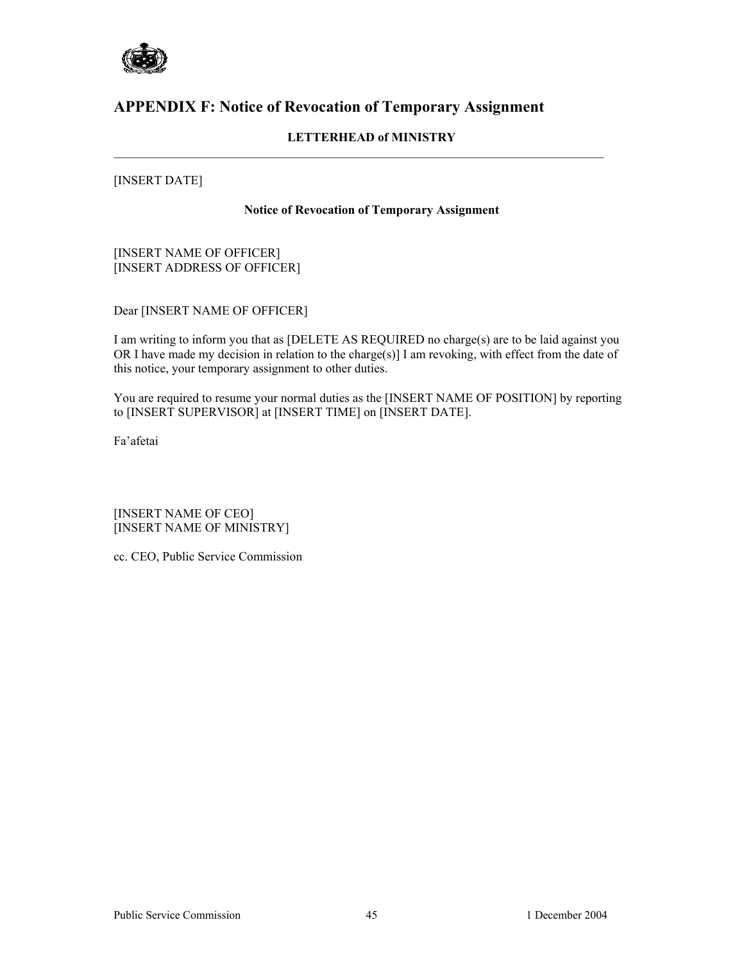

# **APPENDIX F: Notice of Revocation of Temporary Assignment**

### **LETTERHEAD of MINISTRY**

 $\mathcal{L}_\mathcal{L} = \{ \mathcal{L}_\mathcal{L} = \{ \mathcal{L}_\mathcal{L} = \{ \mathcal{L}_\mathcal{L} = \{ \mathcal{L}_\mathcal{L} = \{ \mathcal{L}_\mathcal{L} = \{ \mathcal{L}_\mathcal{L} = \{ \mathcal{L}_\mathcal{L} = \{ \mathcal{L}_\mathcal{L} = \{ \mathcal{L}_\mathcal{L} = \{ \mathcal{L}_\mathcal{L} = \{ \mathcal{L}_\mathcal{L} = \{ \mathcal{L}_\mathcal{L} = \{ \mathcal{L}_\mathcal{L} = \{ \mathcal{L}_\mathcal{$ 

### [INSERT DATE]

#### **Notice of Revocation of Temporary Assignment**

[INSERT NAME OF OFFICER] [INSERT ADDRESS OF OFFICER]

Dear [INSERT NAME OF OFFICER]

I am writing to inform you that as [DELETE AS REQUIRED no charge(s) are to be laid against you OR I have made my decision in relation to the charge(s)] I am revoking, with effect from the date of this notice, your temporary assignment to other duties.

You are required to resume your normal duties as the [INSERT NAME OF POSITION] by reporting to [INSERT SUPERVISOR] at [INSERT TIME] on [INSERT DATE].

Fa'afetai

[INSERT NAME OF CEO] [INSERT NAME OF MINISTRY]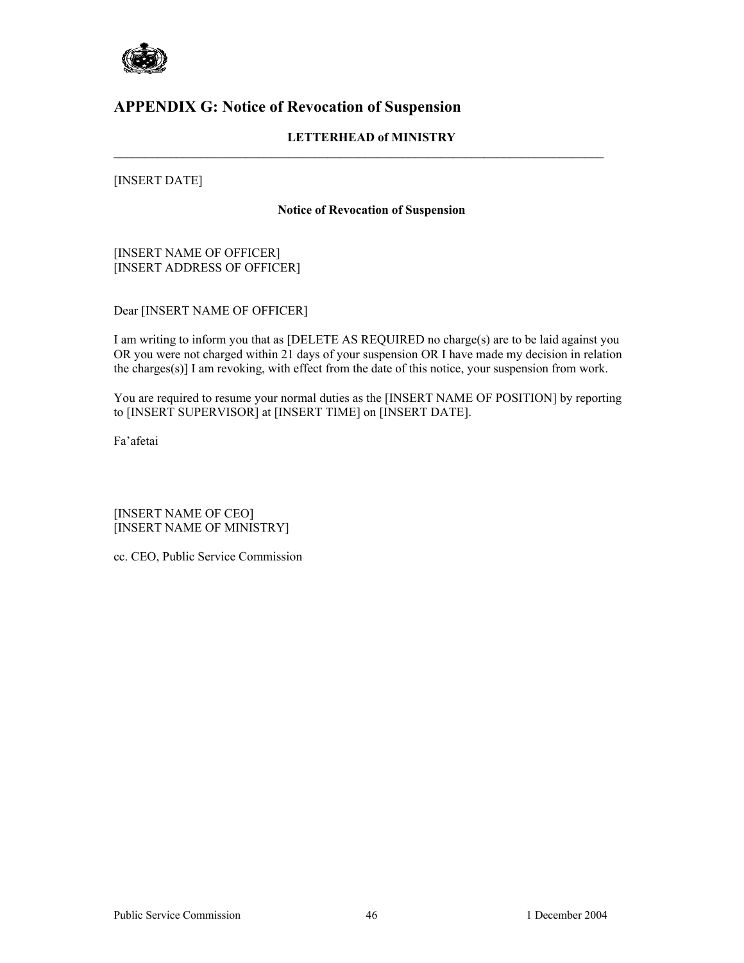

# **APPENDIX G: Notice of Revocation of Suspension**

### **LETTERHEAD of MINISTRY**

 $\mathcal{L}_\mathcal{L} = \{ \mathcal{L}_\mathcal{L} = \{ \mathcal{L}_\mathcal{L} = \{ \mathcal{L}_\mathcal{L} = \{ \mathcal{L}_\mathcal{L} = \{ \mathcal{L}_\mathcal{L} = \{ \mathcal{L}_\mathcal{L} = \{ \mathcal{L}_\mathcal{L} = \{ \mathcal{L}_\mathcal{L} = \{ \mathcal{L}_\mathcal{L} = \{ \mathcal{L}_\mathcal{L} = \{ \mathcal{L}_\mathcal{L} = \{ \mathcal{L}_\mathcal{L} = \{ \mathcal{L}_\mathcal{L} = \{ \mathcal{L}_\mathcal{$ 

### [INSERT DATE]

#### **Notice of Revocation of Suspension**

[INSERT NAME OF OFFICER] [INSERT ADDRESS OF OFFICER]

Dear [INSERT NAME OF OFFICER]

I am writing to inform you that as [DELETE AS REQUIRED no charge(s) are to be laid against you OR you were not charged within 21 days of your suspension OR I have made my decision in relation the charges(s)] I am revoking, with effect from the date of this notice, your suspension from work.

You are required to resume your normal duties as the [INSERT NAME OF POSITION] by reporting to [INSERT SUPERVISOR] at [INSERT TIME] on [INSERT DATE].

Fa'afetai

[INSERT NAME OF CEO] [INSERT NAME OF MINISTRY]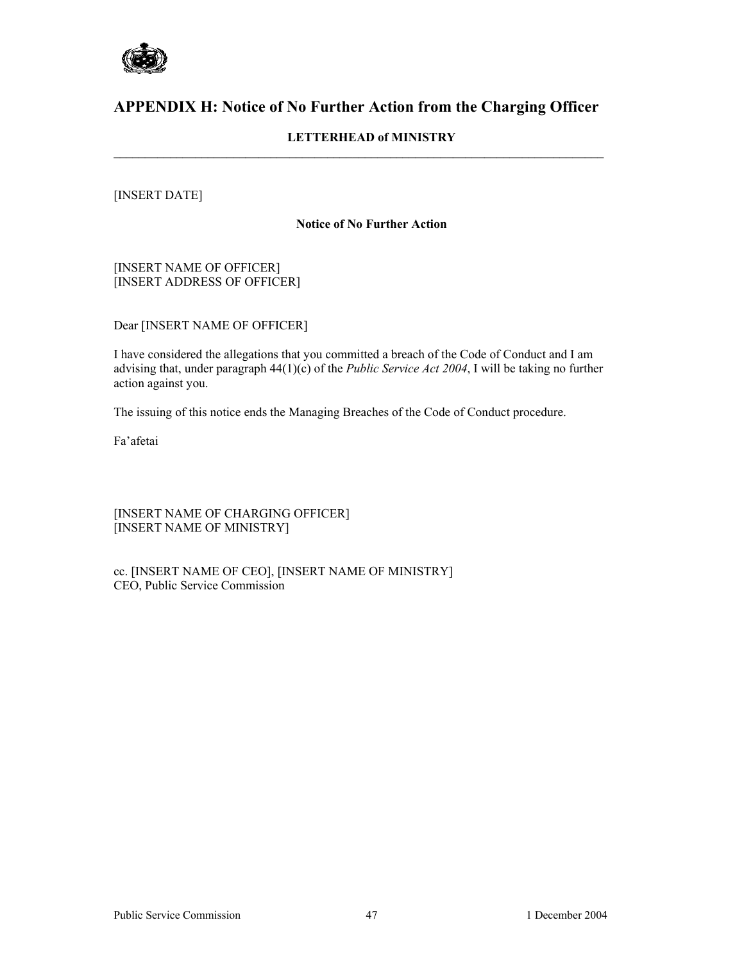

# **APPENDIX H: Notice of No Further Action from the Charging Officer**

 $\mathcal{L}_\mathcal{L} = \{ \mathcal{L}_\mathcal{L} = \{ \mathcal{L}_\mathcal{L} = \{ \mathcal{L}_\mathcal{L} = \{ \mathcal{L}_\mathcal{L} = \{ \mathcal{L}_\mathcal{L} = \{ \mathcal{L}_\mathcal{L} = \{ \mathcal{L}_\mathcal{L} = \{ \mathcal{L}_\mathcal{L} = \{ \mathcal{L}_\mathcal{L} = \{ \mathcal{L}_\mathcal{L} = \{ \mathcal{L}_\mathcal{L} = \{ \mathcal{L}_\mathcal{L} = \{ \mathcal{L}_\mathcal{L} = \{ \mathcal{L}_\mathcal{$ 

### **LETTERHEAD of MINISTRY**

### [INSERT DATE]

#### **Notice of No Further Action**

[INSERT NAME OF OFFICER] [INSERT ADDRESS OF OFFICER]

Dear [INSERT NAME OF OFFICER]

I have considered the allegations that you committed a breach of the Code of Conduct and I am advising that, under paragraph 44(1)(c) of the *Public Service Act 2004*, I will be taking no further action against you.

The issuing of this notice ends the Managing Breaches of the Code of Conduct procedure.

Fa'afetai

[INSERT NAME OF CHARGING OFFICER] [INSERT NAME OF MINISTRY]

cc. [INSERT NAME OF CEO], [INSERT NAME OF MINISTRY] CEO, Public Service Commission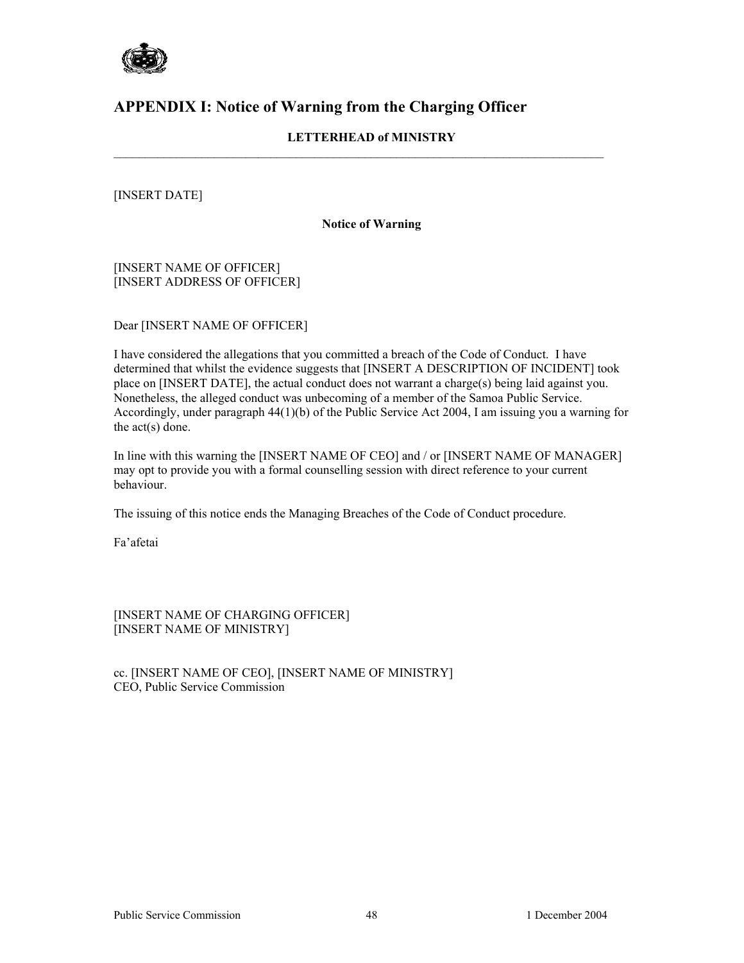

# **APPENDIX I: Notice of Warning from the Charging Officer**

### **LETTERHEAD of MINISTRY**

 $\mathcal{L}_\mathcal{L} = \{ \mathcal{L}_\mathcal{L} = \{ \mathcal{L}_\mathcal{L} = \{ \mathcal{L}_\mathcal{L} = \{ \mathcal{L}_\mathcal{L} = \{ \mathcal{L}_\mathcal{L} = \{ \mathcal{L}_\mathcal{L} = \{ \mathcal{L}_\mathcal{L} = \{ \mathcal{L}_\mathcal{L} = \{ \mathcal{L}_\mathcal{L} = \{ \mathcal{L}_\mathcal{L} = \{ \mathcal{L}_\mathcal{L} = \{ \mathcal{L}_\mathcal{L} = \{ \mathcal{L}_\mathcal{L} = \{ \mathcal{L}_\mathcal{$ 

### [INSERT DATE]

#### **Notice of Warning**

[INSERT NAME OF OFFICER] [INSERT ADDRESS OF OFFICER]

Dear [INSERT NAME OF OFFICER]

I have considered the allegations that you committed a breach of the Code of Conduct. I have determined that whilst the evidence suggests that [INSERT A DESCRIPTION OF INCIDENT] took place on [INSERT DATE], the actual conduct does not warrant a charge(s) being laid against you. Nonetheless, the alleged conduct was unbecoming of a member of the Samoa Public Service. Accordingly, under paragraph 44(1)(b) of the Public Service Act 2004, I am issuing you a warning for the act(s) done.

In line with this warning the [INSERT NAME OF CEO] and / or [INSERT NAME OF MANAGER] may opt to provide you with a formal counselling session with direct reference to your current behaviour.

The issuing of this notice ends the Managing Breaches of the Code of Conduct procedure.

Fa'afetai

[INSERT NAME OF CHARGING OFFICER] [INSERT NAME OF MINISTRY]

cc. [INSERT NAME OF CEO], [INSERT NAME OF MINISTRY] CEO, Public Service Commission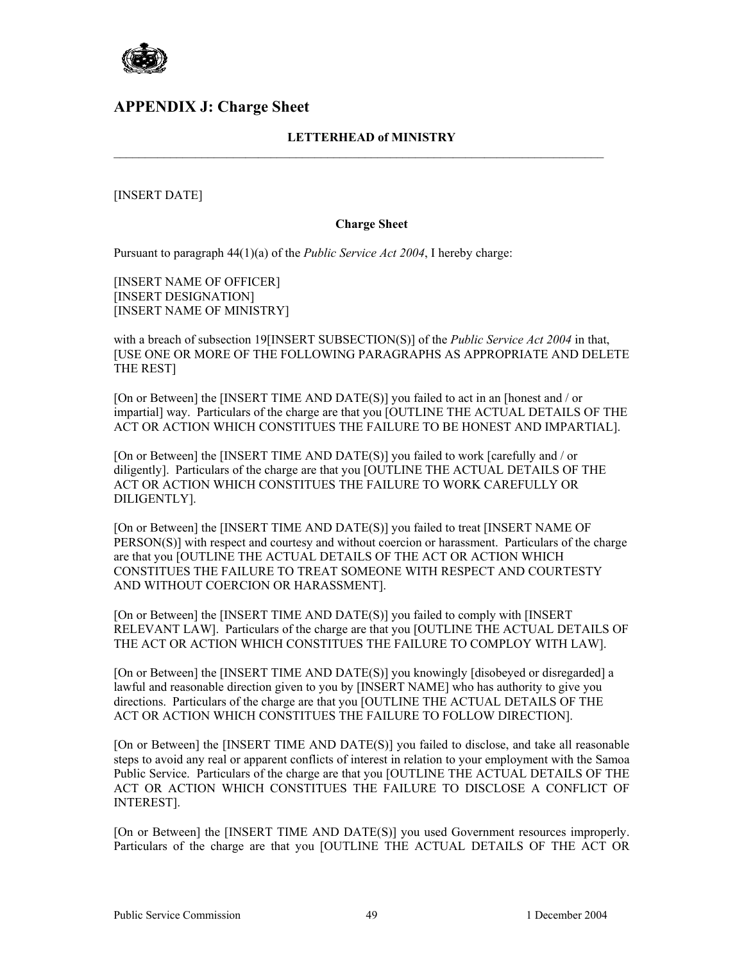

### **APPENDIX J: Charge Sheet**

### **LETTERHEAD of MINISTRY**

 $\mathcal{L}_\mathcal{L} = \{ \mathcal{L}_\mathcal{L} = \{ \mathcal{L}_\mathcal{L} = \{ \mathcal{L}_\mathcal{L} = \{ \mathcal{L}_\mathcal{L} = \{ \mathcal{L}_\mathcal{L} = \{ \mathcal{L}_\mathcal{L} = \{ \mathcal{L}_\mathcal{L} = \{ \mathcal{L}_\mathcal{L} = \{ \mathcal{L}_\mathcal{L} = \{ \mathcal{L}_\mathcal{L} = \{ \mathcal{L}_\mathcal{L} = \{ \mathcal{L}_\mathcal{L} = \{ \mathcal{L}_\mathcal{L} = \{ \mathcal{L}_\mathcal{$ 

[INSERT DATE]

#### **Charge Sheet**

Pursuant to paragraph 44(1)(a) of the *Public Service Act 2004*, I hereby charge:

[INSERT NAME OF OFFICER] [INSERT DESIGNATION] [INSERT NAME OF MINISTRY]

with a breach of subsection 19[INSERT SUBSECTION(S)] of the *Public Service Act 2004* in that, [USE ONE OR MORE OF THE FOLLOWING PARAGRAPHS AS APPROPRIATE AND DELETE THE REST]

[On or Between] the [INSERT TIME AND DATE(S)] you failed to act in an [honest and / or impartial] way. Particulars of the charge are that you [OUTLINE THE ACTUAL DETAILS OF THE ACT OR ACTION WHICH CONSTITUES THE FAILURE TO BE HONEST AND IMPARTIAL].

[On or Between] the [INSERT TIME AND DATE(S)] you failed to work [carefully and / or diligently]. Particulars of the charge are that you [OUTLINE THE ACTUAL DETAILS OF THE ACT OR ACTION WHICH CONSTITUES THE FAILURE TO WORK CAREFULLY OR DILIGENTLY].

[On or Between] the [INSERT TIME AND DATE(S)] you failed to treat [INSERT NAME OF PERSON(S)] with respect and courtesy and without coercion or harassment. Particulars of the charge are that you [OUTLINE THE ACTUAL DETAILS OF THE ACT OR ACTION WHICH CONSTITUES THE FAILURE TO TREAT SOMEONE WITH RESPECT AND COURTESTY AND WITHOUT COERCION OR HARASSMENT].

[On or Between] the [INSERT TIME AND DATE(S)] you failed to comply with [INSERT RELEVANT LAW]. Particulars of the charge are that you [OUTLINE THE ACTUAL DETAILS OF THE ACT OR ACTION WHICH CONSTITUES THE FAILURE TO COMPLOY WITH LAW].

[On or Between] the [INSERT TIME AND DATE(S)] you knowingly [disobeyed or disregarded] a lawful and reasonable direction given to you by [INSERT NAME] who has authority to give you directions. Particulars of the charge are that you [OUTLINE THE ACTUAL DETAILS OF THE ACT OR ACTION WHICH CONSTITUES THE FAILURE TO FOLLOW DIRECTION].

[On or Between] the [INSERT TIME AND DATE(S)] you failed to disclose, and take all reasonable steps to avoid any real or apparent conflicts of interest in relation to your employment with the Samoa Public Service. Particulars of the charge are that you [OUTLINE THE ACTUAL DETAILS OF THE ACT OR ACTION WHICH CONSTITUES THE FAILURE TO DISCLOSE A CONFLICT OF INTEREST].

[On or Between] the [INSERT TIME AND DATE(S)] you used Government resources improperly. Particulars of the charge are that you [OUTLINE THE ACTUAL DETAILS OF THE ACT OR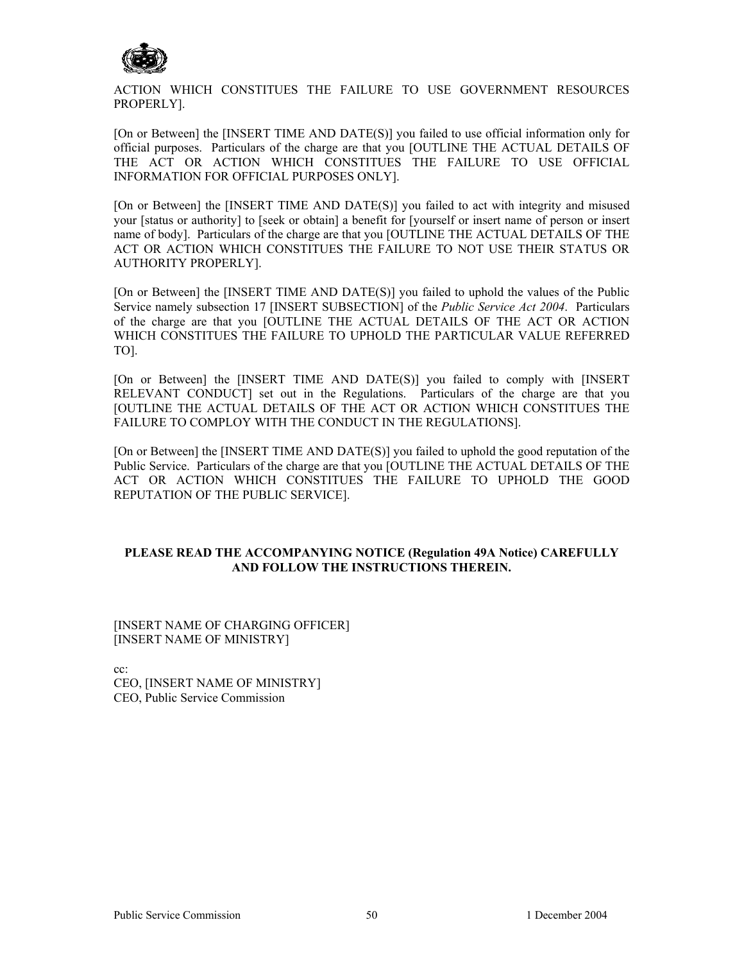

ACTION WHICH CONSTITUES THE FAILURE TO USE GOVERNMENT RESOURCES PROPERLY].

[On or Between] the [INSERT TIME AND DATE(S)] you failed to use official information only for official purposes. Particulars of the charge are that you [OUTLINE THE ACTUAL DETAILS OF THE ACT OR ACTION WHICH CONSTITUES THE FAILURE TO USE OFFICIAL INFORMATION FOR OFFICIAL PURPOSES ONLY].

[On or Between] the [INSERT TIME AND DATE(S)] you failed to act with integrity and misused your [status or authority] to [seek or obtain] a benefit for [yourself or insert name of person or insert name of body]. Particulars of the charge are that you [OUTLINE THE ACTUAL DETAILS OF THE ACT OR ACTION WHICH CONSTITUES THE FAILURE TO NOT USE THEIR STATUS OR AUTHORITY PROPERLY].

[On or Between] the [INSERT TIME AND DATE(S)] you failed to uphold the values of the Public Service namely subsection 17 [INSERT SUBSECTION] of the *Public Service Act 2004*. Particulars of the charge are that you [OUTLINE THE ACTUAL DETAILS OF THE ACT OR ACTION WHICH CONSTITUES THE FAILURE TO UPHOLD THE PARTICULAR VALUE REFERRED TO].

[On or Between] the [INSERT TIME AND DATE(S)] you failed to comply with [INSERT RELEVANT CONDUCT] set out in the Regulations. Particulars of the charge are that you [OUTLINE THE ACTUAL DETAILS OF THE ACT OR ACTION WHICH CONSTITUES THE FAILURE TO COMPLOY WITH THE CONDUCT IN THE REGULATIONS].

[On or Between] the [INSERT TIME AND DATE(S)] you failed to uphold the good reputation of the Public Service. Particulars of the charge are that you [OUTLINE THE ACTUAL DETAILS OF THE ACT OR ACTION WHICH CONSTITUES THE FAILURE TO UPHOLD THE GOOD REPUTATION OF THE PUBLIC SERVICE].

### **PLEASE READ THE ACCOMPANYING NOTICE (Regulation 49A Notice) CAREFULLY AND FOLLOW THE INSTRUCTIONS THEREIN.**

[INSERT NAME OF CHARGING OFFICER] [INSERT NAME OF MINISTRY]

cc:

CEO, [INSERT NAME OF MINISTRY] CEO, Public Service Commission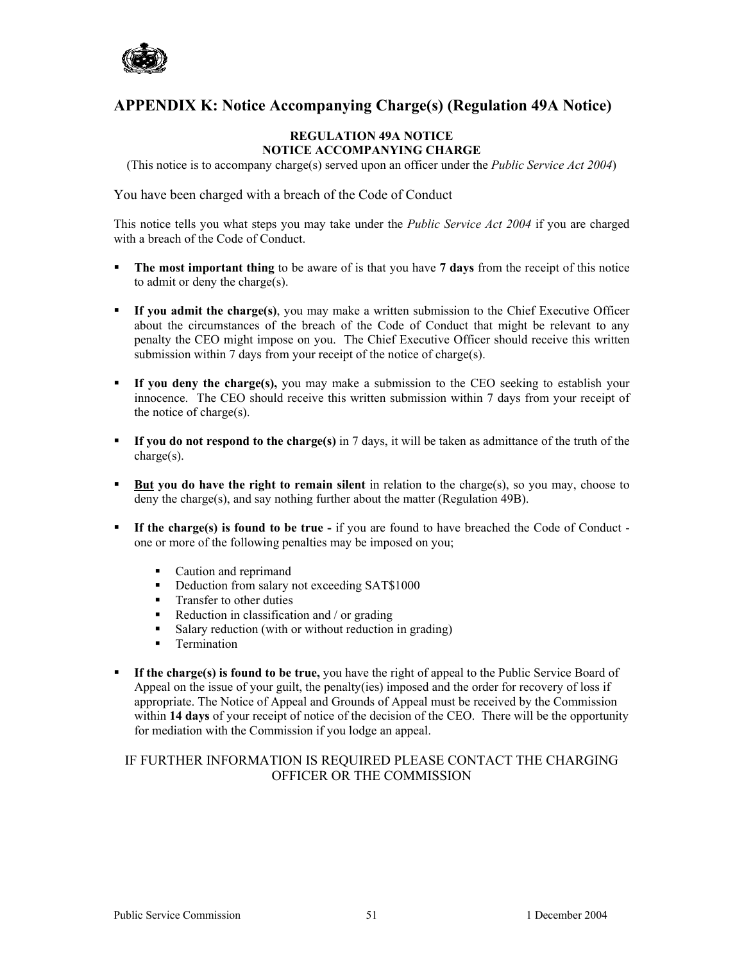

# **APPENDIX K: Notice Accompanying Charge(s) (Regulation 49A Notice)**

#### **REGULATION 49A NOTICE NOTICE ACCOMPANYING CHARGE**

(This notice is to accompany charge(s) served upon an officer under the *Public Service Act 2004*)

You have been charged with a breach of the Code of Conduct

This notice tells you what steps you may take under the *Public Service Act 2004* if you are charged with a breach of the Code of Conduct.

- **The most important thing** to be aware of is that you have **7 days** from the receipt of this notice to admit or deny the charge(s).
- **If you admit the charge(s)**, you may make a written submission to the Chief Executive Officer about the circumstances of the breach of the Code of Conduct that might be relevant to any penalty the CEO might impose on you. The Chief Executive Officer should receive this written submission within 7 days from your receipt of the notice of charge(s).
- **If you deny the charge(s),** you may make a submission to the CEO seeking to establish your innocence. The CEO should receive this written submission within 7 days from your receipt of the notice of charge(s).
- **If you do not respond to the charge(s)** in 7 days, it will be taken as admittance of the truth of the charge(s).
- **But you do have the right to remain silent** in relation to the charge(s), so you may, choose to deny the charge(s), and say nothing further about the matter (Regulation 49B).
- **If the charge(s) is found to be true -** if you are found to have breached the Code of Conduct one or more of the following penalties may be imposed on you;
	-
	- Caution and reprimand<br>• Deduction from salary i Deduction from salary not exceeding SAT\$1000
	- **Transfer to other duties**
	- $\blacksquare$  Reduction in classification and / or grading
	- Salary reduction (with or without reduction in grading)
	- **Termination**
- **If the charge(s) is found to be true,** you have the right of appeal to the Public Service Board of Appeal on the issue of your guilt, the penalty(ies) imposed and the order for recovery of loss if appropriate. The Notice of Appeal and Grounds of Appeal must be received by the Commission within **14 days** of your receipt of notice of the decision of the CEO. There will be the opportunity for mediation with the Commission if you lodge an appeal.

### IF FURTHER INFORMATION IS REQUIRED PLEASE CONTACT THE CHARGING OFFICER OR THE COMMISSION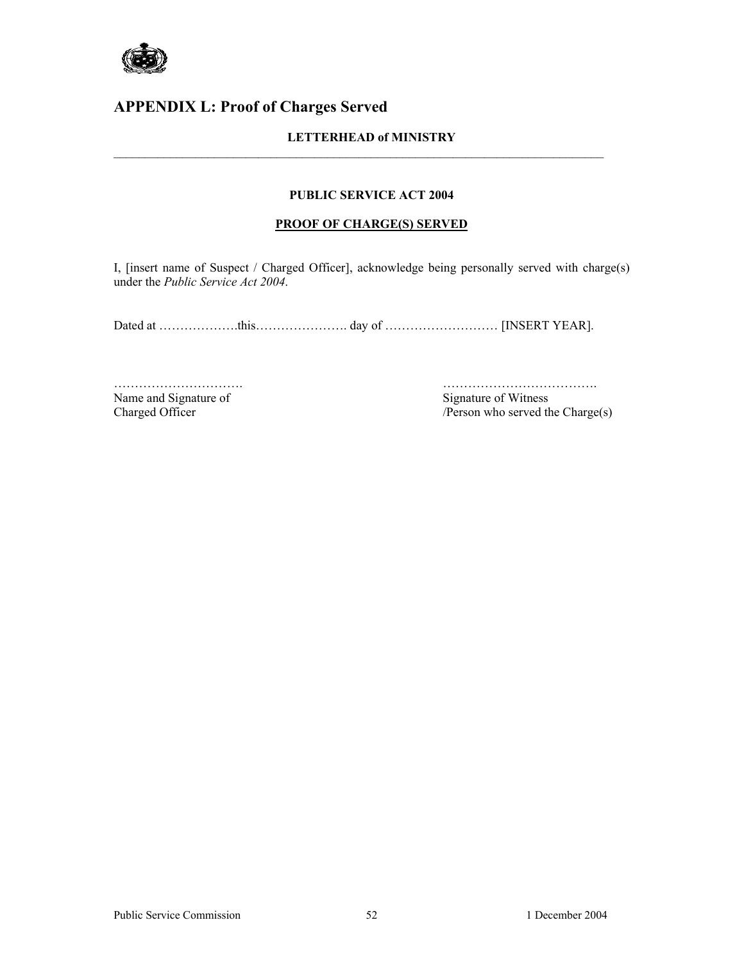

# **APPENDIX L: Proof of Charges Served**

### **LETTERHEAD of MINISTRY**

 $\mathcal{L}_\mathcal{L} = \{ \mathcal{L}_\mathcal{L} = \{ \mathcal{L}_\mathcal{L} = \{ \mathcal{L}_\mathcal{L} = \{ \mathcal{L}_\mathcal{L} = \{ \mathcal{L}_\mathcal{L} = \{ \mathcal{L}_\mathcal{L} = \{ \mathcal{L}_\mathcal{L} = \{ \mathcal{L}_\mathcal{L} = \{ \mathcal{L}_\mathcal{L} = \{ \mathcal{L}_\mathcal{L} = \{ \mathcal{L}_\mathcal{L} = \{ \mathcal{L}_\mathcal{L} = \{ \mathcal{L}_\mathcal{L} = \{ \mathcal{L}_\mathcal{$ 

#### **PUBLIC SERVICE ACT 2004**

#### **PROOF OF CHARGE(S) SERVED**

I, [insert name of Suspect / Charged Officer], acknowledge being personally served with charge(s) under the *Public Service Act 2004*.

Dated at ………………this……………………… day of ………………………… [INSERT YEAR].

Name and Signature of Signature of Witness

…………………………. ………………………………. Charged Officer /Person who served the Charge(s)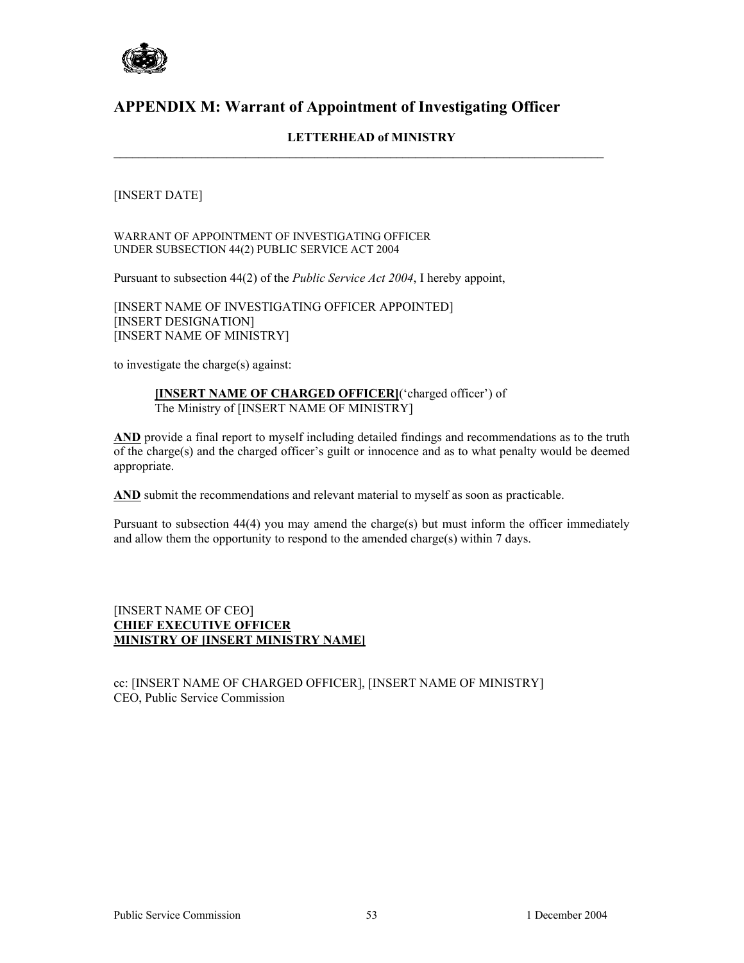

# **APPENDIX M: Warrant of Appointment of Investigating Officer**

### **LETTERHEAD of MINISTRY**

 $\mathcal{L}_\mathcal{L} = \{ \mathcal{L}_\mathcal{L} = \{ \mathcal{L}_\mathcal{L} = \{ \mathcal{L}_\mathcal{L} = \{ \mathcal{L}_\mathcal{L} = \{ \mathcal{L}_\mathcal{L} = \{ \mathcal{L}_\mathcal{L} = \{ \mathcal{L}_\mathcal{L} = \{ \mathcal{L}_\mathcal{L} = \{ \mathcal{L}_\mathcal{L} = \{ \mathcal{L}_\mathcal{L} = \{ \mathcal{L}_\mathcal{L} = \{ \mathcal{L}_\mathcal{L} = \{ \mathcal{L}_\mathcal{L} = \{ \mathcal{L}_\mathcal{$ 

### [INSERT DATE]

WARRANT OF APPOINTMENT OF INVESTIGATING OFFICER UNDER SUBSECTION 44(2) PUBLIC SERVICE ACT 2004

Pursuant to subsection 44(2) of the *Public Service Act 2004*, I hereby appoint,

[INSERT NAME OF INVESTIGATING OFFICER APPOINTED] [INSERT DESIGNATION] [INSERT NAME OF MINISTRY]

to investigate the charge(s) against:

#### **[INSERT NAME OF CHARGED OFFICER]**('charged officer') of The Ministry of [INSERT NAME OF MINISTRY]

**AND** provide a final report to myself including detailed findings and recommendations as to the truth of the charge(s) and the charged officer's guilt or innocence and as to what penalty would be deemed appropriate.

**AND** submit the recommendations and relevant material to myself as soon as practicable.

Pursuant to subsection 44(4) you may amend the charge(s) but must inform the officer immediately and allow them the opportunity to respond to the amended charge(s) within 7 days.

#### [INSERT NAME OF CEO] **CHIEF EXECUTIVE OFFICER MINISTRY OF [INSERT MINISTRY NAME]**

cc: [INSERT NAME OF CHARGED OFFICER], [INSERT NAME OF MINISTRY] CEO, Public Service Commission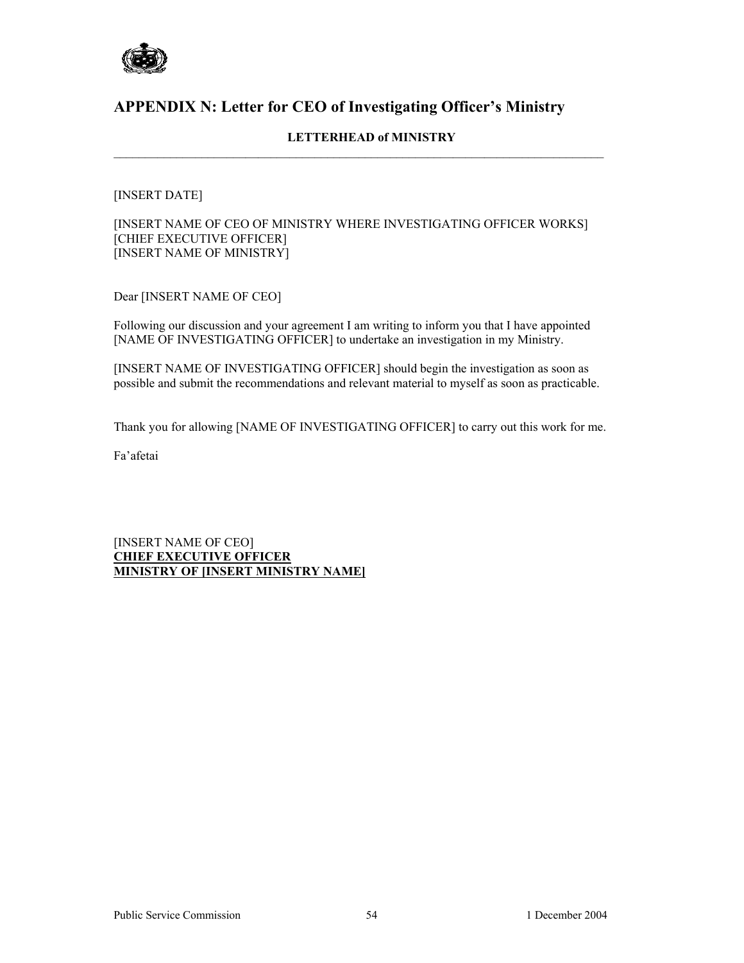

# **APPENDIX N: Letter for CEO of Investigating Officer's Ministry**

### **LETTERHEAD of MINISTRY**

 $\mathcal{L}_\mathcal{L} = \{ \mathcal{L}_\mathcal{L} = \{ \mathcal{L}_\mathcal{L} = \{ \mathcal{L}_\mathcal{L} = \{ \mathcal{L}_\mathcal{L} = \{ \mathcal{L}_\mathcal{L} = \{ \mathcal{L}_\mathcal{L} = \{ \mathcal{L}_\mathcal{L} = \{ \mathcal{L}_\mathcal{L} = \{ \mathcal{L}_\mathcal{L} = \{ \mathcal{L}_\mathcal{L} = \{ \mathcal{L}_\mathcal{L} = \{ \mathcal{L}_\mathcal{L} = \{ \mathcal{L}_\mathcal{L} = \{ \mathcal{L}_\mathcal{$ 

### [INSERT DATE]

[INSERT NAME OF CEO OF MINISTRY WHERE INVESTIGATING OFFICER WORKS] [CHIEF EXECUTIVE OFFICER] [INSERT NAME OF MINISTRY]

Dear [INSERT NAME OF CEO]

Following our discussion and your agreement I am writing to inform you that I have appointed [NAME OF INVESTIGATING OFFICER] to undertake an investigation in my Ministry.

[INSERT NAME OF INVESTIGATING OFFICER] should begin the investigation as soon as possible and submit the recommendations and relevant material to myself as soon as practicable.

Thank you for allowing [NAME OF INVESTIGATING OFFICER] to carry out this work for me.

Fa'afetai

[INSERT NAME OF CEO] **CHIEF EXECUTIVE OFFICER MINISTRY OF [INSERT MINISTRY NAME]**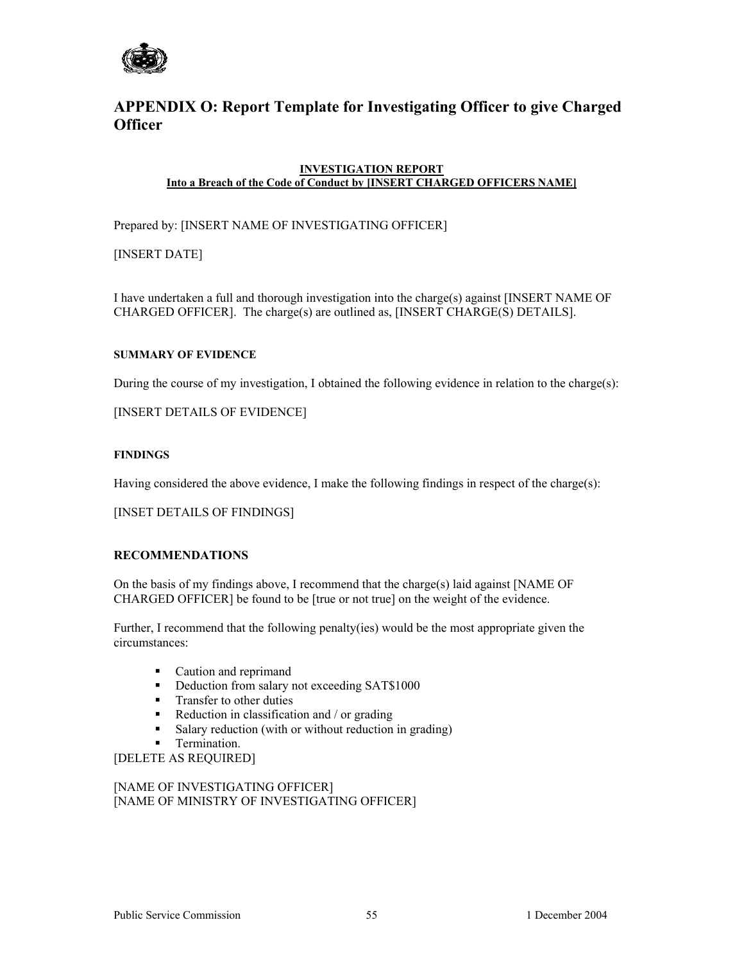

# **APPENDIX O: Report Template for Investigating Officer to give Charged Officer**

#### **INVESTIGATION REPORT Into a Breach of the Code of Conduct by [INSERT CHARGED OFFICERS NAME]**

Prepared by: [INSERT NAME OF INVESTIGATING OFFICER]

[INSERT DATE]

I have undertaken a full and thorough investigation into the charge(s) against [INSERT NAME OF CHARGED OFFICER]. The charge(s) are outlined as, [INSERT CHARGE(S) DETAILS].

#### **SUMMARY OF EVIDENCE**

During the course of my investigation, I obtained the following evidence in relation to the charge(s):

[INSERT DETAILS OF EVIDENCE]

#### **FINDINGS**

Having considered the above evidence, I make the following findings in respect of the charge(s):

[INSET DETAILS OF FINDINGS]

### **RECOMMENDATIONS**

On the basis of my findings above, I recommend that the charge(s) laid against [NAME OF CHARGED OFFICER] be found to be [true or not true] on the weight of the evidence.

Further, I recommend that the following penalty(ies) would be the most appropriate given the circumstances:

- Caution and reprimand
- Deduction from salary not exceeding SAT\$1000
- **Transfer to other duties**
- Reduction in classification and  $/$  or grading
- Salary reduction (with or without reduction in grading)
- Termination.

[DELETE AS REQUIRED]

[NAME OF INVESTIGATING OFFICER] [NAME OF MINISTRY OF INVESTIGATING OFFICER]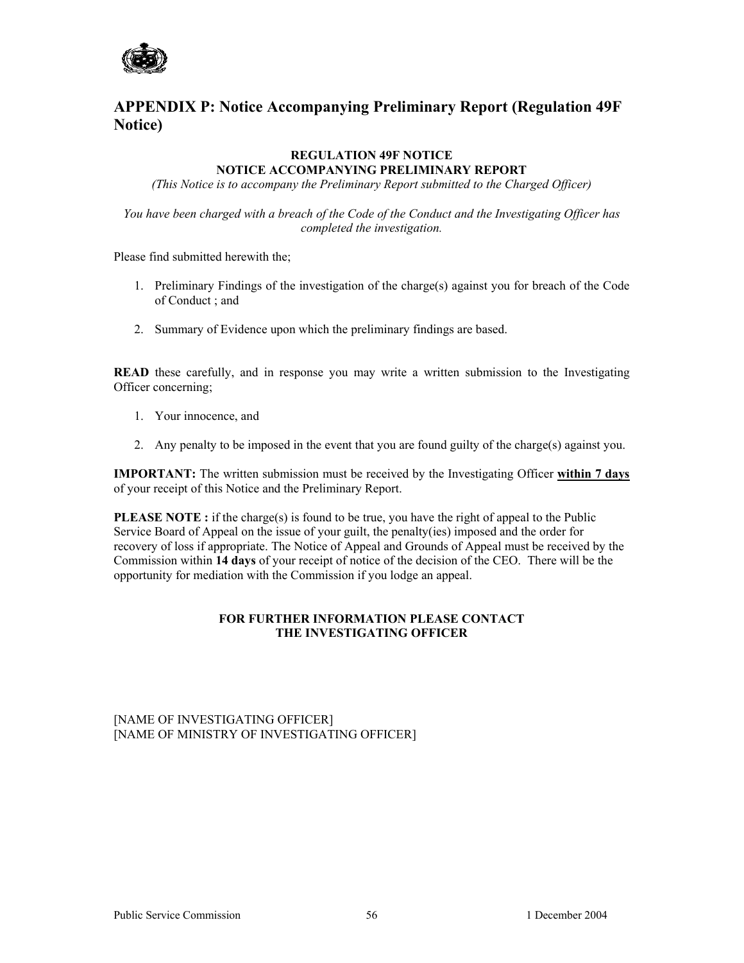

# **APPENDIX P: Notice Accompanying Preliminary Report (Regulation 49F Notice)**

### **REGULATION 49F NOTICE NOTICE ACCOMPANYING PRELIMINARY REPORT**

*(This Notice is to accompany the Preliminary Report submitted to the Charged Officer)* 

*You have been charged with a breach of the Code of the Conduct and the Investigating Officer has completed the investigation.* 

Please find submitted herewith the;

- 1. Preliminary Findings of the investigation of the charge(s) against you for breach of the Code of Conduct ; and
- 2. Summary of Evidence upon which the preliminary findings are based.

**READ** these carefully, and in response you may write a written submission to the Investigating Officer concerning;

- 1. Your innocence, and
- 2. Any penalty to be imposed in the event that you are found guilty of the charge(s) against you.

**IMPORTANT:** The written submission must be received by the Investigating Officer **within 7 days** of your receipt of this Notice and the Preliminary Report.

**PLEASE NOTE :** if the charge(s) is found to be true, you have the right of appeal to the Public Service Board of Appeal on the issue of your guilt, the penalty(ies) imposed and the order for recovery of loss if appropriate. The Notice of Appeal and Grounds of Appeal must be received by the Commission within **14 days** of your receipt of notice of the decision of the CEO. There will be the opportunity for mediation with the Commission if you lodge an appeal.

#### **FOR FURTHER INFORMATION PLEASE CONTACT THE INVESTIGATING OFFICER**

[NAME OF INVESTIGATING OFFICER] [NAME OF MINISTRY OF INVESTIGATING OFFICER]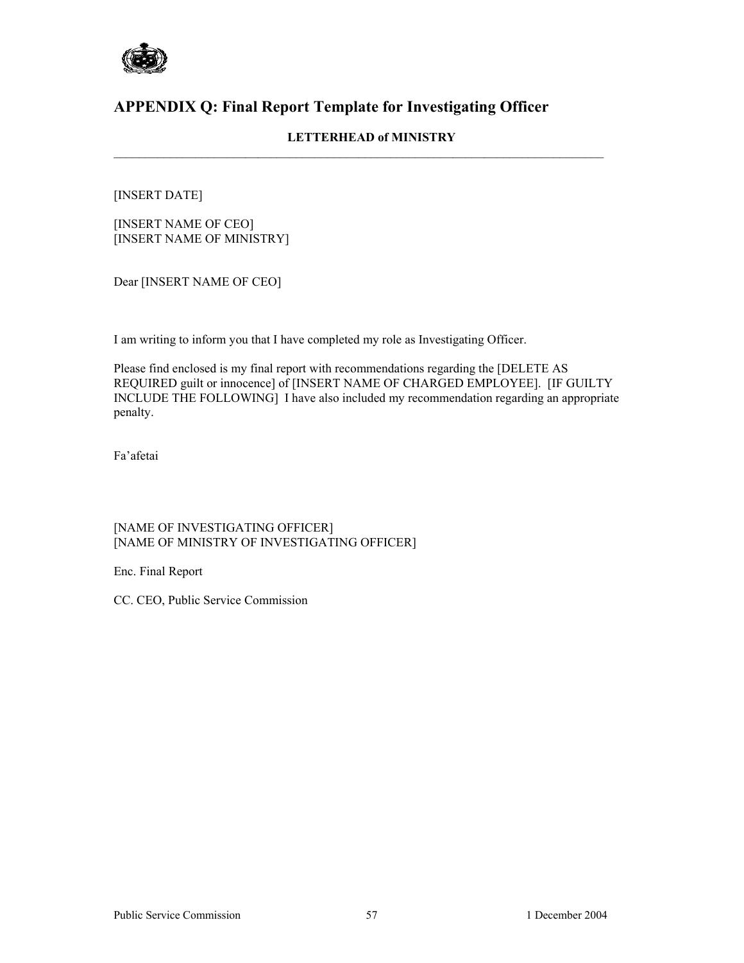

# **APPENDIX Q: Final Report Template for Investigating Officer**

### **LETTERHEAD of MINISTRY**

 $\mathcal{L}_\mathcal{L} = \{ \mathcal{L}_\mathcal{L} = \{ \mathcal{L}_\mathcal{L} = \{ \mathcal{L}_\mathcal{L} = \{ \mathcal{L}_\mathcal{L} = \{ \mathcal{L}_\mathcal{L} = \{ \mathcal{L}_\mathcal{L} = \{ \mathcal{L}_\mathcal{L} = \{ \mathcal{L}_\mathcal{L} = \{ \mathcal{L}_\mathcal{L} = \{ \mathcal{L}_\mathcal{L} = \{ \mathcal{L}_\mathcal{L} = \{ \mathcal{L}_\mathcal{L} = \{ \mathcal{L}_\mathcal{L} = \{ \mathcal{L}_\mathcal{$ 

### [INSERT DATE]

[INSERT NAME OF CEO] [INSERT NAME OF MINISTRY]

Dear [INSERT NAME OF CEO]

I am writing to inform you that I have completed my role as Investigating Officer.

Please find enclosed is my final report with recommendations regarding the [DELETE AS REQUIRED guilt or innocence] of [INSERT NAME OF CHARGED EMPLOYEE]. [IF GUILTY INCLUDE THE FOLLOWING] I have also included my recommendation regarding an appropriate penalty.

Fa'afetai

### [NAME OF INVESTIGATING OFFICER] [NAME OF MINISTRY OF INVESTIGATING OFFICER]

Enc. Final Report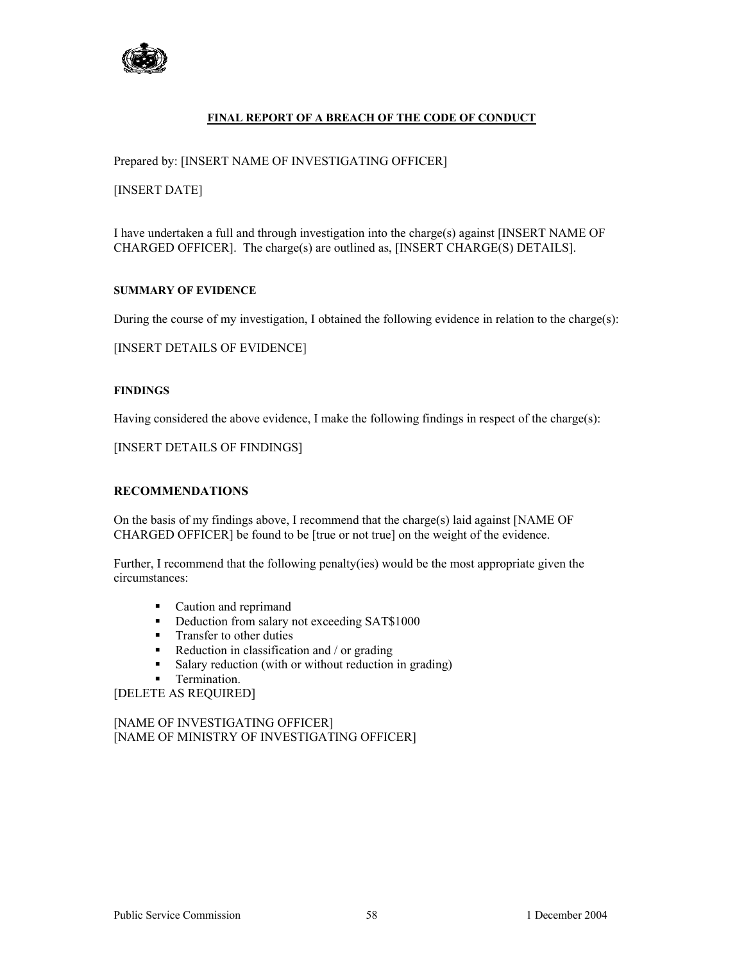

#### **FINAL REPORT OF A BREACH OF THE CODE OF CONDUCT**

Prepared by: [INSERT NAME OF INVESTIGATING OFFICER]

[INSERT DATE]

I have undertaken a full and through investigation into the charge(s) against [INSERT NAME OF CHARGED OFFICER]. The charge(s) are outlined as, [INSERT CHARGE(S) DETAILS].

#### **SUMMARY OF EVIDENCE**

During the course of my investigation, I obtained the following evidence in relation to the charge(s):

[INSERT DETAILS OF EVIDENCE]

#### **FINDINGS**

Having considered the above evidence, I make the following findings in respect of the charge(s):

[INSERT DETAILS OF FINDINGS]

#### **RECOMMENDATIONS**

On the basis of my findings above, I recommend that the charge(s) laid against [NAME OF CHARGED OFFICER] be found to be [true or not true] on the weight of the evidence.

Further, I recommend that the following penalty(ies) would be the most appropriate given the circumstances:

- Caution and reprimand
- Deduction from salary not exceeding SAT\$1000
- **Transfer to other duties**
- $\blacksquare$  Reduction in classification and / or grading
- Salary reduction (with or without reduction in grading)
- **Termination.**

[DELETE AS REQUIRED]

[NAME OF INVESTIGATING OFFICER] [NAME OF MINISTRY OF INVESTIGATING OFFICER]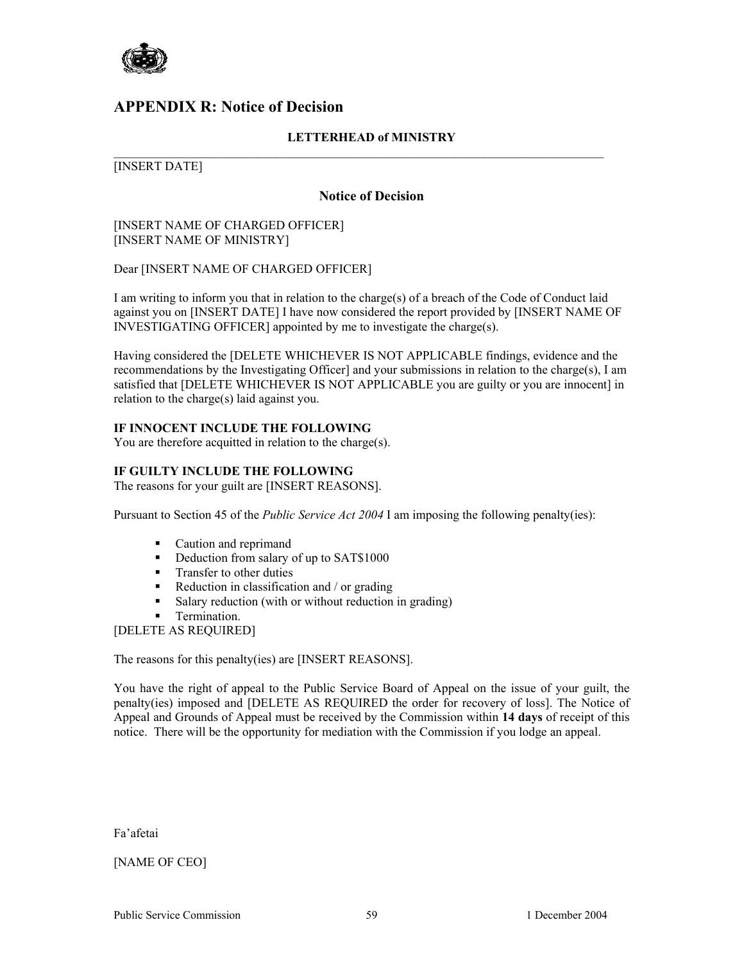

### **APPENDIX R: Notice of Decision**

### **LETTERHEAD of MINISTRY**

#### $\mathcal{L}_\mathcal{L} = \{ \mathcal{L}_\mathcal{L} = \{ \mathcal{L}_\mathcal{L} = \{ \mathcal{L}_\mathcal{L} = \{ \mathcal{L}_\mathcal{L} = \{ \mathcal{L}_\mathcal{L} = \{ \mathcal{L}_\mathcal{L} = \{ \mathcal{L}_\mathcal{L} = \{ \mathcal{L}_\mathcal{L} = \{ \mathcal{L}_\mathcal{L} = \{ \mathcal{L}_\mathcal{L} = \{ \mathcal{L}_\mathcal{L} = \{ \mathcal{L}_\mathcal{L} = \{ \mathcal{L}_\mathcal{L} = \{ \mathcal{L}_\mathcal{$ [INSERT DATE]

#### **Notice of Decision**

#### [INSERT NAME OF CHARGED OFFICER] [INSERT NAME OF MINISTRY]

Dear [INSERT NAME OF CHARGED OFFICER]

I am writing to inform you that in relation to the charge(s) of a breach of the Code of Conduct laid against you on [INSERT DATE] I have now considered the report provided by [INSERT NAME OF INVESTIGATING OFFICER] appointed by me to investigate the charge(s).

Having considered the [DELETE WHICHEVER IS NOT APPLICABLE findings, evidence and the recommendations by the Investigating Officer] and your submissions in relation to the charge(s), I am satisfied that [DELETE WHICHEVER IS NOT APPLICABLE you are guilty or you are innocent] in relation to the charge(s) laid against you.

#### **IF INNOCENT INCLUDE THE FOLLOWING**

You are therefore acquitted in relation to the charge(s).

#### **IF GUILTY INCLUDE THE FOLLOWING**

The reasons for your guilt are [INSERT REASONS].

Pursuant to Section 45 of the *Public Service Act 2004* I am imposing the following penalty(ies):

- Caution and reprimand
- Deduction from salary of up to SAT\$1000
- **Transfer to other duties**
- Reduction in classification and  $/$  or grading
- Salary reduction (with or without reduction in grading)
- Termination.

[DELETE AS REQUIRED]

The reasons for this penalty(ies) are [INSERT REASONS].

You have the right of appeal to the Public Service Board of Appeal on the issue of your guilt, the penalty(ies) imposed and [DELETE AS REQUIRED the order for recovery of loss]. The Notice of Appeal and Grounds of Appeal must be received by the Commission within **14 days** of receipt of this notice. There will be the opportunity for mediation with the Commission if you lodge an appeal.

Fa'afetai

### [NAME OF CEO]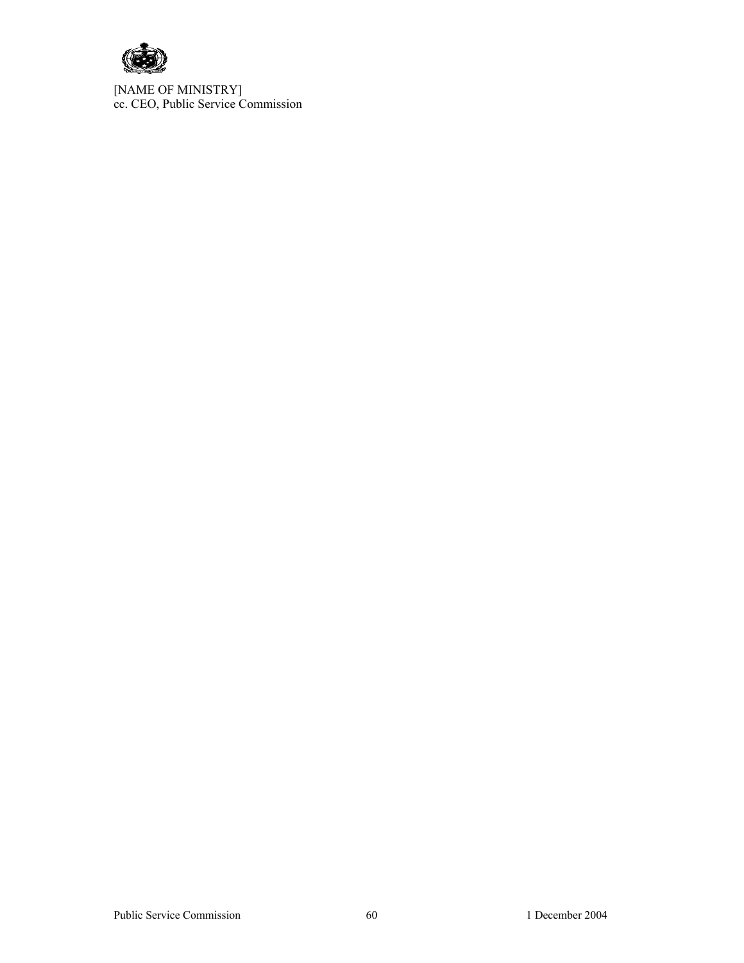

[NAME OF MINISTRY] cc. CEO, Public Service Commission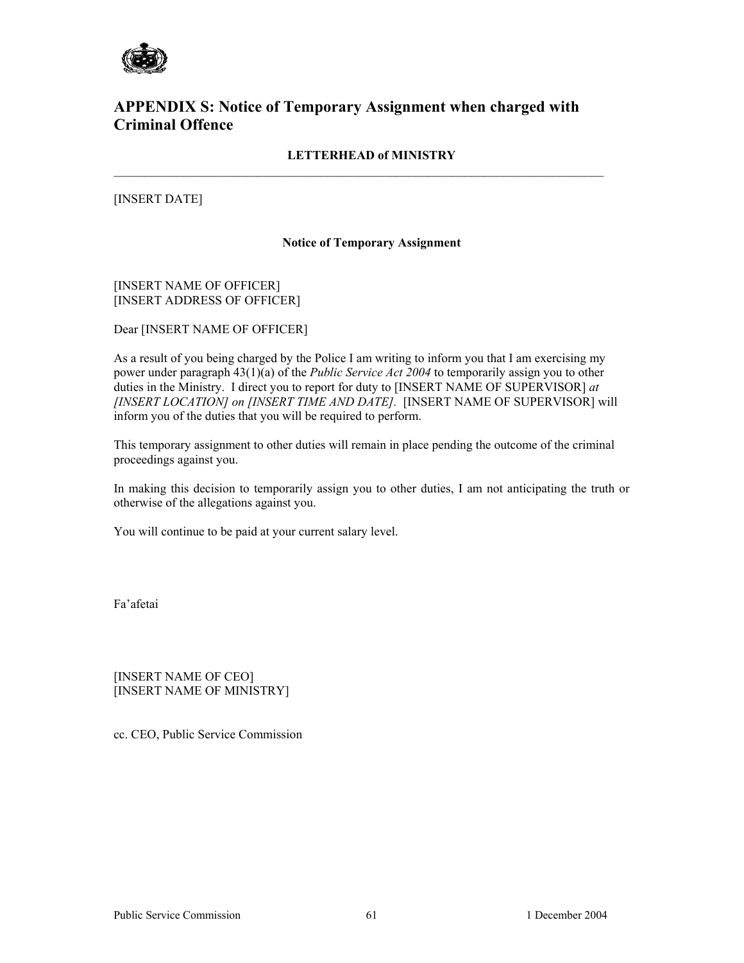

# **APPENDIX S: Notice of Temporary Assignment when charged with Criminal Offence**

### **LETTERHEAD of MINISTRY**

 $\mathcal{L}_\mathcal{L} = \{ \mathcal{L}_\mathcal{L} = \{ \mathcal{L}_\mathcal{L} = \{ \mathcal{L}_\mathcal{L} = \{ \mathcal{L}_\mathcal{L} = \{ \mathcal{L}_\mathcal{L} = \{ \mathcal{L}_\mathcal{L} = \{ \mathcal{L}_\mathcal{L} = \{ \mathcal{L}_\mathcal{L} = \{ \mathcal{L}_\mathcal{L} = \{ \mathcal{L}_\mathcal{L} = \{ \mathcal{L}_\mathcal{L} = \{ \mathcal{L}_\mathcal{L} = \{ \mathcal{L}_\mathcal{L} = \{ \mathcal{L}_\mathcal{$ 

[INSERT DATE]

#### **Notice of Temporary Assignment**

#### [INSERT NAME OF OFFICER] [INSERT ADDRESS OF OFFICER]

Dear [INSERT NAME OF OFFICER]

As a result of you being charged by the Police I am writing to inform you that I am exercising my power under paragraph 43(1)(a) of the *Public Service Act 2004* to temporarily assign you to other duties in the Ministry. I direct you to report for duty to [INSERT NAME OF SUPERVISOR] *at [INSERT LOCATION] on [INSERT TIME AND DATE].* [INSERT NAME OF SUPERVISOR] will inform you of the duties that you will be required to perform.

This temporary assignment to other duties will remain in place pending the outcome of the criminal proceedings against you.

In making this decision to temporarily assign you to other duties, I am not anticipating the truth or otherwise of the allegations against you.

You will continue to be paid at your current salary level.

Fa'afetai

[INSERT NAME OF CEO] [INSERT NAME OF MINISTRY]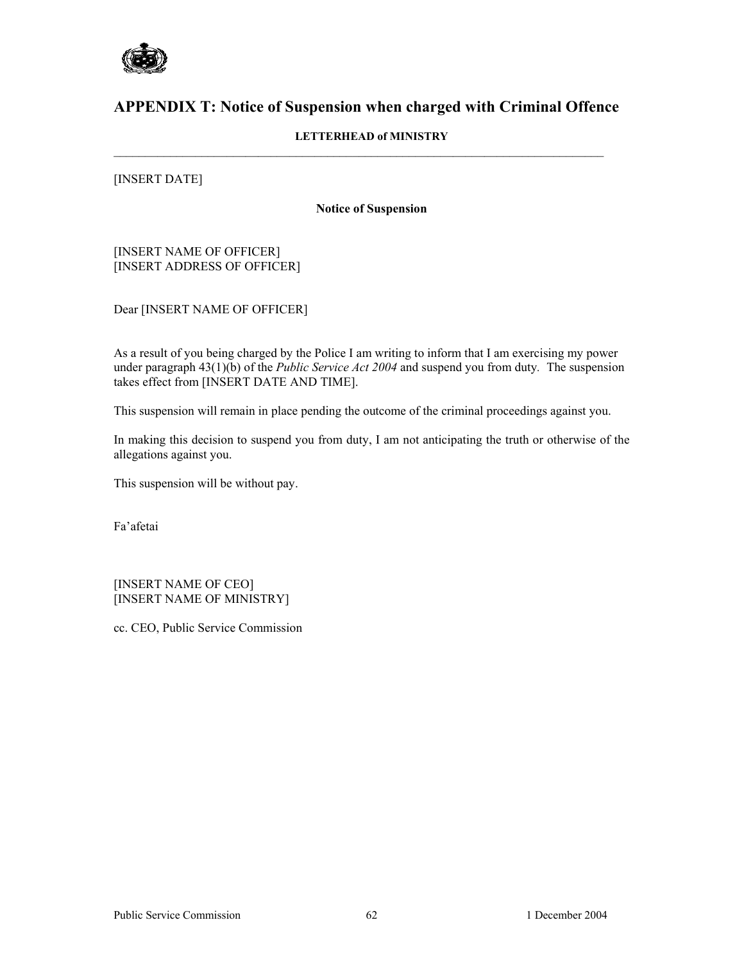

# **APPENDIX T: Notice of Suspension when charged with Criminal Offence**

### **LETTERHEAD of MINISTRY**

#### [INSERT DATE]

#### **Notice of Suspension**

[INSERT NAME OF OFFICER] [INSERT ADDRESS OF OFFICER]

Dear [INSERT NAME OF OFFICER]

As a result of you being charged by the Police I am writing to inform that I am exercising my power under paragraph 43(1)(b) of the *Public Service Act 2004* and suspend you from duty*.* The suspension takes effect from [INSERT DATE AND TIME].

This suspension will remain in place pending the outcome of the criminal proceedings against you.

In making this decision to suspend you from duty, I am not anticipating the truth or otherwise of the allegations against you.

This suspension will be without pay.

Fa'afetai

[INSERT NAME OF CEO] [INSERT NAME OF MINISTRY]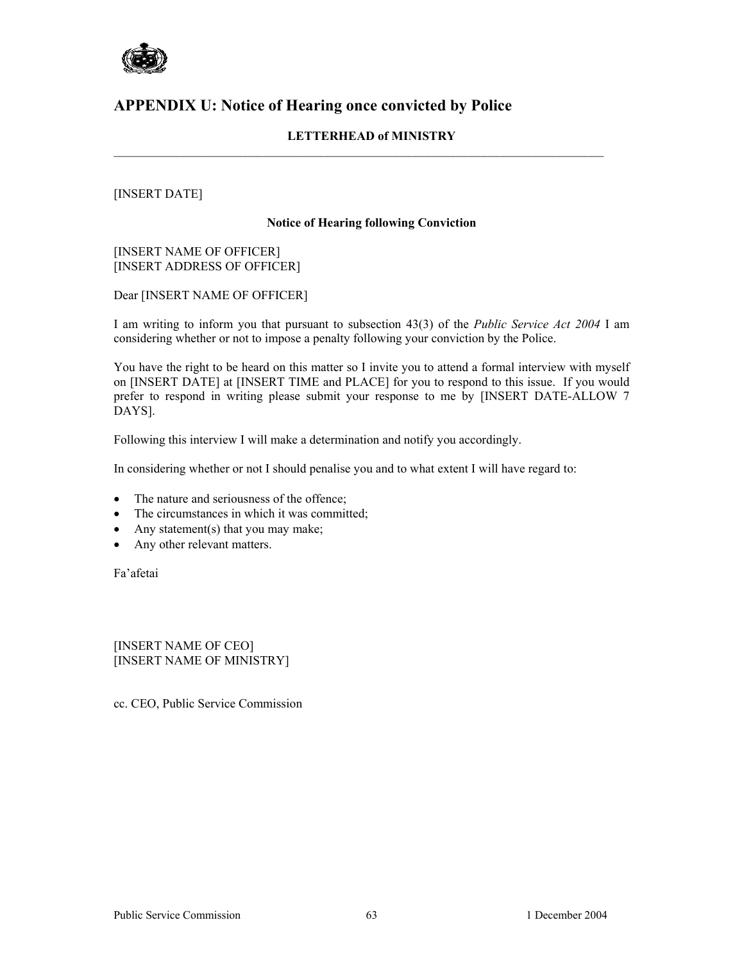

# **APPENDIX U: Notice of Hearing once convicted by Police**

### **LETTERHEAD of MINISTRY**

### [INSERT DATE]

#### **Notice of Hearing following Conviction**

[INSERT NAME OF OFFICER] [INSERT ADDRESS OF OFFICER]

Dear [INSERT NAME OF OFFICER]

I am writing to inform you that pursuant to subsection 43(3) of the *Public Service Act 2004* I am considering whether or not to impose a penalty following your conviction by the Police.

You have the right to be heard on this matter so I invite you to attend a formal interview with myself on [INSERT DATE] at [INSERT TIME and PLACE] for you to respond to this issue. If you would prefer to respond in writing please submit your response to me by [INSERT DATE-ALLOW 7 DAYS].

Following this interview I will make a determination and notify you accordingly.

In considering whether or not I should penalise you and to what extent I will have regard to:

- The nature and seriousness of the offence;
- The circumstances in which it was committed;
- Any statement(s) that you may make;
- Any other relevant matters.

Fa'afetai

[INSERT NAME OF CEO] [INSERT NAME OF MINISTRY]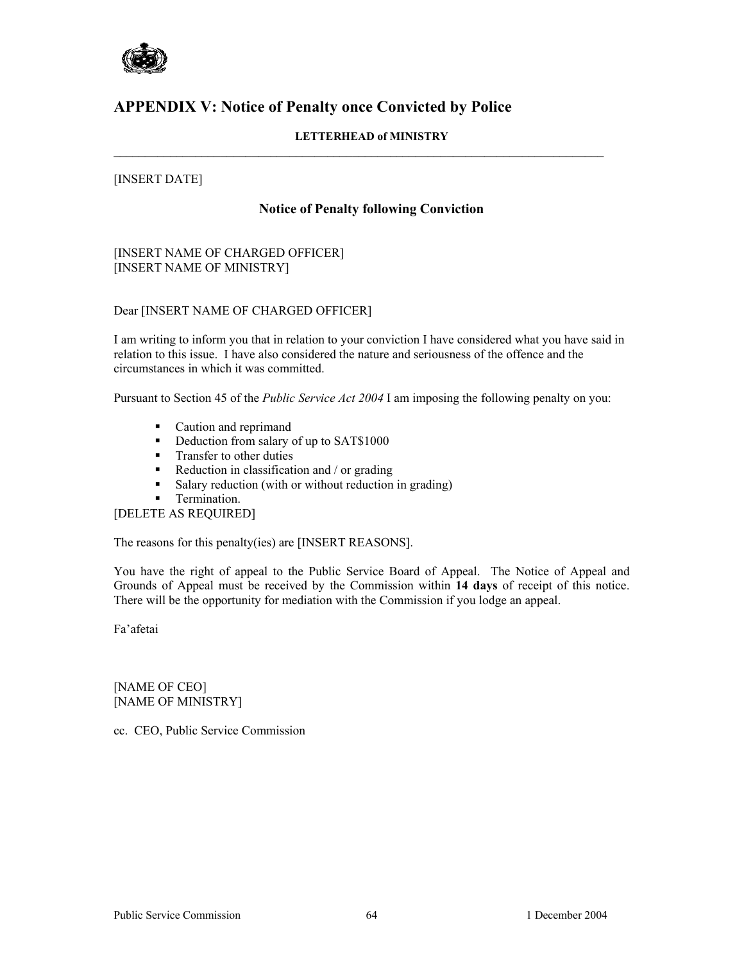

# **APPENDIX V: Notice of Penalty once Convicted by Police**

### **LETTERHEAD of MINISTRY**

### [INSERT DATE]

#### **Notice of Penalty following Conviction**

[INSERT NAME OF CHARGED OFFICER] [INSERT NAME OF MINISTRY]

#### Dear [INSERT NAME OF CHARGED OFFICER]

I am writing to inform you that in relation to your conviction I have considered what you have said in relation to this issue. I have also considered the nature and seriousness of the offence and the circumstances in which it was committed.

Pursuant to Section 45 of the *Public Service Act 2004* I am imposing the following penalty on you:

- Caution and reprimand
- Deduction from salary of up to SAT\$1000
- **Transfer to other duties**
- Reduction in classification and  $/$  or grading
- Salary reduction (with or without reduction in grading)
- **Termination.**

[DELETE AS REQUIRED]

The reasons for this penalty(ies) are [INSERT REASONS].

You have the right of appeal to the Public Service Board of Appeal. The Notice of Appeal and Grounds of Appeal must be received by the Commission within **14 days** of receipt of this notice. There will be the opportunity for mediation with the Commission if you lodge an appeal.

Fa'afetai

[NAME OF CEO] [NAME OF MINISTRY]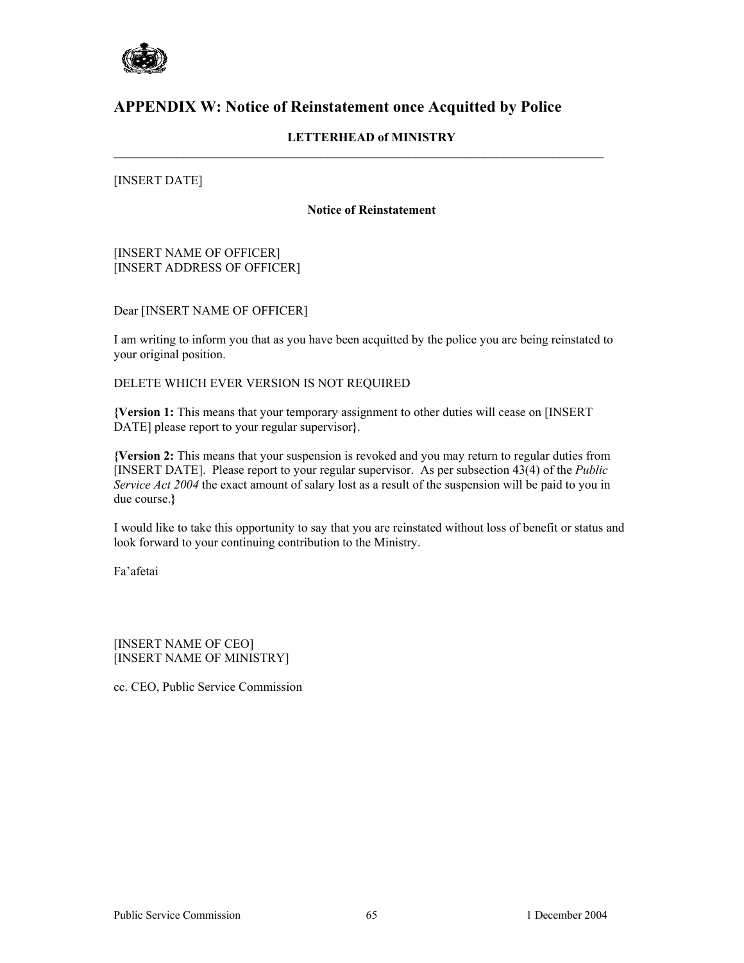

# **APPENDIX W: Notice of Reinstatement once Acquitted by Police**

### **LETTERHEAD of MINISTRY**

 $\mathcal{L}_\mathcal{L} = \{ \mathcal{L}_\mathcal{L} = \{ \mathcal{L}_\mathcal{L} = \{ \mathcal{L}_\mathcal{L} = \{ \mathcal{L}_\mathcal{L} = \{ \mathcal{L}_\mathcal{L} = \{ \mathcal{L}_\mathcal{L} = \{ \mathcal{L}_\mathcal{L} = \{ \mathcal{L}_\mathcal{L} = \{ \mathcal{L}_\mathcal{L} = \{ \mathcal{L}_\mathcal{L} = \{ \mathcal{L}_\mathcal{L} = \{ \mathcal{L}_\mathcal{L} = \{ \mathcal{L}_\mathcal{L} = \{ \mathcal{L}_\mathcal{$ 

[INSERT DATE]

#### **Notice of Reinstatement**

[INSERT NAME OF OFFICER] [INSERT ADDRESS OF OFFICER]

Dear [INSERT NAME OF OFFICER]

I am writing to inform you that as you have been acquitted by the police you are being reinstated to your original position.

DELETE WHICH EVER VERSION IS NOT REQUIRED

**{Version 1:** This means that your temporary assignment to other duties will cease on [INSERT DATE] please report to your regular supervisor**}**.

**{Version 2:** This means that your suspension is revoked and you may return to regular duties from [INSERT DATE]. Please report to your regular supervisor. As per subsection 43(4) of the *Public Service Act 2004* the exact amount of salary lost as a result of the suspension will be paid to you in due course.**}** 

I would like to take this opportunity to say that you are reinstated without loss of benefit or status and look forward to your continuing contribution to the Ministry.

Fa'afetai

[INSERT NAME OF CEO] [INSERT NAME OF MINISTRY]